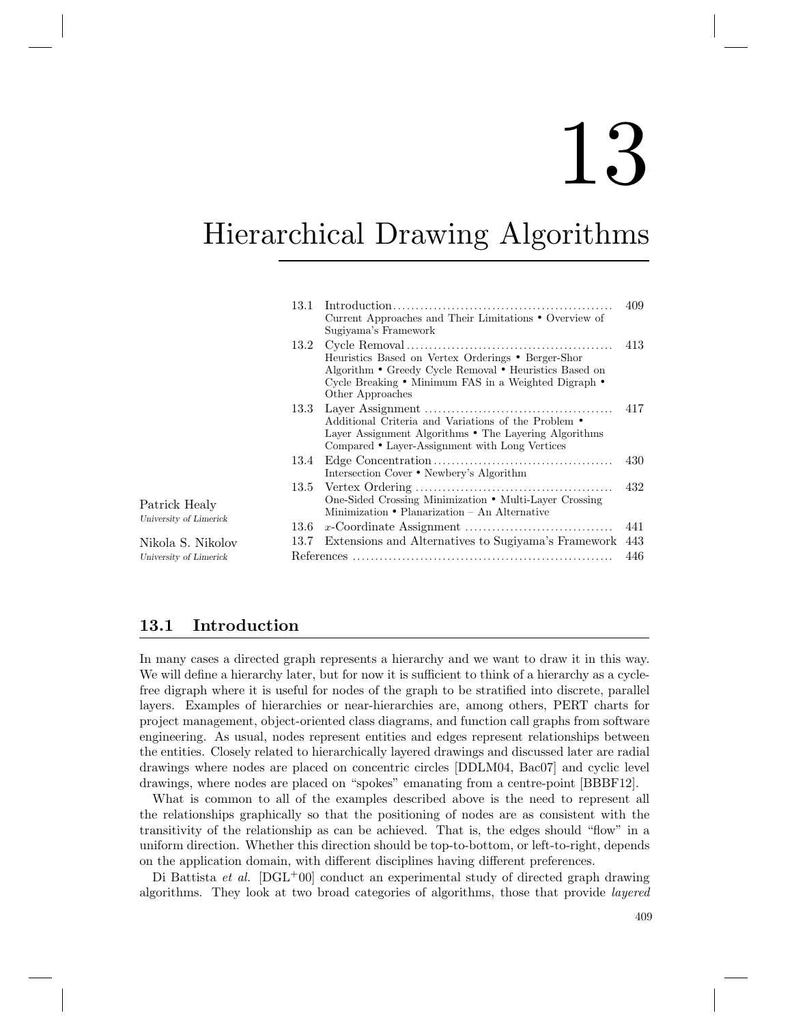# 13

# Hierarchical Drawing Algorithms

|                                         | 13.1 | Current Approaches and Their Limitations • Overview of<br>Sugiyama's Framework                                                                                                           | 409 |
|-----------------------------------------|------|------------------------------------------------------------------------------------------------------------------------------------------------------------------------------------------|-----|
|                                         |      | Heuristics Based on Vertex Orderings • Berger-Shor<br>Algorithm • Greedy Cycle Removal • Heuristics Based on<br>Cycle Breaking • Minimum FAS in a Weighted Digraph •<br>Other Approaches | 413 |
| Patrick Healy<br>University of Limerick |      | Additional Criteria and Variations of the Problem •<br>Layer Assignment Algorithms • The Layering Algorithms<br>Compared • Layer-Assignment with Long Vertices                           | 417 |
|                                         | 13.4 | Intersection Cover • Newbery's Algorithm                                                                                                                                                 | 430 |
|                                         | 13.5 | One-Sided Crossing Minimization • Multi-Layer Crossing<br>Minimization $\bullet$ Planarization – An Alternative                                                                          | 432 |
|                                         | 13.6 |                                                                                                                                                                                          | 441 |
| Nikola S. Nikolov                       | 13.7 | Extensions and Alternatives to Sugiyama's Framework                                                                                                                                      | 443 |
| University of Limerick                  |      |                                                                                                                                                                                          | 446 |

# 13.1 Introduction

In many cases a directed graph represents a hierarchy and we want to draw it in this way. We will define a hierarchy later, but for now it is sufficient to think of a hierarchy as a cyclefree digraph where it is useful for nodes of the graph to be stratified into discrete, parallel layers. Examples of hierarchies or near-hierarchies are, among others, PERT charts for project management, object-oriented class diagrams, and function call graphs from software engineering. As usual, nodes represent entities and edges represent relationships between the entities. Closely related to hierarchically layered drawings and discussed later are radial drawings where nodes are placed on concentric circles [DDLM04, Bac07] and cyclic level drawings, where nodes are placed on "spokes" emanating from a centre-point [BBBF12].

What is common to all of the examples described above is the need to represent all the relationships graphically so that the positioning of nodes are as consistent with the transitivity of the relationship as can be achieved. That is, the edges should "flow" in a uniform direction. Whether this direction should be top-to-bottom, or left-to-right, depends on the application domain, with different disciplines having different preferences.

Di Battista *et al.* [DGL<sup>+</sup>00] conduct an experimental study of directed graph drawing algorithms. They look at two broad categories of algorithms, those that provide layered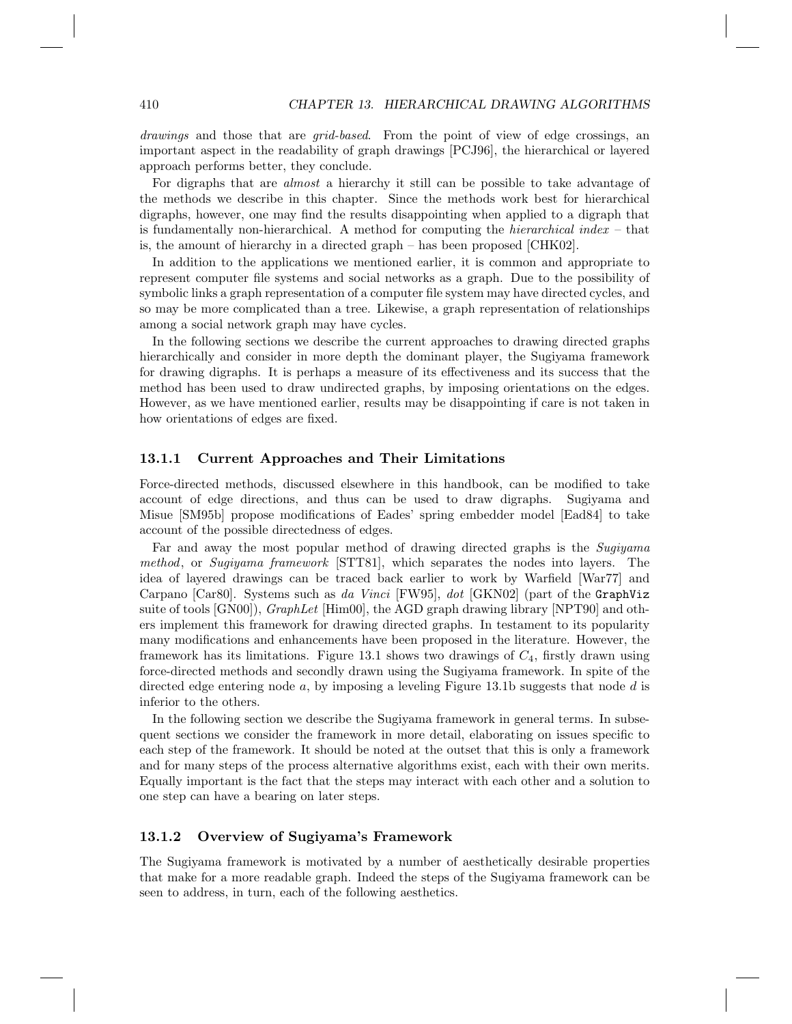drawings and those that are grid-based. From the point of view of edge crossings, an important aspect in the readability of graph drawings [PCJ96], the hierarchical or layered approach performs better, they conclude.

For digraphs that are *almost* a hierarchy it still can be possible to take advantage of the methods we describe in this chapter. Since the methods work best for hierarchical digraphs, however, one may find the results disappointing when applied to a digraph that is fundamentally non-hierarchical. A method for computing the hierarchical index – that is, the amount of hierarchy in a directed graph – has been proposed [CHK02].

In addition to the applications we mentioned earlier, it is common and appropriate to represent computer file systems and social networks as a graph. Due to the possibility of symbolic links a graph representation of a computer file system may have directed cycles, and so may be more complicated than a tree. Likewise, a graph representation of relationships among a social network graph may have cycles.

In the following sections we describe the current approaches to drawing directed graphs hierarchically and consider in more depth the dominant player, the Sugiyama framework for drawing digraphs. It is perhaps a measure of its effectiveness and its success that the method has been used to draw undirected graphs, by imposing orientations on the edges. However, as we have mentioned earlier, results may be disappointing if care is not taken in how orientations of edges are fixed.

### 13.1.1 Current Approaches and Their Limitations

Force-directed methods, discussed elsewhere in this handbook, can be modified to take account of edge directions, and thus can be used to draw digraphs. Sugiyama and Misue [SM95b] propose modifications of Eades' spring embedder model [Ead84] to take account of the possible directedness of edges.

Far and away the most popular method of drawing directed graphs is the Sugiyama method, or Sugiyama framework [STT81], which separates the nodes into layers. The idea of layered drawings can be traced back earlier to work by Warfield [War77] and Carpano [Car80]. Systems such as da Vinci [FW95], dot [GKN02] (part of the GraphViz suite of tools [GN00]), *GraphLet* [Him00], the AGD graph drawing library [NPT90] and others implement this framework for drawing directed graphs. In testament to its popularity many modifications and enhancements have been proposed in the literature. However, the framework has its limitations. Figure 13.1 shows two drawings of  $C_4$ , firstly drawn using force-directed methods and secondly drawn using the Sugiyama framework. In spite of the directed edge entering node  $a$ , by imposing a leveling Figure 13.1b suggests that node  $d$  is inferior to the others.

In the following section we describe the Sugiyama framework in general terms. In subsequent sections we consider the framework in more detail, elaborating on issues specific to each step of the framework. It should be noted at the outset that this is only a framework and for many steps of the process alternative algorithms exist, each with their own merits. Equally important is the fact that the steps may interact with each other and a solution to one step can have a bearing on later steps.

### 13.1.2 Overview of Sugiyama's Framework

The Sugiyama framework is motivated by a number of aesthetically desirable properties that make for a more readable graph. Indeed the steps of the Sugiyama framework can be seen to address, in turn, each of the following aesthetics.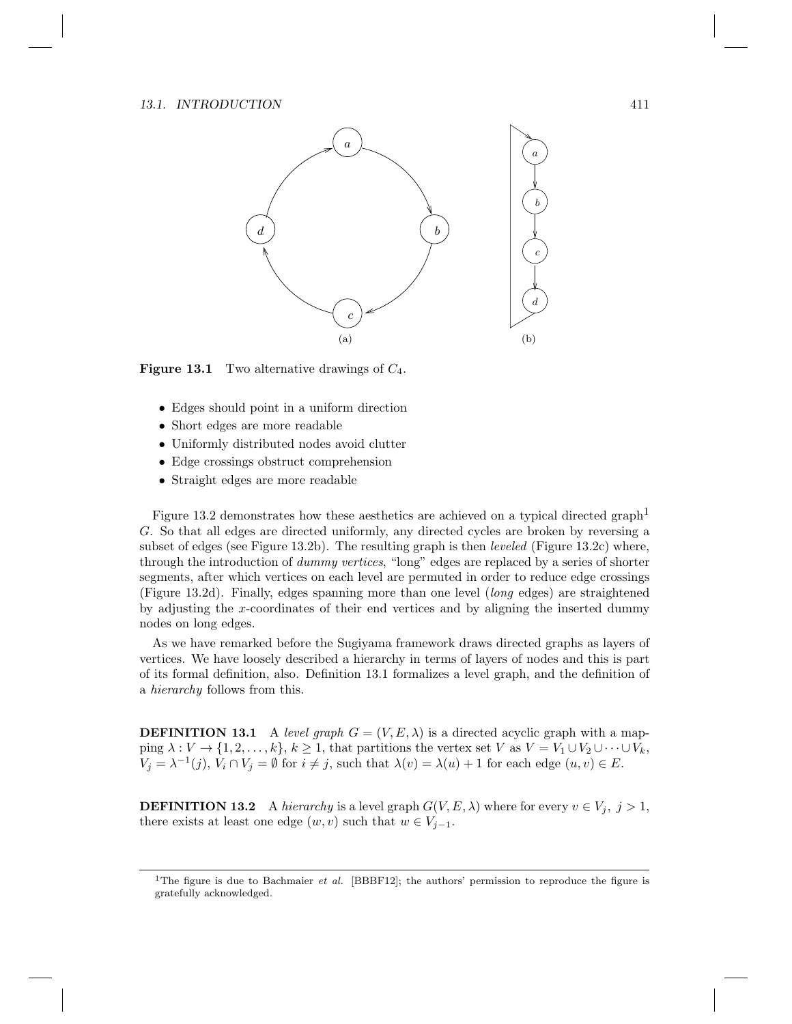

**Figure 13.1** Two alternative drawings of  $C_4$ .

- Edges should point in a uniform direction
- Short edges are more readable
- Uniformly distributed nodes avoid clutter
- Edge crossings obstruct comprehension
- Straight edges are more readable

Figure 13.2 demonstrates how these aesthetics are achieved on a typical directed graph<sup>1</sup> G. So that all edges are directed uniformly, any directed cycles are broken by reversing a subset of edges (see Figure 13.2b). The resulting graph is then *leveled* (Figure 13.2c) where, through the introduction of *dummy vertices*, "long" edges are replaced by a series of shorter segments, after which vertices on each level are permuted in order to reduce edge crossings (Figure 13.2d). Finally, edges spanning more than one level (long edges) are straightened by adjusting the x-coordinates of their end vertices and by aligning the inserted dummy nodes on long edges.

As we have remarked before the Sugiyama framework draws directed graphs as layers of vertices. We have loosely described a hierarchy in terms of layers of nodes and this is part of its formal definition, also. Definition 13.1 formalizes a level graph, and the definition of a hierarchy follows from this.

**DEFINITION 13.1** A level graph  $G = (V, E, \lambda)$  is a directed acyclic graph with a mapping  $\lambda: V \to \{1, 2, \ldots, k\}, k \geq 1$ , that partitions the vertex set V as  $V = V_1 \cup V_2 \cup \cdots \cup V_k$ ,  $V_j = \lambda^{-1}(j)$ ,  $V_i \cap V_j = \emptyset$  for  $i \neq j$ , such that  $\lambda(v) = \lambda(u) + 1$  for each edge  $(u, v) \in E$ .

**DEFINITION 13.2** A hierarchy is a level graph  $G(V, E, \lambda)$  where for every  $v \in V_i$ ,  $j > 1$ , there exists at least one edge  $(w, v)$  such that  $w \in V_{j-1}$ .

<sup>&</sup>lt;sup>1</sup>The figure is due to Bachmaier *et al.* [BBBF12]; the authors' permission to reproduce the figure is gratefully acknowledged.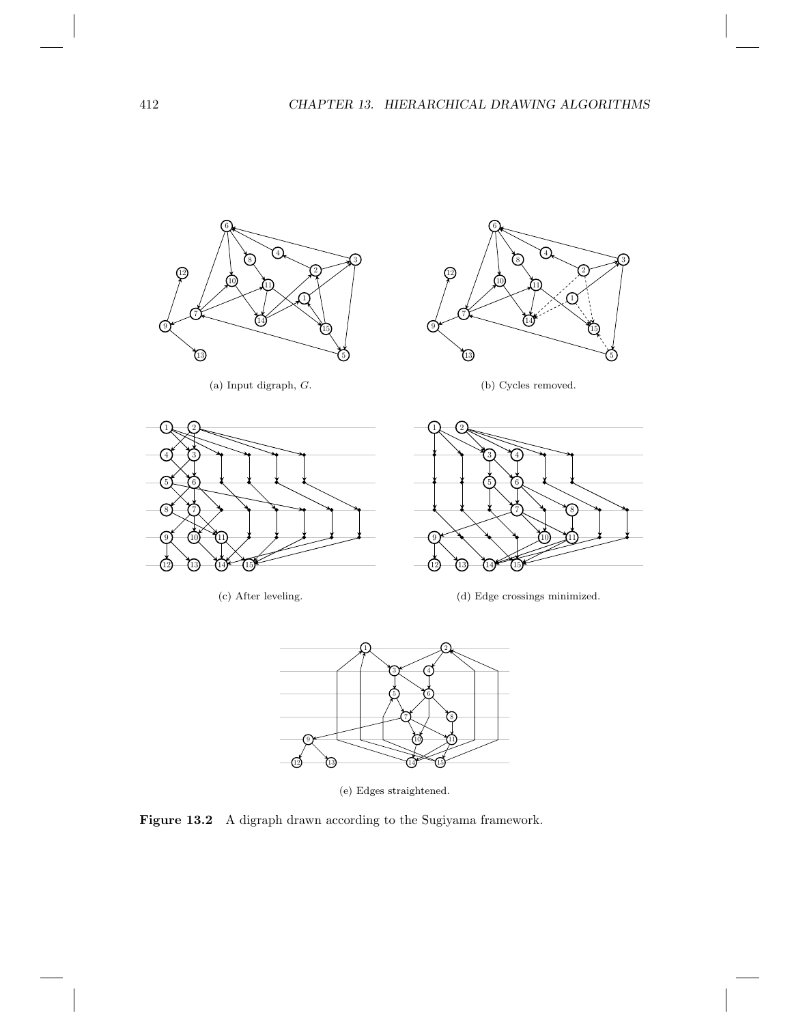6),

2)

3)

5)

1)

7) 18)

 $\Omega$ 

 $\mathcal{F}$ 

(b) Cycles removed.

9)

7).

 $\circledcirc$ 

 $1 - (2)$ 



(a) Input digraph, G.





(d) Edge crossings minimized.

 $15)$ 

 $(10)$ 

 $(13)$   $(14)$ 

3)  $-$  (4)

5)— $(6)$ 



(e) Edges straightened.

Figure 13.2 A digraph drawn according to the Sugiyama framework.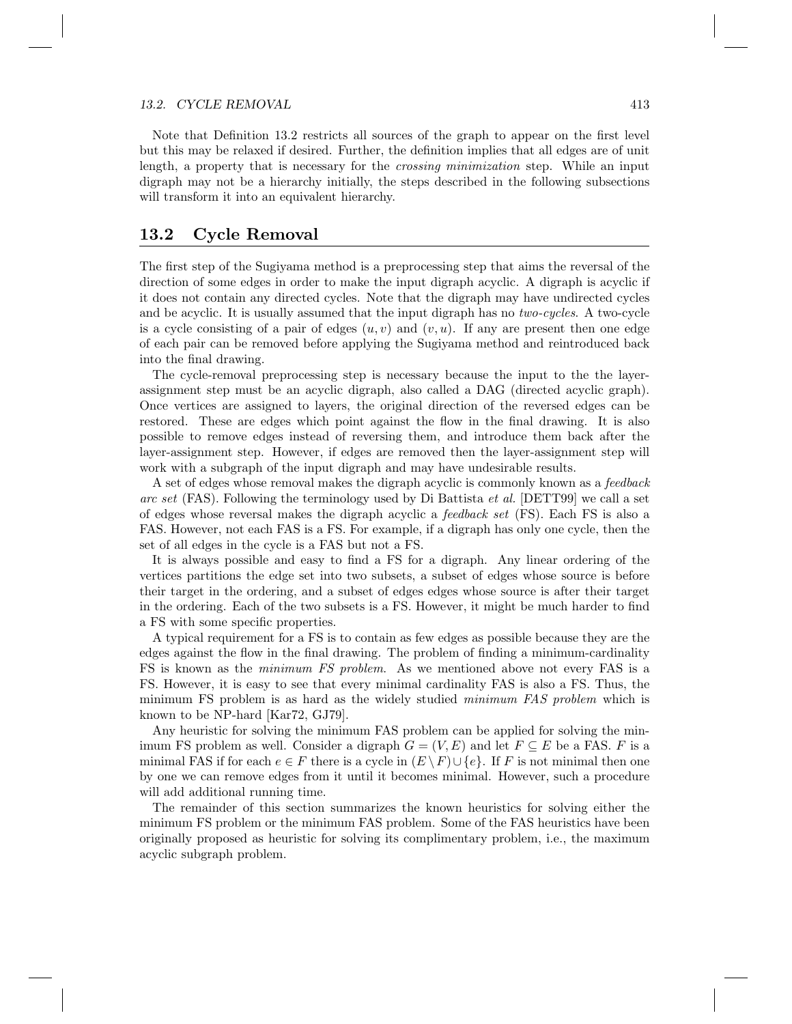### 13.2. CYCLE REMOVAL 413

Note that Definition 13.2 restricts all sources of the graph to appear on the first level but this may be relaxed if desired. Further, the definition implies that all edges are of unit length, a property that is necessary for the crossing minimization step. While an input digraph may not be a hierarchy initially, the steps described in the following subsections will transform it into an equivalent hierarchy.

# 13.2 Cycle Removal

The first step of the Sugiyama method is a preprocessing step that aims the reversal of the direction of some edges in order to make the input digraph acyclic. A digraph is acyclic if it does not contain any directed cycles. Note that the digraph may have undirected cycles and be acyclic. It is usually assumed that the input digraph has no two-cycles. A two-cycle is a cycle consisting of a pair of edges  $(u, v)$  and  $(v, u)$ . If any are present then one edge of each pair can be removed before applying the Sugiyama method and reintroduced back into the final drawing.

The cycle-removal preprocessing step is necessary because the input to the the layerassignment step must be an acyclic digraph, also called a DAG (directed acyclic graph). Once vertices are assigned to layers, the original direction of the reversed edges can be restored. These are edges which point against the flow in the final drawing. It is also possible to remove edges instead of reversing them, and introduce them back after the layer-assignment step. However, if edges are removed then the layer-assignment step will work with a subgraph of the input digraph and may have undesirable results.

A set of edges whose removal makes the digraph acyclic is commonly known as a *feedback* arc set (FAS). Following the terminology used by Di Battista et al. [DETT99] we call a set of edges whose reversal makes the digraph acyclic a feedback set (FS). Each FS is also a FAS. However, not each FAS is a FS. For example, if a digraph has only one cycle, then the set of all edges in the cycle is a FAS but not a FS.

It is always possible and easy to find a FS for a digraph. Any linear ordering of the vertices partitions the edge set into two subsets, a subset of edges whose source is before their target in the ordering, and a subset of edges edges whose source is after their target in the ordering. Each of the two subsets is a FS. However, it might be much harder to find a FS with some specific properties.

A typical requirement for a FS is to contain as few edges as possible because they are the edges against the flow in the final drawing. The problem of finding a minimum-cardinality FS is known as the minimum FS problem. As we mentioned above not every FAS is a FS. However, it is easy to see that every minimal cardinality FAS is also a FS. Thus, the minimum FS problem is as hard as the widely studied minimum FAS problem which is known to be NP-hard [Kar72, GJ79].

Any heuristic for solving the minimum FAS problem can be applied for solving the minimum FS problem as well. Consider a digraph  $G = (V, E)$  and let  $F \subseteq E$  be a FAS. F is a minimal FAS if for each  $e \in F$  there is a cycle in  $(E \setminus F) \cup \{e\}$ . If F is not minimal then one by one we can remove edges from it until it becomes minimal. However, such a procedure will add additional running time.

The remainder of this section summarizes the known heuristics for solving either the minimum FS problem or the minimum FAS problem. Some of the FAS heuristics have been originally proposed as heuristic for solving its complimentary problem, i.e., the maximum acyclic subgraph problem.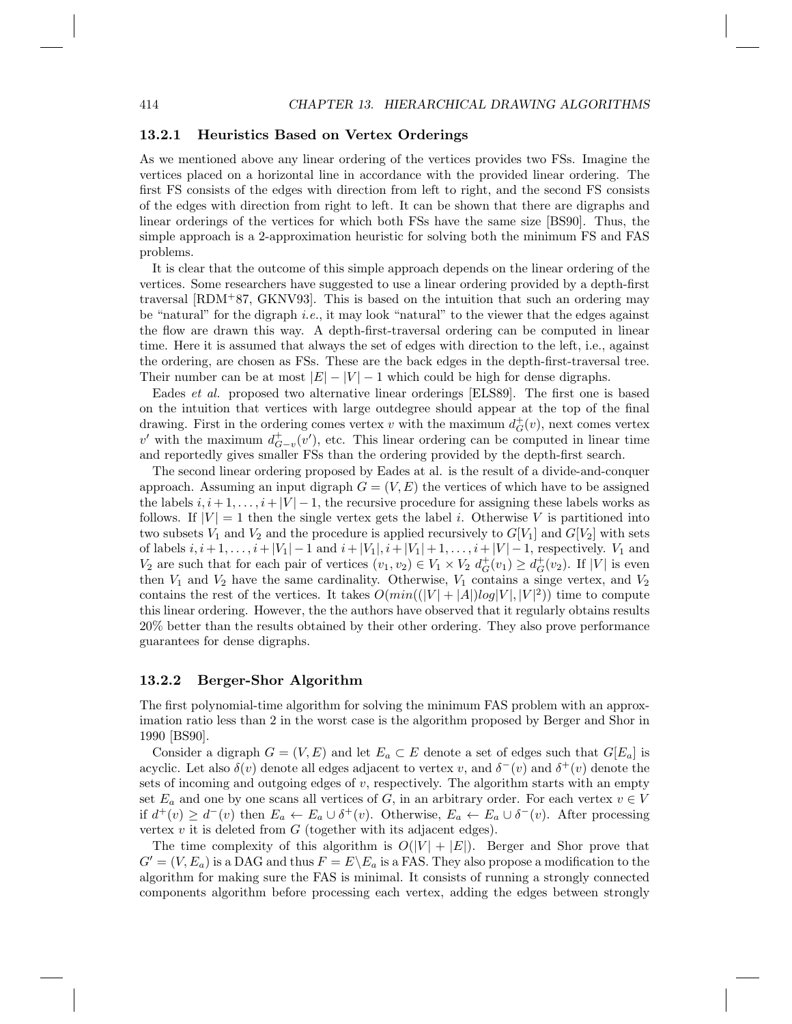### 13.2.1 Heuristics Based on Vertex Orderings

As we mentioned above any linear ordering of the vertices provides two FSs. Imagine the vertices placed on a horizontal line in accordance with the provided linear ordering. The first FS consists of the edges with direction from left to right, and the second FS consists of the edges with direction from right to left. It can be shown that there are digraphs and linear orderings of the vertices for which both FSs have the same size [BS90]. Thus, the simple approach is a 2-approximation heuristic for solving both the minimum FS and FAS problems.

It is clear that the outcome of this simple approach depends on the linear ordering of the vertices. Some researchers have suggested to use a linear ordering provided by a depth-first traversal [RDM+87, GKNV93]. This is based on the intuition that such an ordering may be "natural" for the digraph i.e., it may look "natural" to the viewer that the edges against the flow are drawn this way. A depth-first-traversal ordering can be computed in linear time. Here it is assumed that always the set of edges with direction to the left, i.e., against the ordering, are chosen as FSs. These are the back edges in the depth-first-traversal tree. Their number can be at most  $|E| - |V| - 1$  which could be high for dense digraphs.

Eades et al. proposed two alternative linear orderings [ELS89]. The first one is based on the intuition that vertices with large outdegree should appear at the top of the final drawing. First in the ordering comes vertex v with the maximum  $d_G^+(v)$ , next comes vertex v' with the maximum  $d_{G-v}^+(v')$ , etc. This linear ordering can be computed in linear time and reportedly gives smaller FSs than the ordering provided by the depth-first search.

The second linear ordering proposed by Eades at al. is the result of a divide-and-conquer approach. Assuming an input digraph  $G = (V, E)$  the vertices of which have to be assigned the labels  $i, i+1, \ldots, i+|V|-1$ , the recursive procedure for assigning these labels works as follows. If  $|V| = 1$  then the single vertex gets the label i. Otherwise V is partitioned into two subsets  $V_1$  and  $V_2$  and the procedure is applied recursively to  $G[V_1]$  and  $G[V_2]$  with sets of labels  $i, i+1, \ldots, i+|V_1|-1$  and  $i+|V_1|, i+|V_1|+1, \ldots, i+|V|-1$ , respectively.  $V_1$  and  $V_2$  are such that for each pair of vertices  $(v_1, v_2) \in V_1 \times V_2$   $d^+_G(v_1) \geq d^+_G(v_2)$ . If |V| is even then  $V_1$  and  $V_2$  have the same cardinality. Otherwise,  $V_1$  contains a singe vertex, and  $V_2$ contains the rest of the vertices. It takes  $O(min((|V|+|A|)log|V|, |V|^2))$  time to compute this linear ordering. However, the the authors have observed that it regularly obtains results 20% better than the results obtained by their other ordering. They also prove performance guarantees for dense digraphs.

### 13.2.2 Berger-Shor Algorithm

The first polynomial-time algorithm for solving the minimum FAS problem with an approximation ratio less than 2 in the worst case is the algorithm proposed by Berger and Shor in 1990 [BS90].

Consider a digraph  $G = (V, E)$  and let  $E_a \subset E$  denote a set of edges such that  $G[E_a]$  is acyclic. Let also  $\delta(v)$  denote all edges adjacent to vertex v, and  $\delta^-(v)$  and  $\delta^+(v)$  denote the sets of incoming and outgoing edges of  $v$ , respectively. The algorithm starts with an empty set  $E_a$  and one by one scans all vertices of G, in an arbitrary order. For each vertex  $v \in V$ if  $d^+(v) \geq d^-(v)$  then  $E_a \leftarrow E_a \cup \delta^+(v)$ . Otherwise,  $E_a \leftarrow E_a \cup \delta^-(v)$ . After processing vertex  $v$  it is deleted from  $G$  (together with its adjacent edges).

The time complexity of this algorithm is  $O(|V| + |E|)$ . Berger and Shor prove that  $G' = (V, E_a)$  is a DAG and thus  $F = E \backslash E_a$  is a FAS. They also propose a modification to the algorithm for making sure the FAS is minimal. It consists of running a strongly connected components algorithm before processing each vertex, adding the edges between strongly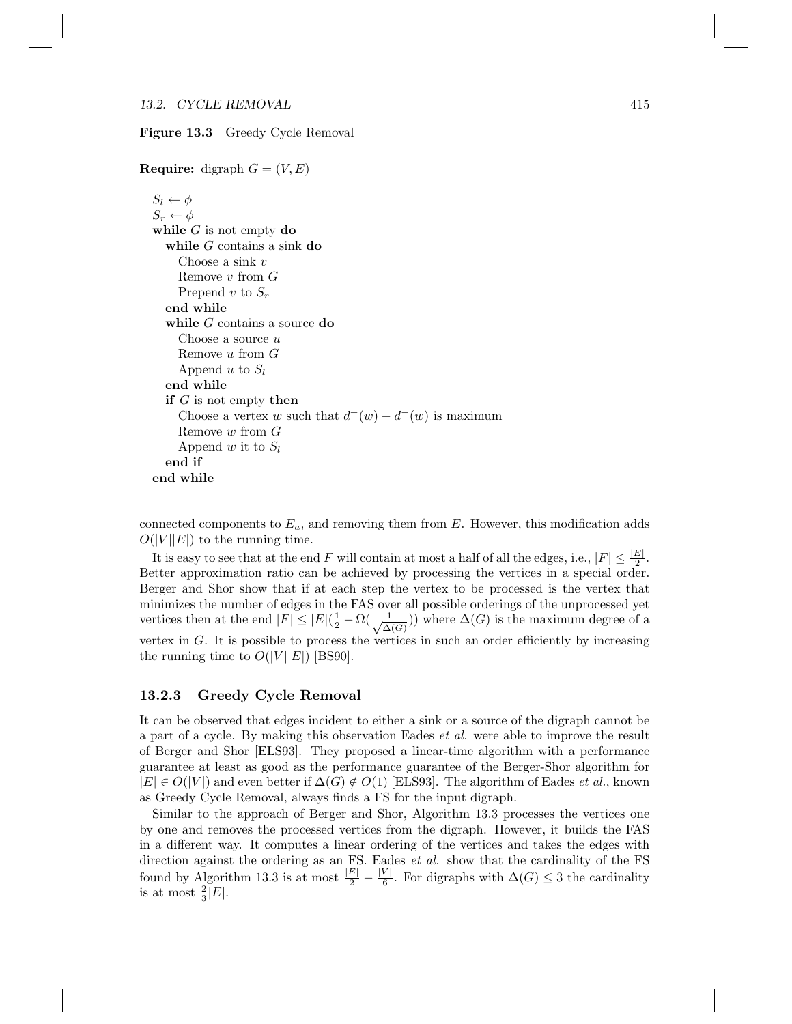Figure 13.3 Greedy Cycle Removal

```
Require: digraph G = (V, E)S_l \leftarrow \phiS_r \leftarrow \phiwhile G is not empty do
    while G contains a sink do
      Choose a sink vRemove v from GPrepend v to S_rend while
    while G contains a source do
      Choose a source uRemove u from G
      Append u to S_lend while
    if G is not empty then
       Choose a vertex w such that d^+(w) - d^-(w) is maximum
      Remove w from G
      Append w it to S_lend if
  end while
```
connected components to  $E_a$ , and removing them from E. However, this modification adds  $O(|V||E|)$  to the running time.

It is easy to see that at the end F will contain at most a half of all the edges, i.e.,  $|F| \leq \frac{|E|}{2}$ . Better approximation ratio can be achieved by processing the vertices in a special order. Berger and Shor show that if at each step the vertex to be processed is the vertex that minimizes the number of edges in the FAS over all possible orderings of the unprocessed yet vertices then at the end  $|F| \leq |E|(\frac{1}{2} - \Omega(\frac{1}{\sqrt{\Delta}}))$  $\frac{1}{\Delta(G)})$  where  $\Delta(G)$  is the maximum degree of a vertex in  $G$ . It is possible to process the vertices in such an order efficiently by increasing the running time to  $O(|V||E|)$  [BS90].

### 13.2.3 Greedy Cycle Removal

It can be observed that edges incident to either a sink or a source of the digraph cannot be a part of a cycle. By making this observation Eades et al. were able to improve the result of Berger and Shor [ELS93]. They proposed a linear-time algorithm with a performance guarantee at least as good as the performance guarantee of the Berger-Shor algorithm for  $|E| \in O(|V|)$  and even better if  $\Delta(G) \notin O(1)$  [ELS93]. The algorithm of Eades *et al.*, known as Greedy Cycle Removal, always finds a FS for the input digraph.

Similar to the approach of Berger and Shor, Algorithm 13.3 processes the vertices one by one and removes the processed vertices from the digraph. However, it builds the FAS in a different way. It computes a linear ordering of the vertices and takes the edges with direction against the ordering as an FS. Eades *et al.* show that the cardinality of the FS found by Algorithm 13.3 is at most  $\frac{|E|}{2} - \frac{|V|}{6}$  $\frac{6}{6}$ . For digraphs with  $\Delta(G) \leq 3$  the cardinality is at most  $\frac{2}{3}|E|$ .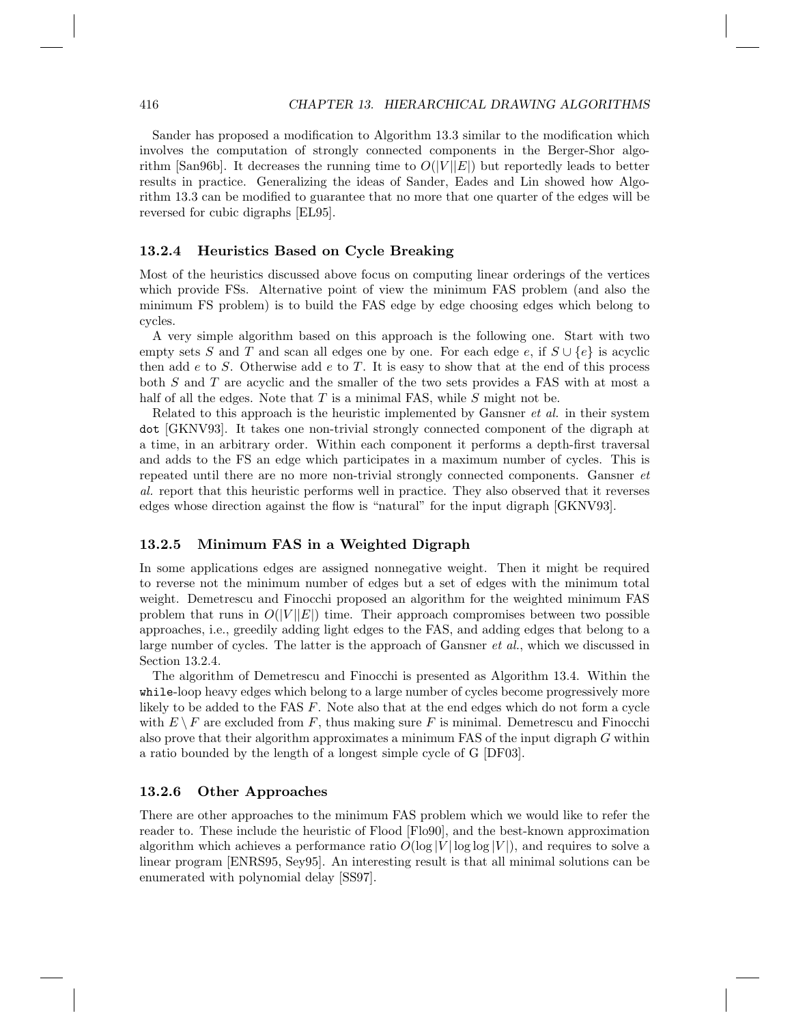Sander has proposed a modification to Algorithm 13.3 similar to the modification which involves the computation of strongly connected components in the Berger-Shor algorithm [San96b]. It decreases the running time to  $O(|V||E|)$  but reportedly leads to better results in practice. Generalizing the ideas of Sander, Eades and Lin showed how Algorithm 13.3 can be modified to guarantee that no more that one quarter of the edges will be reversed for cubic digraphs [EL95].

### 13.2.4 Heuristics Based on Cycle Breaking

Most of the heuristics discussed above focus on computing linear orderings of the vertices which provide FSs. Alternative point of view the minimum FAS problem (and also the minimum FS problem) is to build the FAS edge by edge choosing edges which belong to cycles.

A very simple algorithm based on this approach is the following one. Start with two empty sets S and T and scan all edges one by one. For each edge e, if  $S \cup \{e\}$  is acyclic then add  $e$  to  $S$ . Otherwise add  $e$  to  $T$ . It is easy to show that at the end of this process both S and T are acyclic and the smaller of the two sets provides a FAS with at most a half of all the edges. Note that  $T$  is a minimal FAS, while  $S$  might not be.

Related to this approach is the heuristic implemented by Gansner  $et al.$  in their system dot [GKNV93]. It takes one non-trivial strongly connected component of the digraph at a time, in an arbitrary order. Within each component it performs a depth-first traversal and adds to the FS an edge which participates in a maximum number of cycles. This is repeated until there are no more non-trivial strongly connected components. Gansner et al. report that this heuristic performs well in practice. They also observed that it reverses edges whose direction against the flow is "natural" for the input digraph [GKNV93].

### 13.2.5 Minimum FAS in a Weighted Digraph

In some applications edges are assigned nonnegative weight. Then it might be required to reverse not the minimum number of edges but a set of edges with the minimum total weight. Demetrescu and Finocchi proposed an algorithm for the weighted minimum FAS problem that runs in  $O(|V||E|)$  time. Their approach compromises between two possible approaches, i.e., greedily adding light edges to the FAS, and adding edges that belong to a large number of cycles. The latter is the approach of Gansner et al., which we discussed in Section 13.2.4.

The algorithm of Demetrescu and Finocchi is presented as Algorithm 13.4. Within the while-loop heavy edges which belong to a large number of cycles become progressively more likely to be added to the FAS F. Note also that at the end edges which do not form a cycle with  $E \setminus F$  are excluded from F, thus making sure F is minimal. Demetrescu and Finocchi also prove that their algorithm approximates a minimum FAS of the input digraph G within a ratio bounded by the length of a longest simple cycle of G [DF03].

### 13.2.6 Other Approaches

There are other approaches to the minimum FAS problem which we would like to refer the reader to. These include the heuristic of Flood [Flo90], and the best-known approximation algorithm which achieves a performance ratio  $O(\log |V| \log \log |V|)$ , and requires to solve a linear program [ENRS95, Sey95]. An interesting result is that all minimal solutions can be enumerated with polynomial delay [SS97].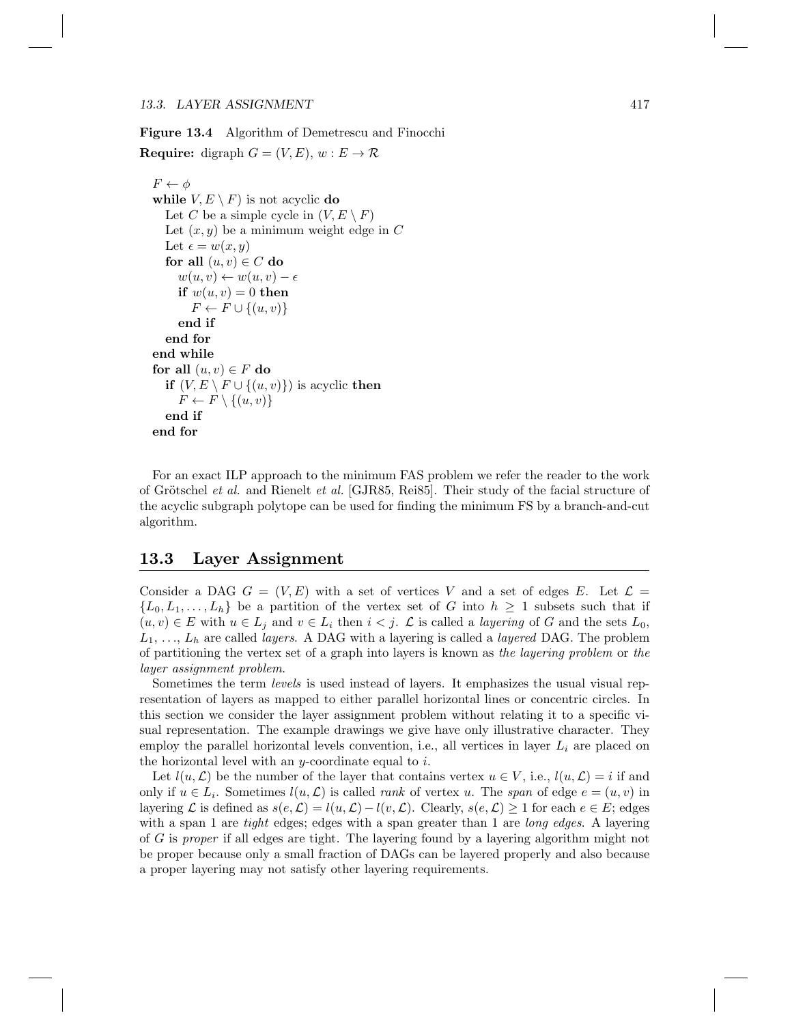### 13.3. LAYER ASSIGNMENT 417

Figure 13.4 Algorithm of Demetrescu and Finocchi **Require:** digraph  $G = (V, E), w : E \rightarrow \mathcal{R}$ 

```
F \leftarrow \phiwhile V, E \setminus F) is not acyclic do
  Let C be a simple cycle in (V, E \setminus F)Let (x, y) be a minimum weight edge in C
  Let \epsilon = w(x, y)for all (u, v) \in C do
     w(u, v) \leftarrow w(u, v) - \epsilonif w(u, v) = 0 then
        F \leftarrow F \cup \{(u, v)\}\end if
  end for
end while
for all (u, v) \in F do
  if (V, E \setminus F \cup \{(u, v)\}) is acyclic then
     F \leftarrow F \setminus \{(u, v)\}\end if
end for
```
For an exact ILP approach to the minimum FAS problem we refer the reader to the work of Grötschel et al. and Rienelt et al. [GJR85, Rei85]. Their study of the facial structure of the acyclic subgraph polytope can be used for finding the minimum FS by a branch-and-cut algorithm.

### 13.3 Layer Assignment

Consider a DAG  $G = (V, E)$  with a set of vertices V and a set of edges E. Let  $\mathcal{L} =$  $\{L_0, L_1, \ldots, L_h\}$  be a partition of the vertex set of G into  $h \geq 1$  subsets such that if  $(u, v) \in E$  with  $u \in L_j$  and  $v \in L_i$  then  $i < j$ .  $\mathcal L$  is called a *layering* of G and the sets  $L_0$ ,  $L_1, \ldots, L_h$  are called *layers*. A DAG with a layering is called a *layered* DAG. The problem of partitioning the vertex set of a graph into layers is known as the layering problem or the layer assignment problem.

Sometimes the term *levels* is used instead of layers. It emphasizes the usual visual representation of layers as mapped to either parallel horizontal lines or concentric circles. In this section we consider the layer assignment problem without relating it to a specific visual representation. The example drawings we give have only illustrative character. They employ the parallel horizontal levels convention, i.e., all vertices in layer  $L_i$  are placed on the horizontal level with an  $y$ -coordinate equal to i.

Let  $l(u, \mathcal{L})$  be the number of the layer that contains vertex  $u \in V$ , i.e.,  $l(u, \mathcal{L}) = i$  if and only if  $u \in L_i$ . Sometimes  $l(u, \mathcal{L})$  is called *rank* of vertex u. The *span* of edge  $e = (u, v)$  in layering L is defined as  $s(e,\mathcal{L}) = l(u,\mathcal{L}) - l(v,\mathcal{L})$ . Clearly,  $s(e,\mathcal{L}) \geq 1$  for each  $e \in E$ ; edges with a span 1 are *tight* edges; edges with a span greater than 1 are *long edges*. A layering of G is proper if all edges are tight. The layering found by a layering algorithm might not be proper because only a small fraction of DAGs can be layered properly and also because a proper layering may not satisfy other layering requirements.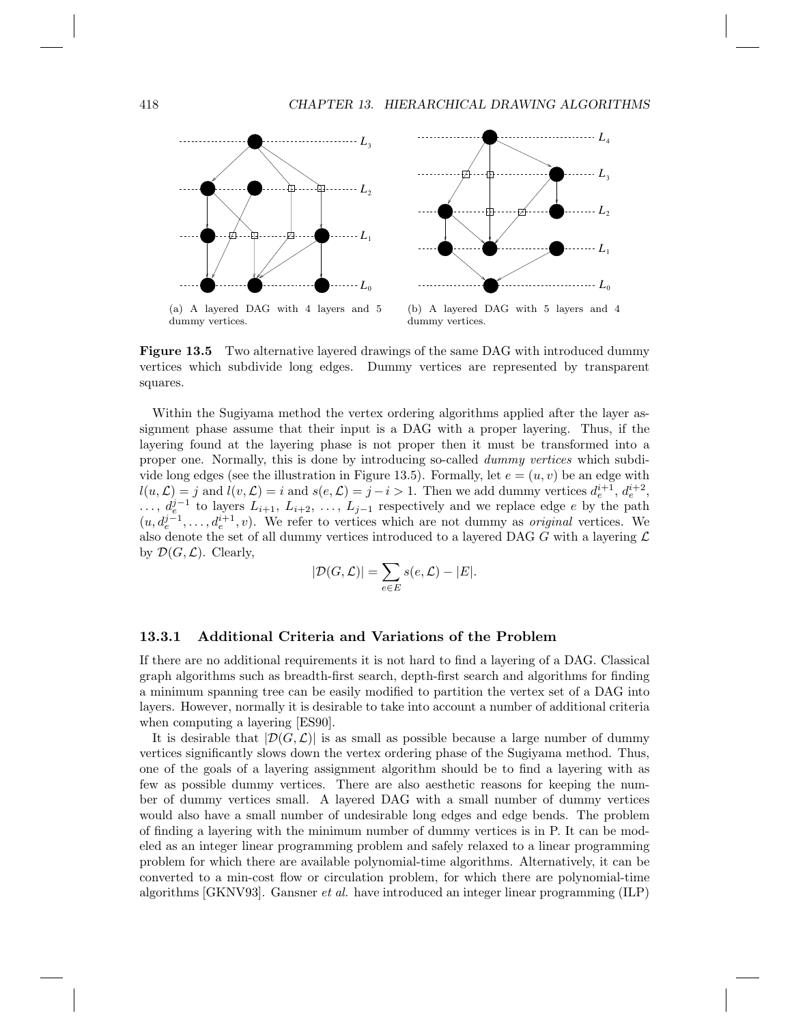

**Figure 13.5** Two alternative layered drawings of the same DAG with introduced dummy vertices which subdivide long edges. Dummy vertices are represented by transparent squares.

Within the Sugiyama method the vertex ordering algorithms applied after the layer assignment phase assume that their input is a DAG with a proper layering. Thus, if the layering found at the layering phase is not proper then it must be transformed into a proper one. Normally, this is done by introducing so-called dummy vertices which subdivide long edges (see the illustration in Figure 13.5). Formally, let  $e = (u, v)$  be an edge with  $l(u, \mathcal{L}) = j$  and  $l(v, \mathcal{L}) = i$  and  $s(e, \mathcal{L}) = j - i > 1$ . Then we add dummy vertices  $d_e^{i+1}$ ,  $d_e^{i+2}$ ,  $\ldots, d_e^{j-1}$  to layers  $L_{i+1}, L_{i+2}, \ldots, L_{j-1}$  respectively and we replace edge e by the path  $(u, d_e^{j-1}, \ldots, d_e^{i+1}, v)$ . We refer to vertices which are not dummy as *original* vertices. We also denote the set of all dummy vertices introduced to a layered DAG G with a layering  $\mathcal L$ by  $\mathcal{D}(G,\mathcal{L})$ . Clearly,

$$
|\mathcal{D}(G,\mathcal{L})| = \sum_{e \in E} s(e,\mathcal{L}) - |E|.
$$

### 13.3.1 Additional Criteria and Variations of the Problem

If there are no additional requirements it is not hard to find a layering of a DAG. Classical graph algorithms such as breadth-first search, depth-first search and algorithms for finding a minimum spanning tree can be easily modified to partition the vertex set of a DAG into layers. However, normally it is desirable to take into account a number of additional criteria when computing a layering [ES90].

It is desirable that  $|\mathcal{D}(G,\mathcal{L})|$  is as small as possible because a large number of dummy vertices significantly slows down the vertex ordering phase of the Sugiyama method. Thus, one of the goals of a layering assignment algorithm should be to find a layering with as few as possible dummy vertices. There are also aesthetic reasons for keeping the number of dummy vertices small. A layered DAG with a small number of dummy vertices would also have a small number of undesirable long edges and edge bends. The problem of finding a layering with the minimum number of dummy vertices is in P. It can be modeled as an integer linear programming problem and safely relaxed to a linear programming problem for which there are available polynomial-time algorithms. Alternatively, it can be converted to a min-cost flow or circulation problem, for which there are polynomial-time algorithms [GKNV93]. Gansner *et al.* have introduced an integer linear programming  $(\text{ILP})$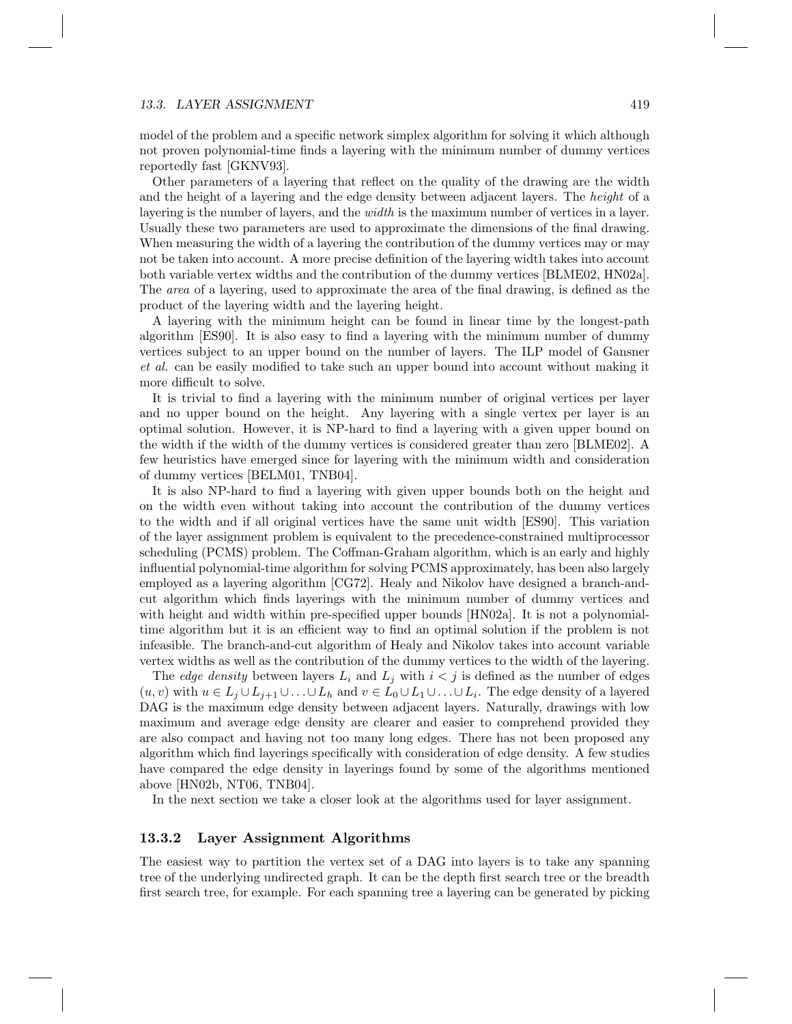### 13.3. LAYER ASSIGNMENT 419

model of the problem and a specific network simplex algorithm for solving it which although not proven polynomial-time finds a layering with the minimum number of dummy vertices reportedly fast [GKNV93].

Other parameters of a layering that reflect on the quality of the drawing are the width and the height of a layering and the edge density between adjacent layers. The height of a layering is the number of layers, and the *width* is the maximum number of vertices in a layer. Usually these two parameters are used to approximate the dimensions of the final drawing. When measuring the width of a layering the contribution of the dummy vertices may or may not be taken into account. A more precise definition of the layering width takes into account both variable vertex widths and the contribution of the dummy vertices [BLME02, HN02a]. The area of a layering, used to approximate the area of the final drawing, is defined as the product of the layering width and the layering height.

A layering with the minimum height can be found in linear time by the longest-path algorithm [ES90]. It is also easy to find a layering with the minimum number of dummy vertices subject to an upper bound on the number of layers. The ILP model of Gansner et al. can be easily modified to take such an upper bound into account without making it more difficult to solve.

It is trivial to find a layering with the minimum number of original vertices per layer and no upper bound on the height. Any layering with a single vertex per layer is an optimal solution. However, it is NP-hard to find a layering with a given upper bound on the width if the width of the dummy vertices is considered greater than zero [BLME02]. A few heuristics have emerged since for layering with the minimum width and consideration of dummy vertices [BELM01, TNB04].

It is also NP-hard to find a layering with given upper bounds both on the height and on the width even without taking into account the contribution of the dummy vertices to the width and if all original vertices have the same unit width [ES90]. This variation of the layer assignment problem is equivalent to the precedence-constrained multiprocessor scheduling (PCMS) problem. The Coffman-Graham algorithm, which is an early and highly influential polynomial-time algorithm for solving PCMS approximately, has been also largely employed as a layering algorithm [CG72]. Healy and Nikolov have designed a branch-andcut algorithm which finds layerings with the minimum number of dummy vertices and with height and width within pre-specified upper bounds [HN02a]. It is not a polynomialtime algorithm but it is an efficient way to find an optimal solution if the problem is not infeasible. The branch-and-cut algorithm of Healy and Nikolov takes into account variable vertex widths as well as the contribution of the dummy vertices to the width of the layering.

The *edge density* between layers  $L_i$  and  $L_j$  with  $i < j$  is defined as the number of edges  $(u, v)$  with  $u \in L_j \cup L_{j+1} \cup \ldots \cup L_h$  and  $v \in L_0 \cup L_1 \cup \ldots \cup L_i$ . The edge density of a layered DAG is the maximum edge density between adjacent layers. Naturally, drawings with low maximum and average edge density are clearer and easier to comprehend provided they are also compact and having not too many long edges. There has not been proposed any algorithm which find layerings specifically with consideration of edge density. A few studies have compared the edge density in layerings found by some of the algorithms mentioned above [HN02b, NT06, TNB04].

In the next section we take a closer look at the algorithms used for layer assignment.

### 13.3.2 Layer Assignment Algorithms

The easiest way to partition the vertex set of a DAG into layers is to take any spanning tree of the underlying undirected graph. It can be the depth first search tree or the breadth first search tree, for example. For each spanning tree a layering can be generated by picking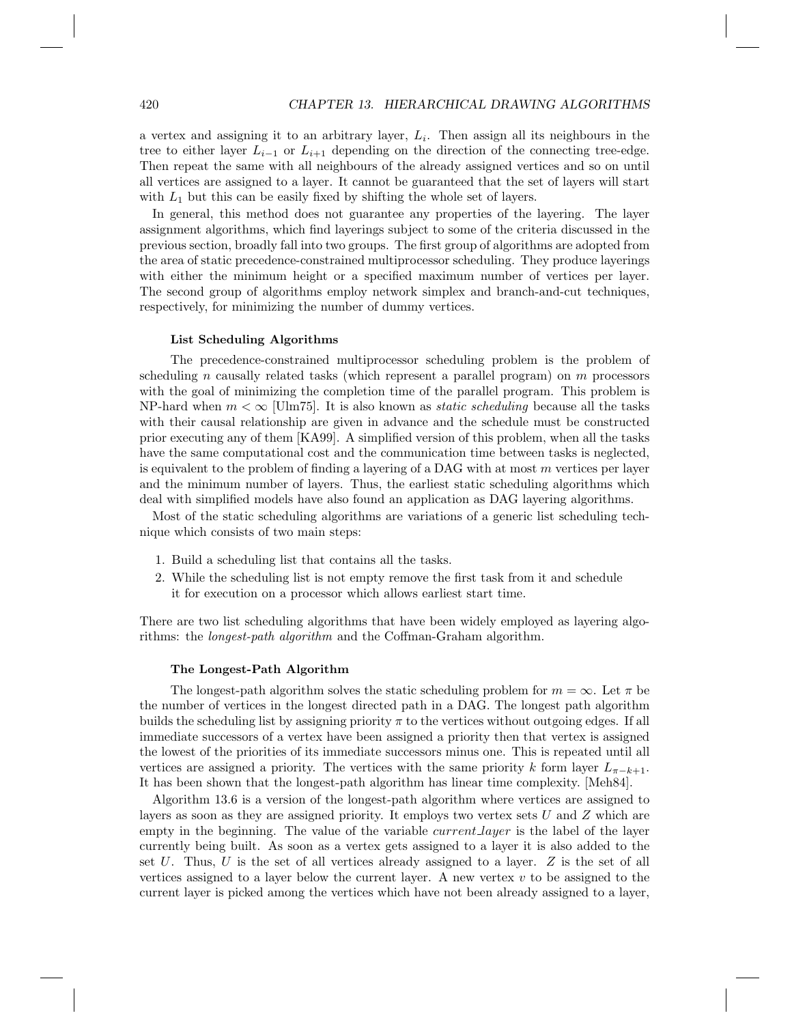a vertex and assigning it to an arbitrary layer,  $L<sub>i</sub>$ . Then assign all its neighbours in the tree to either layer  $L_{i-1}$  or  $L_{i+1}$  depending on the direction of the connecting tree-edge. Then repeat the same with all neighbours of the already assigned vertices and so on until all vertices are assigned to a layer. It cannot be guaranteed that the set of layers will start with  $L_1$  but this can be easily fixed by shifting the whole set of layers.

In general, this method does not guarantee any properties of the layering. The layer assignment algorithms, which find layerings subject to some of the criteria discussed in the previous section, broadly fall into two groups. The first group of algorithms are adopted from the area of static precedence-constrained multiprocessor scheduling. They produce layerings with either the minimum height or a specified maximum number of vertices per layer. The second group of algorithms employ network simplex and branch-and-cut techniques, respectively, for minimizing the number of dummy vertices.

### List Scheduling Algorithms

The precedence-constrained multiprocessor scheduling problem is the problem of scheduling n causally related tasks (which represent a parallel program) on  $m$  processors with the goal of minimizing the completion time of the parallel program. This problem is NP-hard when  $m < \infty$  [Ulm75]. It is also known as *static scheduling* because all the tasks with their causal relationship are given in advance and the schedule must be constructed prior executing any of them [KA99]. A simplified version of this problem, when all the tasks have the same computational cost and the communication time between tasks is neglected, is equivalent to the problem of finding a layering of a DAG with at most  $m$  vertices per layer and the minimum number of layers. Thus, the earliest static scheduling algorithms which deal with simplified models have also found an application as DAG layering algorithms.

Most of the static scheduling algorithms are variations of a generic list scheduling technique which consists of two main steps:

- 1. Build a scheduling list that contains all the tasks.
- 2. While the scheduling list is not empty remove the first task from it and schedule it for execution on a processor which allows earliest start time.

There are two list scheduling algorithms that have been widely employed as layering algorithms: the longest-path algorithm and the Coffman-Graham algorithm.

### The Longest-Path Algorithm

The longest-path algorithm solves the static scheduling problem for  $m = \infty$ . Let  $\pi$  be the number of vertices in the longest directed path in a DAG. The longest path algorithm builds the scheduling list by assigning priority  $\pi$  to the vertices without outgoing edges. If all immediate successors of a vertex have been assigned a priority then that vertex is assigned the lowest of the priorities of its immediate successors minus one. This is repeated until all vertices are assigned a priority. The vertices with the same priority k form layer  $L_{\pi-k+1}$ . It has been shown that the longest-path algorithm has linear time complexity. [Meh84].

Algorithm 13.6 is a version of the longest-path algorithm where vertices are assigned to layers as soon as they are assigned priority. It employs two vertex sets U and Z which are empty in the beginning. The value of the variable *current layer* is the label of the layer currently being built. As soon as a vertex gets assigned to a layer it is also added to the set U. Thus, U is the set of all vertices already assigned to a layer.  $Z$  is the set of all vertices assigned to a layer below the current layer. A new vertex  $v$  to be assigned to the current layer is picked among the vertices which have not been already assigned to a layer,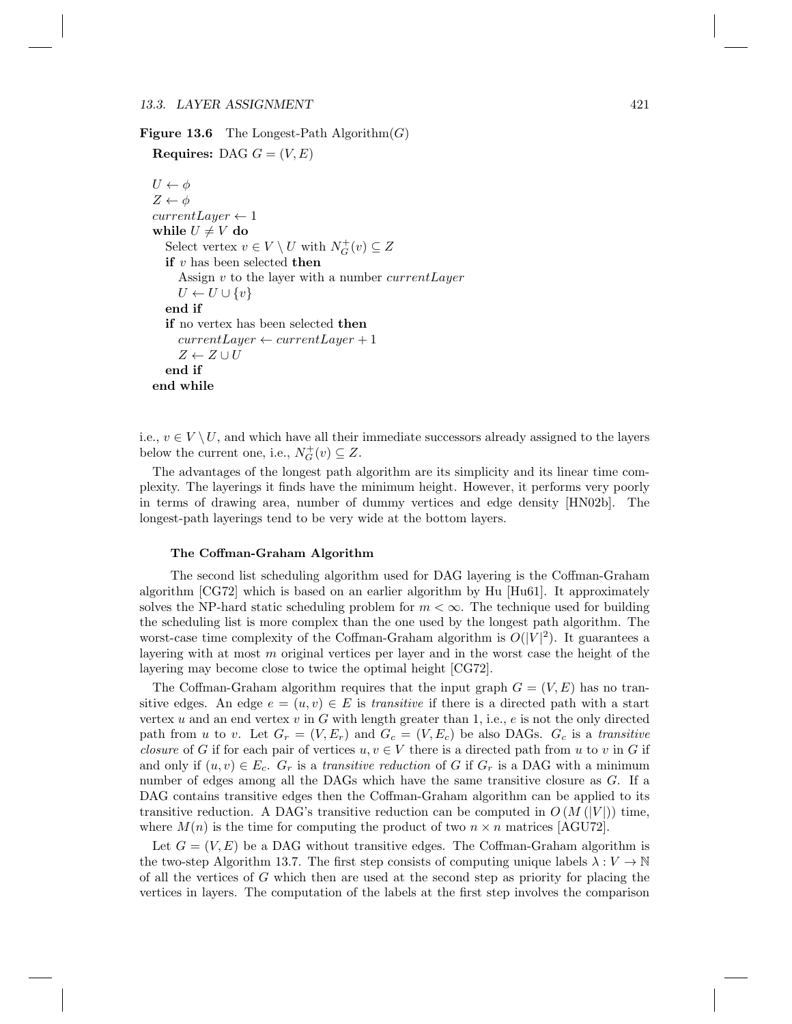**Figure 13.6** The Longest-Path Algorithm $(G)$ 

**Requires:** DAG  $G = (V, E)$ 

```
U \leftarrow \phiZ \leftarrow \phicurrentLayer \leftarrow 1while U \neq V do
   Select vertex v \in V \setminus U with N_G^+(v) \subseteq Zif v has been selected then
     Assign v to the layer with a number currentLayerU \leftarrow U \cup \{v\}end if
  if no vertex has been selected then
     currentLayer \leftarrow currentLayer + 1Z \leftarrow Z \cup Uend if
end while
```
i.e.,  $v \in V \setminus U$ , and which have all their immediate successors already assigned to the layers below the current one, i.e.,  $N_G^+(v) \subseteq Z$ .

The advantages of the longest path algorithm are its simplicity and its linear time complexity. The layerings it finds have the minimum height. However, it performs very poorly in terms of drawing area, number of dummy vertices and edge density [HN02b]. The longest-path layerings tend to be very wide at the bottom layers.

### The Coffman-Graham Algorithm

The second list scheduling algorithm used for DAG layering is the Coffman-Graham algorithm [CG72] which is based on an earlier algorithm by Hu [Hu61]. It approximately solves the NP-hard static scheduling problem for  $m < \infty$ . The technique used for building the scheduling list is more complex than the one used by the longest path algorithm. The worst-case time complexity of the Coffman-Graham algorithm is  $O(|V|^2)$ . It guarantees a layering with at most m original vertices per layer and in the worst case the height of the layering may become close to twice the optimal height [CG72].

The Coffman-Graham algorithm requires that the input graph  $G = (V, E)$  has no transitive edges. An edge  $e = (u, v) \in E$  is *transitive* if there is a directed path with a start vertex u and an end vertex v in G with length greater than 1, i.e., e is not the only directed path from u to v. Let  $G_r = (V, E_r)$  and  $G_c = (V, E_c)$  be also DAGs.  $G_c$  is a transitive *closure* of G if for each pair of vertices  $u, v \in V$  there is a directed path from u to v in G if and only if  $(u, v) \in E_c$ .  $G_r$  is a transitive reduction of G if  $G_r$  is a DAG with a minimum number of edges among all the DAGs which have the same transitive closure as G. If a DAG contains transitive edges then the Coffman-Graham algorithm can be applied to its transitive reduction. A DAG's transitive reduction can be computed in  $O(M(|V|))$  time, where  $M(n)$  is the time for computing the product of two  $n \times n$  matrices [AGU72].

Let  $G = (V, E)$  be a DAG without transitive edges. The Coffman-Graham algorithm is the two-step Algorithm 13.7. The first step consists of computing unique labels  $\lambda: V \to \mathbb{N}$ of all the vertices of G which then are used at the second step as priority for placing the vertices in layers. The computation of the labels at the first step involves the comparison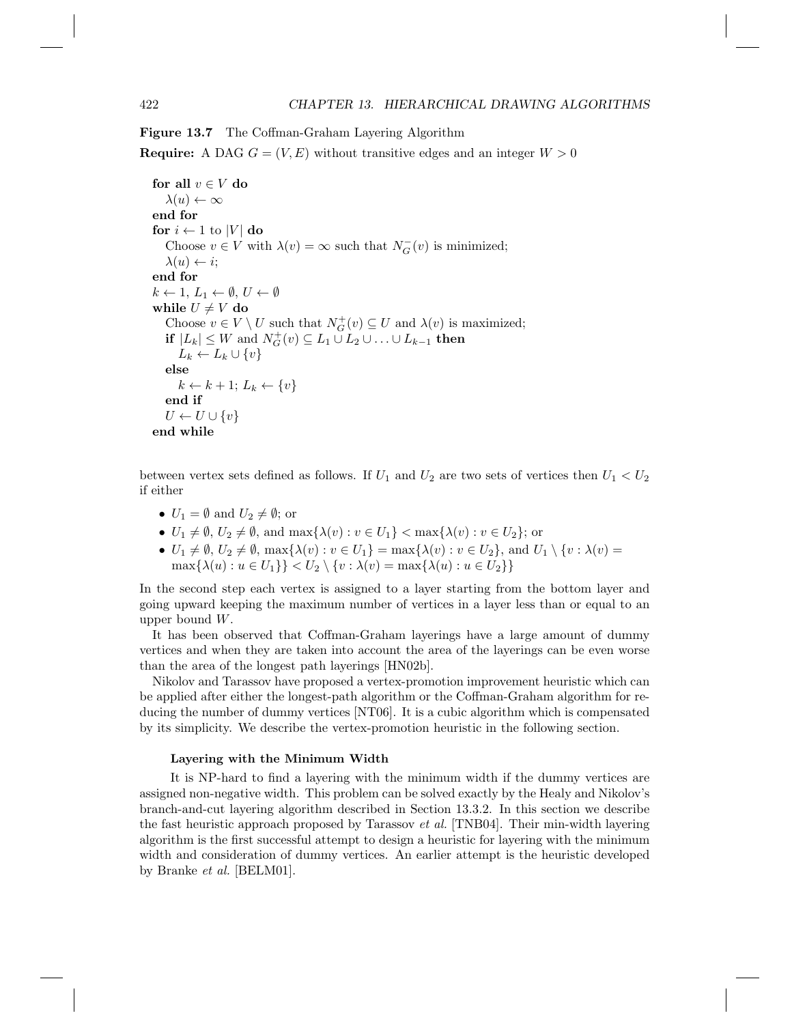Figure 13.7 The Coffman-Graham Layering Algorithm

**Require:** A DAG  $G = (V, E)$  without transitive edges and an integer  $W > 0$ 

```
for all v \in V do
   \lambda(u) \leftarrow \inftyend for
for i \leftarrow 1 to |V| do
    Choose v \in V with \lambda(v) = \infty such that N_G^-(v) is minimized;
   \lambda(u) \leftarrow i;
end for
k \leftarrow 1, L_1 \leftarrow \emptyset, U \leftarrow \emptysetwhile U \neq V do
    Choose v \in V \setminus U such that N_G^+(v) \subseteq U and \lambda(v) is maximized;
    if |L_k| \leq W and N_G^+(v) \subseteq L_1 \cup L_2 \cup \ldots \cup L_{k-1} then
       L_k \leftarrow L_k \cup \{v\}else
       k \leftarrow k + 1; L_k \leftarrow \{v\}end if
   U \leftarrow U \cup \{v\}end while
```
between vertex sets defined as follows. If  $U_1$  and  $U_2$  are two sets of vertices then  $U_1 < U_2$ if either

- $U_1 = \emptyset$  and  $U_2 \neq \emptyset$ ; or
- $U_1 \neq \emptyset$ ,  $U_2 \neq \emptyset$ , and  $\max\{\lambda(v) : v \in U_1\} < \max\{\lambda(v) : v \in U_2\}$ ; or
- $U_1 \neq \emptyset$ ,  $U_2 \neq \emptyset$ ,  $\max{\lambda(v) : v \in U_1} = \max{\lambda(v) : v \in U_2}$ , and  $U_1 \setminus \{v : \lambda(v) =$  $\max\{\lambda(u):u\in U_1\}\}< U_2\setminus\{v:\lambda(v)=\max\{\lambda(u):u\in U_2\}\}\$

In the second step each vertex is assigned to a layer starting from the bottom layer and going upward keeping the maximum number of vertices in a layer less than or equal to an upper bound W.

It has been observed that Coffman-Graham layerings have a large amount of dummy vertices and when they are taken into account the area of the layerings can be even worse than the area of the longest path layerings [HN02b].

Nikolov and Tarassov have proposed a vertex-promotion improvement heuristic which can be applied after either the longest-path algorithm or the Coffman-Graham algorithm for reducing the number of dummy vertices [NT06]. It is a cubic algorithm which is compensated by its simplicity. We describe the vertex-promotion heuristic in the following section.

### Layering with the Minimum Width

It is NP-hard to find a layering with the minimum width if the dummy vertices are assigned non-negative width. This problem can be solved exactly by the Healy and Nikolov's branch-and-cut layering algorithm described in Section 13.3.2. In this section we describe the fast heuristic approach proposed by Tarassov *et al.* [TNB04]. Their min-width layering algorithm is the first successful attempt to design a heuristic for layering with the minimum width and consideration of dummy vertices. An earlier attempt is the heuristic developed by Branke et al. [BELM01].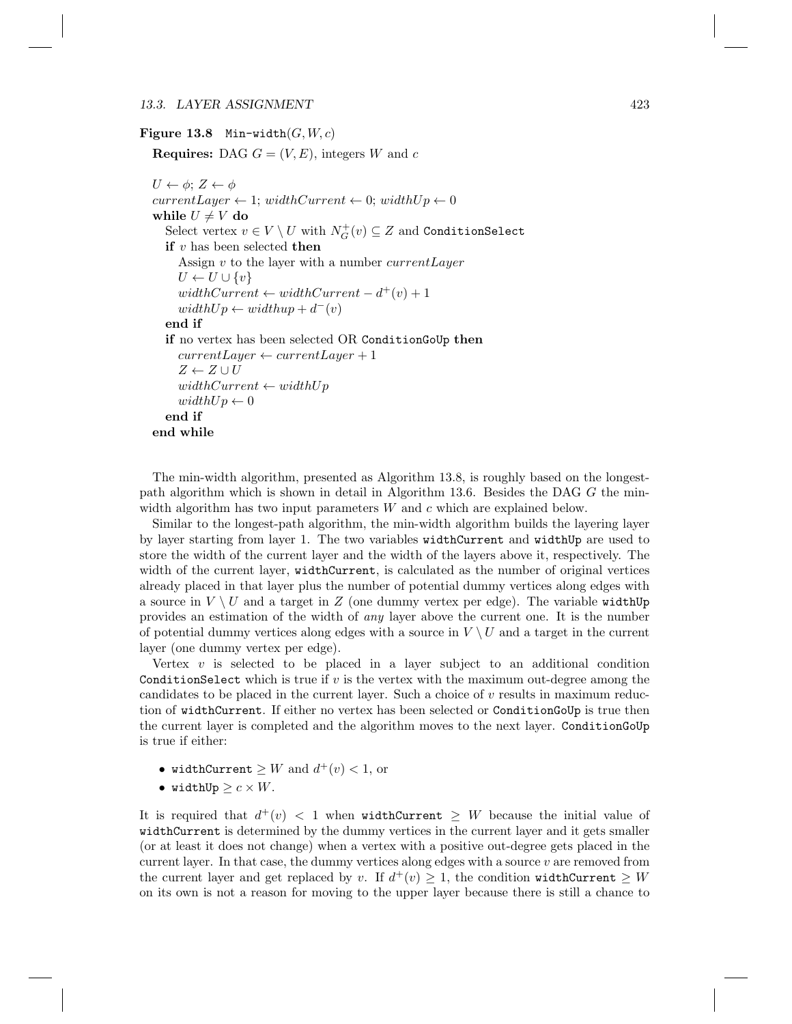### 13.3. LAYER ASSIGNMENT 423

```
Figure 13.8 Min-width(G, W, c)Requires: DAG G = (V, E), integers W and c
  U \leftarrow \phi; Z \leftarrow \phicurrentLayer \leftarrow 1; widthCurrent \leftarrow 0; widthUp \leftarrow 0while U \neq V do
     Select vertex v \in V \setminus U with N_G^+(v) \subseteq Z and ConditionSelect
     if v has been selected then
       Assign v to the layer with a number currentLayerU \leftarrow U \cup \{v\}widthCurrent \leftarrow widthCurrent - d^+(v) + 1widthUp \leftarrow widthup + d^-(v)end if
     if no vertex has been selected OR ConditionGoUp then
       currentLayer \leftarrow currentLayer + 1Z \leftarrow Z \cup UwidthCurrent \leftarrow widthUpwidthUp \leftarrow 0end if
  end while
```
The min-width algorithm, presented as Algorithm 13.8, is roughly based on the longestpath algorithm which is shown in detail in Algorithm 13.6. Besides the DAG G the minwidth algorithm has two input parameters  $W$  and  $c$  which are explained below.

Similar to the longest-path algorithm, the min-width algorithm builds the layering layer by layer starting from layer 1. The two variables widthCurrent and widthUp are used to store the width of the current layer and the width of the layers above it, respectively. The width of the current layer, widthCurrent, is calculated as the number of original vertices already placed in that layer plus the number of potential dummy vertices along edges with a source in  $V \setminus U$  and a target in Z (one dummy vertex per edge). The variable widthUp provides an estimation of the width of any layer above the current one. It is the number of potential dummy vertices along edges with a source in  $V \setminus U$  and a target in the current layer (one dummy vertex per edge).

Vertex  $v$  is selected to be placed in a layer subject to an additional condition ConditionSelect which is true if  $v$  is the vertex with the maximum out-degree among the candidates to be placed in the current layer. Such a choice of  $v$  results in maximum reduction of widthCurrent. If either no vertex has been selected or ConditionGoUp is true then the current layer is completed and the algorithm moves to the next layer. ConditionGoUp is true if either:

- widthCurrent  $\geq W$  and  $d^+(v) < 1$ , or
- widthUp  $\geq c \times W$ .

It is required that  $d^+(v) < 1$  when widthCurrent  $\geq W$  because the initial value of widthCurrent is determined by the dummy vertices in the current layer and it gets smaller (or at least it does not change) when a vertex with a positive out-degree gets placed in the current layer. In that case, the dummy vertices along edges with a source  $v$  are removed from the current layer and get replaced by v. If  $d^+(v) \geq 1$ , the condition widthCurrent  $\geq W$ on its own is not a reason for moving to the upper layer because there is still a chance to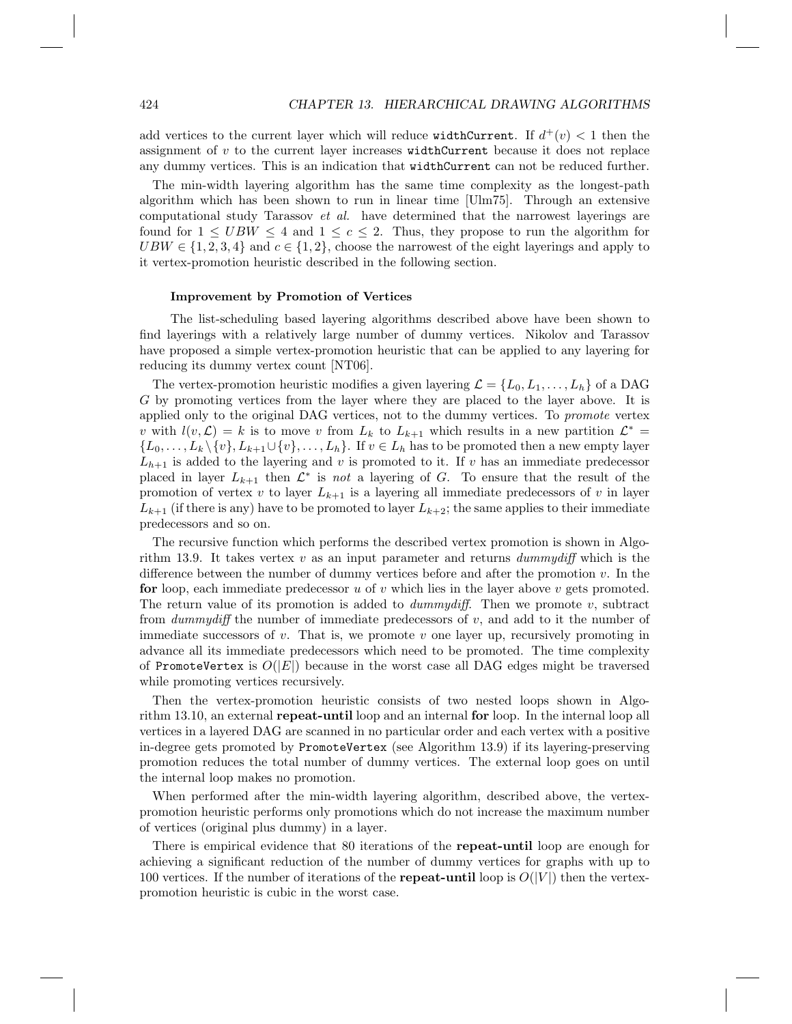add vertices to the current layer which will reduce widthCurrent. If  $d^+(v) < 1$  then the assignment of v to the current layer increases widthCurrent because it does not replace any dummy vertices. This is an indication that widthCurrent can not be reduced further.

The min-width layering algorithm has the same time complexity as the longest-path algorithm which has been shown to run in linear time [Ulm75]. Through an extensive computational study Tarassov et al. have determined that the narrowest layerings are found for  $1 \leq UBW \leq 4$  and  $1 \leq c \leq 2$ . Thus, they propose to run the algorithm for  $UBW \in \{1, 2, 3, 4\}$  and  $c \in \{1, 2\}$ , choose the narrowest of the eight layerings and apply to it vertex-promotion heuristic described in the following section.

### Improvement by Promotion of Vertices

The list-scheduling based layering algorithms described above have been shown to find layerings with a relatively large number of dummy vertices. Nikolov and Tarassov have proposed a simple vertex-promotion heuristic that can be applied to any layering for reducing its dummy vertex count [NT06].

The vertex-promotion heuristic modifies a given layering  $\mathcal{L} = \{L_0, L_1, \ldots, L_h\}$  of a DAG G by promoting vertices from the layer where they are placed to the layer above. It is applied only to the original DAG vertices, not to the dummy vertices. To *promote* vertex v with  $l(v, \mathcal{L}) = k$  is to move v from  $L_k$  to  $L_{k+1}$  which results in a new partition  $\mathcal{L}^* =$  $\{L_0, \ldots, L_k \setminus \{v\}, L_{k+1} \cup \{v\}, \ldots, L_h\}.$  If  $v \in L_h$  has to be promoted then a new empty layer  $L_{h+1}$  is added to the layering and v is promoted to it. If v has an immediate predecessor placed in layer  $L_{k+1}$  then  $\mathcal{L}^*$  is not a layering of G. To ensure that the result of the promotion of vertex v to layer  $L_{k+1}$  is a layering all immediate predecessors of v in layer  $L_{k+1}$  (if there is any) have to be promoted to layer  $L_{k+2}$ ; the same applies to their immediate predecessors and so on.

The recursive function which performs the described vertex promotion is shown in Algorithm 13.9. It takes vertex v as an input parameter and returns *dummydiff* which is the difference between the number of dummy vertices before and after the promotion  $v$ . In the for loop, each immediate predecessor  $u$  of  $v$  which lies in the layer above  $v$  gets promoted. The return value of its promotion is added to *dummydiff*. Then we promote  $v$ , subtract from *dummydiff* the number of immediate predecessors of  $v$ , and add to it the number of immediate successors of  $v$ . That is, we promote  $v$  one layer up, recursively promoting in advance all its immediate predecessors which need to be promoted. The time complexity of PromoteVertex is  $O(|E|)$  because in the worst case all DAG edges might be traversed while promoting vertices recursively.

Then the vertex-promotion heuristic consists of two nested loops shown in Algorithm 13.10, an external **repeat-until** loop and an internal **for** loop. In the internal loop all vertices in a layered DAG are scanned in no particular order and each vertex with a positive in-degree gets promoted by PromoteVertex (see Algorithm 13.9) if its layering-preserving promotion reduces the total number of dummy vertices. The external loop goes on until the internal loop makes no promotion.

When performed after the min-width layering algorithm, described above, the vertexpromotion heuristic performs only promotions which do not increase the maximum number of vertices (original plus dummy) in a layer.

There is empirical evidence that 80 iterations of the **repeat-until** loop are enough for achieving a significant reduction of the number of dummy vertices for graphs with up to 100 vertices. If the number of iterations of the **repeat-until** loop is  $O(|V|)$  then the vertexpromotion heuristic is cubic in the worst case.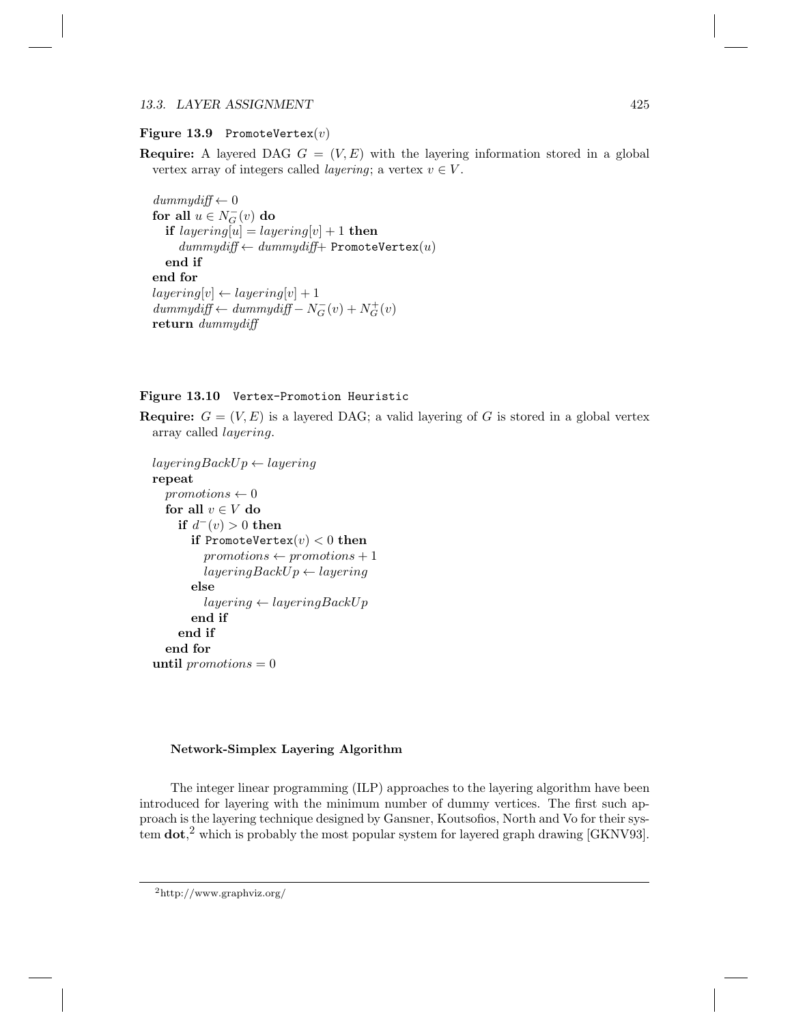### 13.3. LAYER ASSIGNMENT 425

### Figure 13.9 PromoteVertex $(v)$

**Require:** A layered DAG  $G = (V, E)$  with the layering information stored in a global vertex array of integers called *layering*; a vertex  $v \in V$ .

 $dummydiff \leftarrow 0$ for all  $u \in N_G^-(v)$  do if  $layering[u] = layering[v] + 1$  then  $dummydiff \leftarrow dummydiff +$  PromoteVertex(u) end if end for  $layering[v] \leftarrow layering[v] + 1$  $dummy diff \leftarrow dummy diff - N_G^-(v) + N_G^+(v)$ return dummydiff

### Figure 13.10 Vertex-Promotion Heuristic

**Require:**  $G = (V, E)$  is a layered DAG; a valid layering of G is stored in a global vertex array called layering.

```
layeringBackUp \leftarrow layeringrepeat
  promotions \leftarrow 0for all v \in V do
     if d^-(v) > 0 then
       if PromoteVertex(v) < 0 then
         promotions \leftarrow promotions + 1layeringBackUp \leftarrow layeringelse
         layering \leftarrow layeringBackUpend if
    end if
  end for
until promotions = 0
```
### Network-Simplex Layering Algorithm

The integer linear programming (ILP) approaches to the layering algorithm have been introduced for layering with the minimum number of dummy vertices. The first such approach is the layering technique designed by Gansner, Koutsofios, North and Vo for their system  $dot$ ,  $^2$  which is probably the most popular system for layered graph drawing [GKNV93].

<sup>2</sup>http://www.graphviz.org/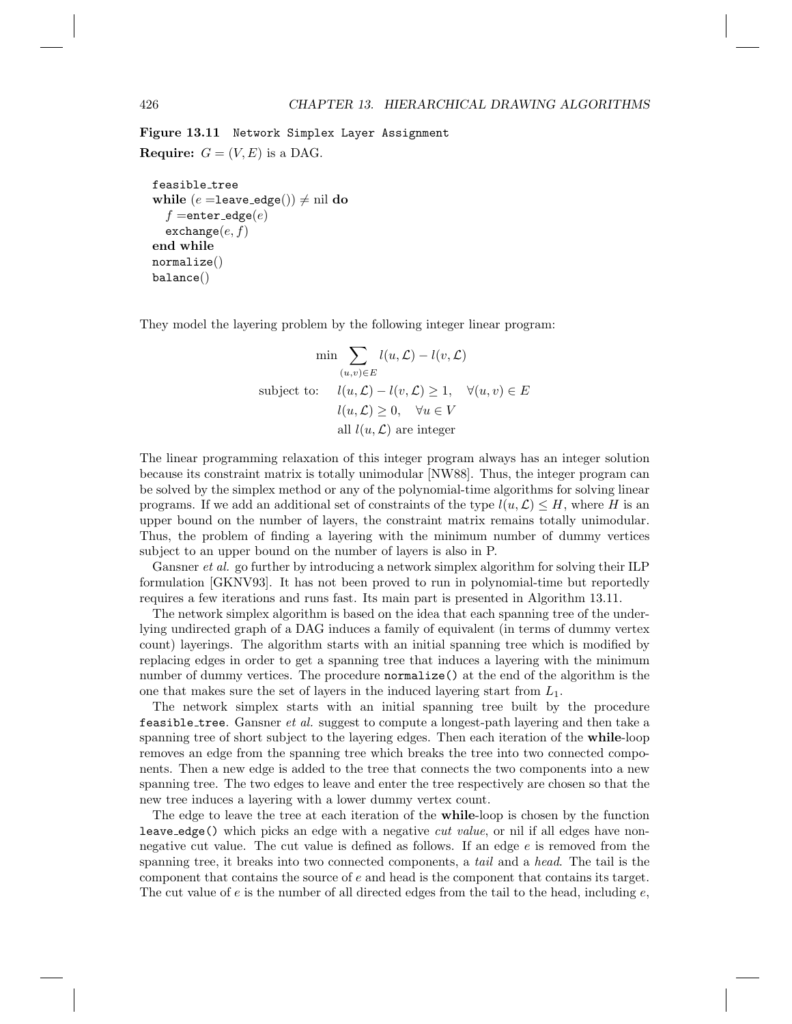Figure 13.11 Network Simplex Layer Assignment

**Require:**  $G = (V, E)$  is a DAG.

feasible tree while  $(e = \text{leave-edge}()) \neq \text{nil}$  do  $f =$ enter\_edge $(e)$  $\texttt{exchange}(e, f)$ end while normalize() balance()

They model the layering problem by the following integer linear program:

$$
\min \sum_{(u,v)\in E} l(u, \mathcal{L}) - l(v, \mathcal{L})
$$
\nsubject to: 
$$
l(u, \mathcal{L}) - l(v, \mathcal{L}) \ge 1, \quad \forall (u, v) \in E
$$
\n
$$
l(u, \mathcal{L}) \ge 0, \quad \forall u \in V
$$
\n
$$
\text{all } l(u, \mathcal{L}) \text{ are integer}
$$

The linear programming relaxation of this integer program always has an integer solution because its constraint matrix is totally unimodular [NW88]. Thus, the integer program can be solved by the simplex method or any of the polynomial-time algorithms for solving linear programs. If we add an additional set of constraints of the type  $l(u, \mathcal{L}) \leq H$ , where H is an upper bound on the number of layers, the constraint matrix remains totally unimodular. Thus, the problem of finding a layering with the minimum number of dummy vertices subject to an upper bound on the number of layers is also in P.

Gansner *et al.* go further by introducing a network simplex algorithm for solving their ILP formulation [GKNV93]. It has not been proved to run in polynomial-time but reportedly requires a few iterations and runs fast. Its main part is presented in Algorithm 13.11.

The network simplex algorithm is based on the idea that each spanning tree of the underlying undirected graph of a DAG induces a family of equivalent (in terms of dummy vertex count) layerings. The algorithm starts with an initial spanning tree which is modified by replacing edges in order to get a spanning tree that induces a layering with the minimum number of dummy vertices. The procedure normalize() at the end of the algorithm is the one that makes sure the set of layers in the induced layering start from  $L_1$ .

The network simplex starts with an initial spanning tree built by the procedure feasible tree. Gansner et al. suggest to compute a longest-path layering and then take a spanning tree of short subject to the layering edges. Then each iteration of the while-loop removes an edge from the spanning tree which breaks the tree into two connected components. Then a new edge is added to the tree that connects the two components into a new spanning tree. The two edges to leave and enter the tree respectively are chosen so that the new tree induces a layering with a lower dummy vertex count.

The edge to leave the tree at each iteration of the while-loop is chosen by the function leave\_edge() which picks an edge with a negative *cut value*, or nil if all edges have nonnegative cut value. The cut value is defined as follows. If an edge  $e$  is removed from the spanning tree, it breaks into two connected components, a *tail* and a *head*. The tail is the component that contains the source of e and head is the component that contains its target. The cut value of  $e$  is the number of all directed edges from the tail to the head, including  $e$ ,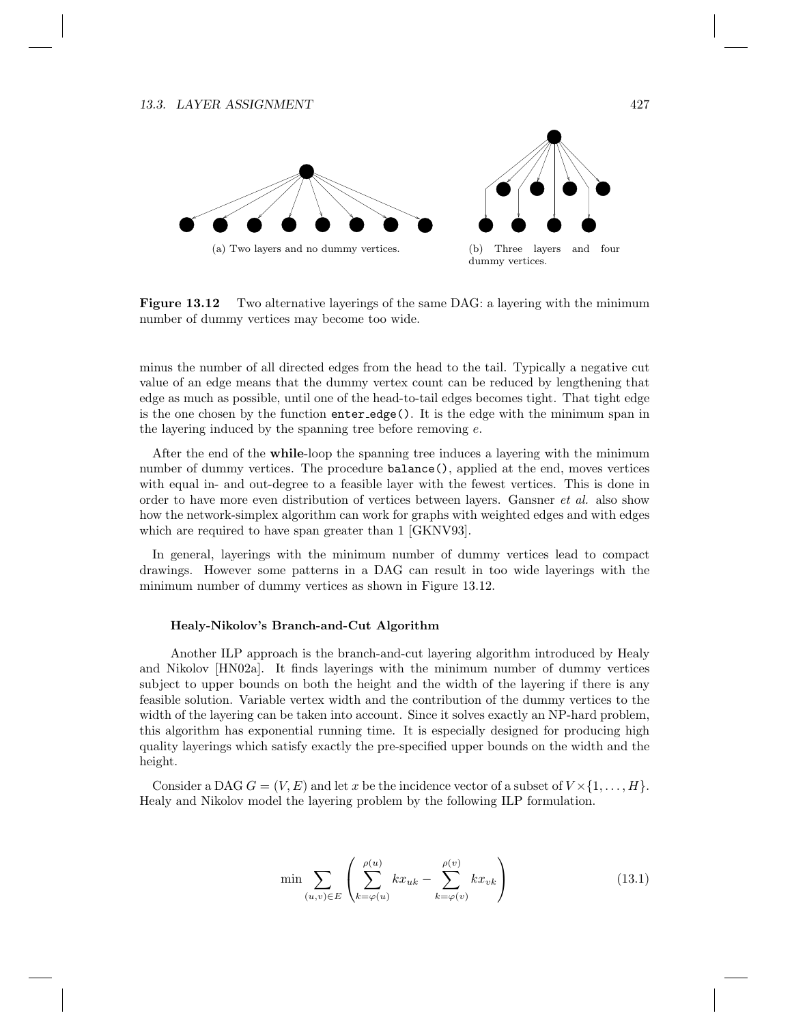

Figure 13.12 Two alternative layerings of the same DAG: a layering with the minimum number of dummy vertices may become too wide.

minus the number of all directed edges from the head to the tail. Typically a negative cut value of an edge means that the dummy vertex count can be reduced by lengthening that edge as much as possible, until one of the head-to-tail edges becomes tight. That tight edge is the one chosen by the function  $enter\_edge()$ . It is the edge with the minimum span in the layering induced by the spanning tree before removing e.

After the end of the while-loop the spanning tree induces a layering with the minimum number of dummy vertices. The procedure **balance**(), applied at the end, moves vertices with equal in- and out-degree to a feasible layer with the fewest vertices. This is done in order to have more even distribution of vertices between layers. Gansner et al. also show how the network-simplex algorithm can work for graphs with weighted edges and with edges which are required to have span greater than 1 [GKNV93].

In general, layerings with the minimum number of dummy vertices lead to compact drawings. However some patterns in a DAG can result in too wide layerings with the minimum number of dummy vertices as shown in Figure 13.12.

### Healy-Nikolov's Branch-and-Cut Algorithm

Another ILP approach is the branch-and-cut layering algorithm introduced by Healy and Nikolov [HN02a]. It finds layerings with the minimum number of dummy vertices subject to upper bounds on both the height and the width of the layering if there is any feasible solution. Variable vertex width and the contribution of the dummy vertices to the width of the layering can be taken into account. Since it solves exactly an NP-hard problem, this algorithm has exponential running time. It is especially designed for producing high quality layerings which satisfy exactly the pre-specified upper bounds on the width and the height.

Consider a DAG  $G = (V, E)$  and let x be the incidence vector of a subset of  $V \times \{1, \ldots, H\}$ . Healy and Nikolov model the layering problem by the following ILP formulation.

$$
\min \sum_{(u,v)\in E} \left( \sum_{k=\varphi(u)}^{\rho(u)} kx_{uk} - \sum_{k=\varphi(v)}^{\rho(v)} kx_{vk} \right) \tag{13.1}
$$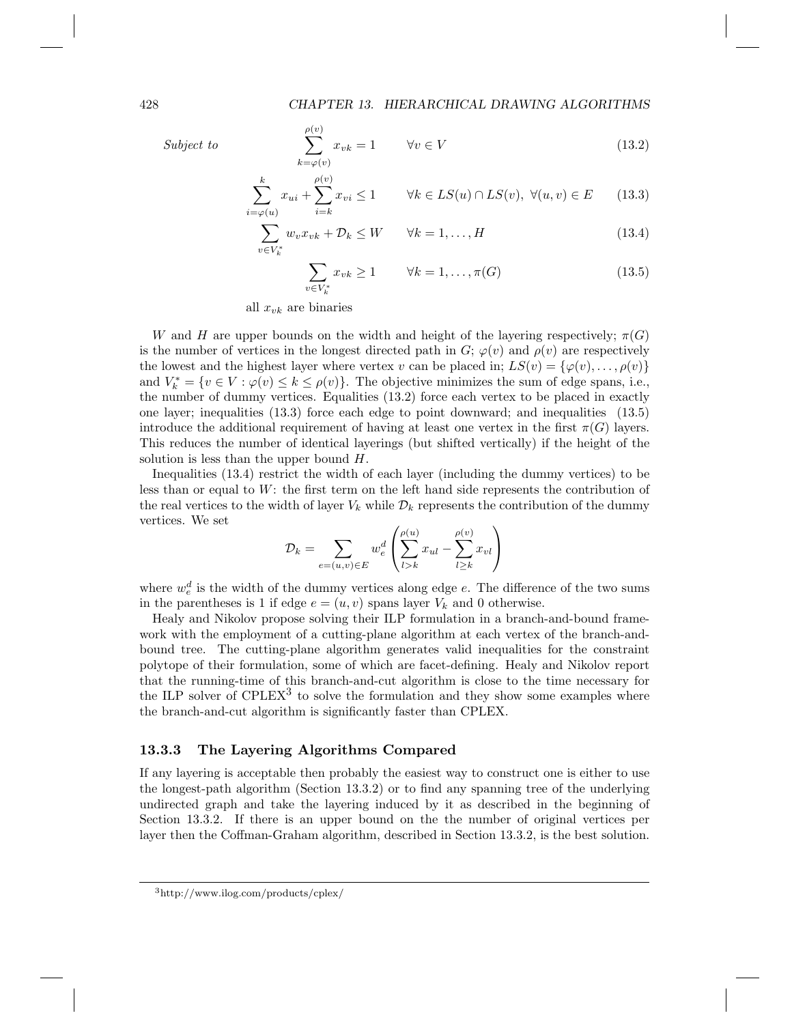428 CHAPTER 13. HIERARCHICAL DRAWING ALGORITHMS

Subject to

$$
\sum_{\substack{e=\omega(v)}}^{\rho(v)} x_{vk} = 1 \qquad \forall v \in V \tag{13.2}
$$

$$
\sum_{i=\varphi(u)}^{k} x_{ui} + \sum_{i=k}^{\rho(v)} x_{vi} \le 1 \qquad \forall k \in LS(u) \cap LS(v), \ \forall (u, v) \in E \tag{13.3}
$$

$$
\sum_{v \in V_k^*} w_v x_{vk} + \mathcal{D}_k \le W \qquad \forall k = 1, \dots, H
$$
\n(13.4)

$$
\sum_{v \in V_k^*} x_{vk} \ge 1 \qquad \forall k = 1, \dots, \pi(G) \tag{13.5}
$$

all  $x_{nk}$  are binaries

 $k-$ 

W and H are upper bounds on the width and height of the layering respectively;  $\pi(G)$ is the number of vertices in the longest directed path in  $G$ ;  $\varphi(v)$  and  $\rho(v)$  are respectively the lowest and the highest layer where vertex v can be placed in;  $LS(v) = \{\varphi(v), \ldots, \rho(v)\}\$ and  $V_k^* = \{v \in V : \varphi(v) \leq k \leq \rho(v)\}\$ . The objective minimizes the sum of edge spans, i.e., the number of dummy vertices. Equalities (13.2) force each vertex to be placed in exactly one layer; inequalities (13.3) force each edge to point downward; and inequalities (13.5) introduce the additional requirement of having at least one vertex in the first  $\pi(G)$  layers. This reduces the number of identical layerings (but shifted vertically) if the height of the solution is less than the upper bound H.

Inequalities (13.4) restrict the width of each layer (including the dummy vertices) to be less than or equal to  $W$ : the first term on the left hand side represents the contribution of the real vertices to the width of layer  $V_k$  while  $\mathcal{D}_k$  represents the contribution of the dummy vertices. We set

$$
\mathcal{D}_k = \sum_{e=(u,v)\in E} w_e^d \left( \sum_{l>k}^{\rho(u)} x_{ul} - \sum_{l\geq k}^{\rho(v)} x_{vl} \right)
$$

where  $w_e^d$  is the width of the dummy vertices along edge e. The difference of the two sums in the parentheses is 1 if edge  $e = (u, v)$  spans layer  $V_k$  and 0 otherwise.

Healy and Nikolov propose solving their ILP formulation in a branch-and-bound framework with the employment of a cutting-plane algorithm at each vertex of the branch-andbound tree. The cutting-plane algorithm generates valid inequalities for the constraint polytope of their formulation, some of which are facet-defining. Healy and Nikolov report that the running-time of this branch-and-cut algorithm is close to the time necessary for the ILP solver of  $\text{CPLEX}^3$  to solve the formulation and they show some examples where the branch-and-cut algorithm is significantly faster than CPLEX.

### 13.3.3 The Layering Algorithms Compared

If any layering is acceptable then probably the easiest way to construct one is either to use the longest-path algorithm (Section 13.3.2) or to find any spanning tree of the underlying undirected graph and take the layering induced by it as described in the beginning of Section 13.3.2. If there is an upper bound on the the number of original vertices per layer then the Coffman-Graham algorithm, described in Section 13.3.2, is the best solution.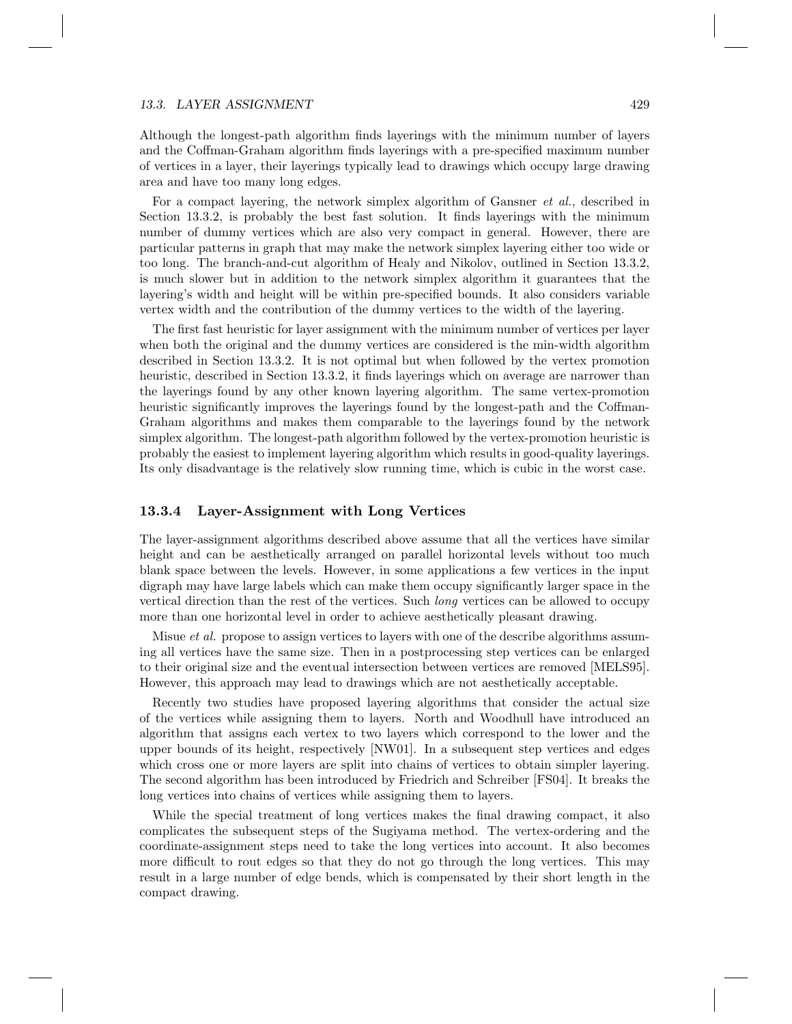### 13.3. LAYER ASSIGNMENT 429

Although the longest-path algorithm finds layerings with the minimum number of layers and the Coffman-Graham algorithm finds layerings with a pre-specified maximum number of vertices in a layer, their layerings typically lead to drawings which occupy large drawing area and have too many long edges.

For a compact layering, the network simplex algorithm of Gansner *et al.*, described in Section 13.3.2, is probably the best fast solution. It finds layerings with the minimum number of dummy vertices which are also very compact in general. However, there are particular patterns in graph that may make the network simplex layering either too wide or too long. The branch-and-cut algorithm of Healy and Nikolov, outlined in Section 13.3.2, is much slower but in addition to the network simplex algorithm it guarantees that the layering's width and height will be within pre-specified bounds. It also considers variable vertex width and the contribution of the dummy vertices to the width of the layering.

The first fast heuristic for layer assignment with the minimum number of vertices per layer when both the original and the dummy vertices are considered is the min-width algorithm described in Section 13.3.2. It is not optimal but when followed by the vertex promotion heuristic, described in Section 13.3.2, it finds layerings which on average are narrower than the layerings found by any other known layering algorithm. The same vertex-promotion heuristic significantly improves the layerings found by the longest-path and the Coffman-Graham algorithms and makes them comparable to the layerings found by the network simplex algorithm. The longest-path algorithm followed by the vertex-promotion heuristic is probably the easiest to implement layering algorithm which results in good-quality layerings. Its only disadvantage is the relatively slow running time, which is cubic in the worst case.

### 13.3.4 Layer-Assignment with Long Vertices

The layer-assignment algorithms described above assume that all the vertices have similar height and can be aesthetically arranged on parallel horizontal levels without too much blank space between the levels. However, in some applications a few vertices in the input digraph may have large labels which can make them occupy significantly larger space in the vertical direction than the rest of the vertices. Such long vertices can be allowed to occupy more than one horizontal level in order to achieve aesthetically pleasant drawing.

Misue *et al.* propose to assign vertices to layers with one of the describe algorithms assuming all vertices have the same size. Then in a postprocessing step vertices can be enlarged to their original size and the eventual intersection between vertices are removed [MELS95]. However, this approach may lead to drawings which are not aesthetically acceptable.

Recently two studies have proposed layering algorithms that consider the actual size of the vertices while assigning them to layers. North and Woodhull have introduced an algorithm that assigns each vertex to two layers which correspond to the lower and the upper bounds of its height, respectively [NW01]. In a subsequent step vertices and edges which cross one or more layers are split into chains of vertices to obtain simpler layering. The second algorithm has been introduced by Friedrich and Schreiber [FS04]. It breaks the long vertices into chains of vertices while assigning them to layers.

While the special treatment of long vertices makes the final drawing compact, it also complicates the subsequent steps of the Sugiyama method. The vertex-ordering and the coordinate-assignment steps need to take the long vertices into account. It also becomes more difficult to rout edges so that they do not go through the long vertices. This may result in a large number of edge bends, which is compensated by their short length in the compact drawing.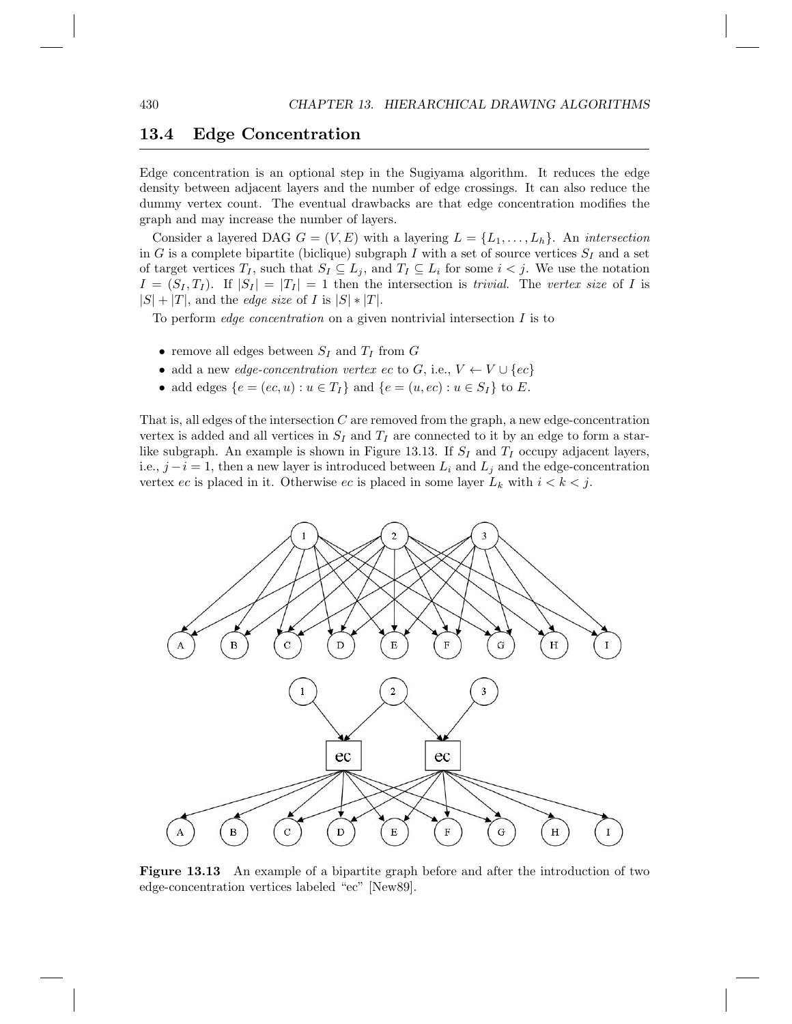### 13.4 Edge Concentration

Edge concentration is an optional step in the Sugiyama algorithm. It reduces the edge density between adjacent layers and the number of edge crossings. It can also reduce the dummy vertex count. The eventual drawbacks are that edge concentration modifies the graph and may increase the number of layers.

Consider a layered DAG  $G = (V, E)$  with a layering  $L = \{L_1, \ldots, L_h\}$ . An *intersection* in G is a complete bipartite (biclique) subgraph I with a set of source vertices  $S_I$  and a set of target vertices  $T_I$ , such that  $S_I \subseteq L_j$ , and  $T_I \subseteq L_i$  for some  $i < j$ . We use the notation  $I = (S_I, T_I)$ . If  $|S_I| = |T_I| = 1$  then the intersection is trivial. The vertex size of I is  $|S| + |T|$ , and the *edge size* of I is  $|S| * |T|$ .

To perform *edge concentration* on a given nontrivial intersection  $I$  is to

- remove all edges between  $S_I$  and  $T_I$  from  $G$
- add a new *edge-concentration vertex ec* to G, i.e.,  $V \leftarrow V \cup \{ec\}$
- add edges  $\{e = (ec, u) : u \in T_I\}$  and  $\{e = (u, ec) : u \in S_I\}$  to E.

That is, all edges of the intersection  $C$  are removed from the graph, a new edge-concentration vertex is added and all vertices in  $S_I$  and  $T_I$  are connected to it by an edge to form a starlike subgraph. An example is shown in Figure 13.13. If  $S_I$  and  $T_I$  occupy adjacent layers, i.e.,  $j - i = 1$ , then a new layer is introduced between  $L_i$  and  $L_j$  and the edge-concentration vertex ec is placed in it. Otherwise ec is placed in some layer  $L_k$  with  $i < k < j$ .



Figure 13.13 An example of a bipartite graph before and after the introduction of two edge-concentration vertices labeled "ec" [New89].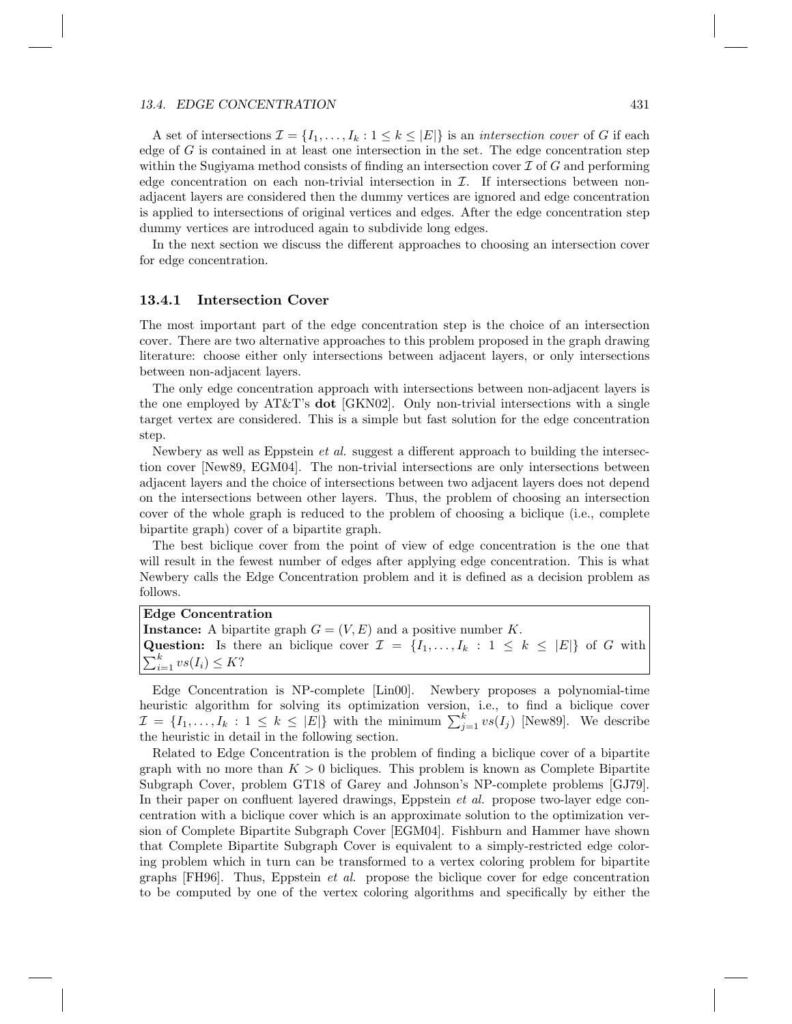### 13.4. EDGE CONCENTRATION 431

A set of intersections  $\mathcal{I} = \{I_1, \ldots, I_k : 1 \leq k \leq |E|\}$  is an *intersection cover* of G if each edge of  $G$  is contained in at least one intersection in the set. The edge concentration step within the Sugiyama method consists of finding an intersection cover  $\mathcal I$  of  $G$  and performing edge concentration on each non-trivial intersection in  $\mathcal{I}$ . If intersections between nonadjacent layers are considered then the dummy vertices are ignored and edge concentration is applied to intersections of original vertices and edges. After the edge concentration step dummy vertices are introduced again to subdivide long edges.

In the next section we discuss the different approaches to choosing an intersection cover for edge concentration.

### 13.4.1 Intersection Cover

The most important part of the edge concentration step is the choice of an intersection cover. There are two alternative approaches to this problem proposed in the graph drawing literature: choose either only intersections between adjacent layers, or only intersections between non-adjacent layers.

The only edge concentration approach with intersections between non-adjacent layers is the one employed by AT&T's dot [GKN02]. Only non-trivial intersections with a single target vertex are considered. This is a simple but fast solution for the edge concentration step.

Newbery as well as Eppstein *et al.* suggest a different approach to building the intersection cover [New89, EGM04]. The non-trivial intersections are only intersections between adjacent layers and the choice of intersections between two adjacent layers does not depend on the intersections between other layers. Thus, the problem of choosing an intersection cover of the whole graph is reduced to the problem of choosing a biclique (i.e., complete bipartite graph) cover of a bipartite graph.

The best biclique cover from the point of view of edge concentration is the one that will result in the fewest number of edges after applying edge concentration. This is what Newbery calls the Edge Concentration problem and it is defined as a decision problem as follows.

### Edge Concentration

**Instance:** A bipartite graph  $G = (V, E)$  and a positive number K. Question: Is there an biclique cover  $\mathcal{I} = \{I_1, \ldots, I_k : 1 \leq k \leq |E|\}$  of G with  $\sum_{i=1}^{k} vs(I_i) \leq K?$ 

Edge Concentration is NP-complete [Lin00]. Newbery proposes a polynomial-time heuristic algorithm for solving its optimization version, i.e., to find a biclique cover  $\mathcal{I} = \{I_1, \ldots, I_k : 1 \leq k \leq |\mathcal{E}|\}$  with the minimum  $\sum_{j=1}^k vs(I_j)$  [New89]. We describe the heuristic in detail in the following section.

Related to Edge Concentration is the problem of finding a biclique cover of a bipartite graph with no more than  $K > 0$  bicliques. This problem is known as Complete Bipartite Subgraph Cover, problem GT18 of Garey and Johnson's NP-complete problems [GJ79]. In their paper on confluent layered drawings, Eppstein et al. propose two-layer edge concentration with a biclique cover which is an approximate solution to the optimization version of Complete Bipartite Subgraph Cover [EGM04]. Fishburn and Hammer have shown that Complete Bipartite Subgraph Cover is equivalent to a simply-restricted edge coloring problem which in turn can be transformed to a vertex coloring problem for bipartite graphs [FH96]. Thus, Eppstein et al. propose the biclique cover for edge concentration to be computed by one of the vertex coloring algorithms and specifically by either the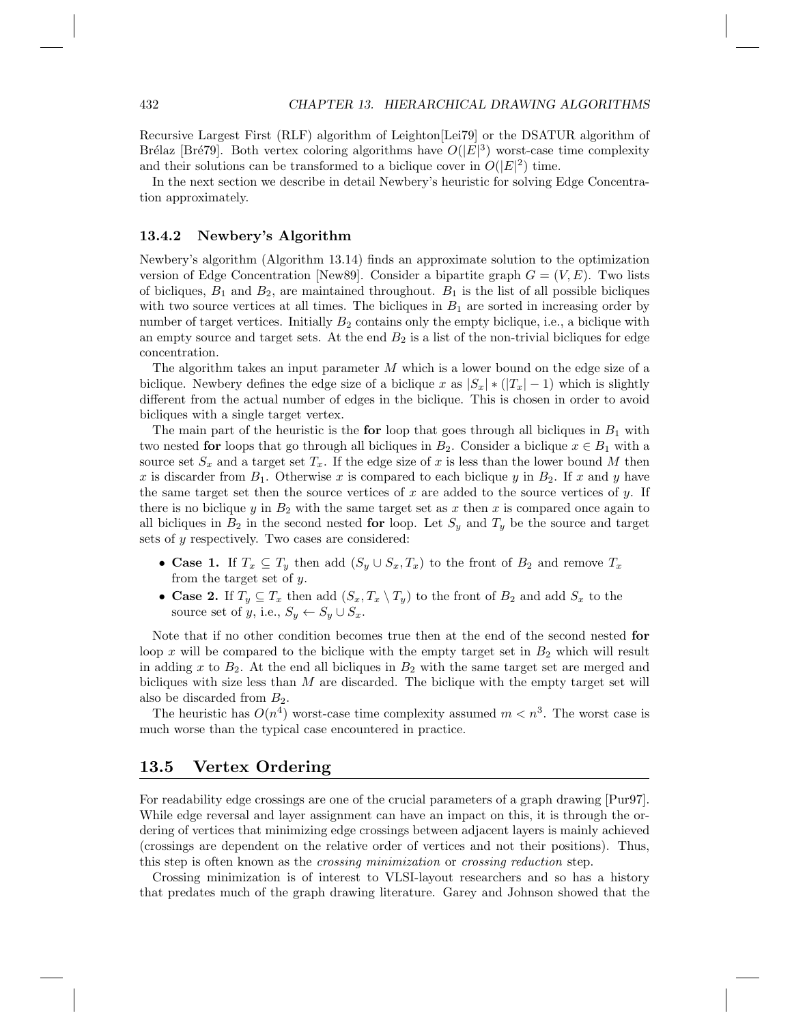Recursive Largest First (RLF) algorithm of Leighton[Lei79] or the DSATUR algorithm of Brélaz [Bré79]. Both vertex coloring algorithms have  $O(|E|^3)$  worst-case time complexity and their solutions can be transformed to a biclique cover in  $O(|E|^2)$  time.

In the next section we describe in detail Newbery's heuristic for solving Edge Concentration approximately.

### 13.4.2 Newbery's Algorithm

Newbery's algorithm (Algorithm 13.14) finds an approximate solution to the optimization version of Edge Concentration [New89]. Consider a bipartite graph  $G = (V, E)$ . Two lists of bicliques,  $B_1$  and  $B_2$ , are maintained throughout.  $B_1$  is the list of all possible bicliques with two source vertices at all times. The bicliques in  $B_1$  are sorted in increasing order by number of target vertices. Initially  $B_2$  contains only the empty biclique, i.e., a biclique with an empty source and target sets. At the end  $B_2$  is a list of the non-trivial bicliques for edge concentration.

The algorithm takes an input parameter  $M$  which is a lower bound on the edge size of a biclique. Newbery defines the edge size of a biclique x as  $|S_x| * (|T_x| - 1)$  which is slightly different from the actual number of edges in the biclique. This is chosen in order to avoid bicliques with a single target vertex.

The main part of the heuristic is the for loop that goes through all bicliques in  $B_1$  with two nested for loops that go through all bicliques in  $B_2$ . Consider a biclique  $x \in B_1$  with a source set  $S_x$  and a target set  $T_x$ . If the edge size of x is less than the lower bound M then x is discarder from  $B_1$ . Otherwise x is compared to each biclique y in  $B_2$ . If x and y have the same target set then the source vertices of  $x$  are added to the source vertices of  $y$ . If there is no biclique y in  $B_2$  with the same target set as x then x is compared once again to all bicliques in  $B_2$  in the second nested for loop. Let  $S_y$  and  $T_y$  be the source and target sets of y respectively. Two cases are considered:

- Case 1. If  $T_x \subseteq T_y$  then add  $(S_y \cup S_x, T_x)$  to the front of  $B_2$  and remove  $T_x$ from the target set of y.
- Case 2. If  $T_y \subseteq T_x$  then add  $(S_x, T_x \setminus T_y)$  to the front of  $B_2$  and add  $S_x$  to the source set of y, i.e.,  $S_y \leftarrow S_y \cup S_x$ .

Note that if no other condition becomes true then at the end of the second nested for loop x will be compared to the biclique with the empty target set in  $B_2$  which will result in adding x to  $B_2$ . At the end all bicliques in  $B_2$  with the same target set are merged and bicliques with size less than  $M$  are discarded. The biclique with the empty target set will also be discarded from  $B_2$ .

The heuristic has  $O(n^4)$  worst-case time complexity assumed  $m < n^3$ . The worst case is much worse than the typical case encountered in practice.

### 13.5 Vertex Ordering

For readability edge crossings are one of the crucial parameters of a graph drawing [Pur97]. While edge reversal and layer assignment can have an impact on this, it is through the ordering of vertices that minimizing edge crossings between adjacent layers is mainly achieved (crossings are dependent on the relative order of vertices and not their positions). Thus, this step is often known as the crossing minimization or crossing reduction step.

Crossing minimization is of interest to VLSI-layout researchers and so has a history that predates much of the graph drawing literature. Garey and Johnson showed that the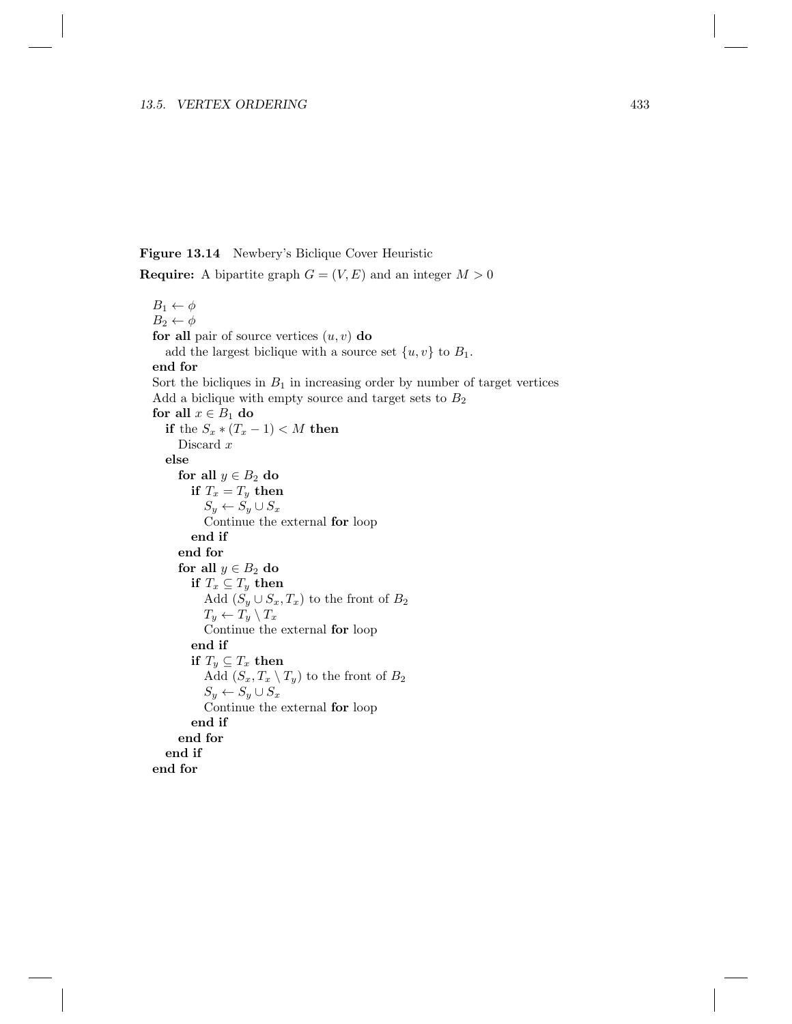### 13.5. VERTEX ORDERING 433

Figure 13.14 Newbery's Biclique Cover Heuristic

**Require:** A bipartite graph  $G = (V, E)$  and an integer  $M > 0$ 

```
B_1 \leftarrow \phiB_2 \leftarrow \phifor all pair of source vertices (u, v) do
  add the largest biclique with a source set \{u, v\} to B_1.
end for
Sort the bicliques in B_1 in increasing order by number of target vertices
Add a biclique with empty source and target sets to B_2for all x\in B_1 do
  if the S_x * (T_x - 1) < M then
     Discard xelse
     for all y \in B_2 do
       if T_x = T_y then
          S_y \leftarrow S_y \cup S_xContinue the external for loop
        end if
     end for
     for all y \in B_2 do
        if T_x \subseteq T_y then
          Add (S_y \cup S_x, T_x) to the front of B_2T_y \leftarrow T_y \setminus T_xContinue the external for loop
        end if
        if T_y \subseteq T_x then
          Add (S_x, T_x \setminus T_y) to the front of B_2S_y \leftarrow S_y \cup S_xContinue the external for loop
        end if
     end for
  end if
end for
```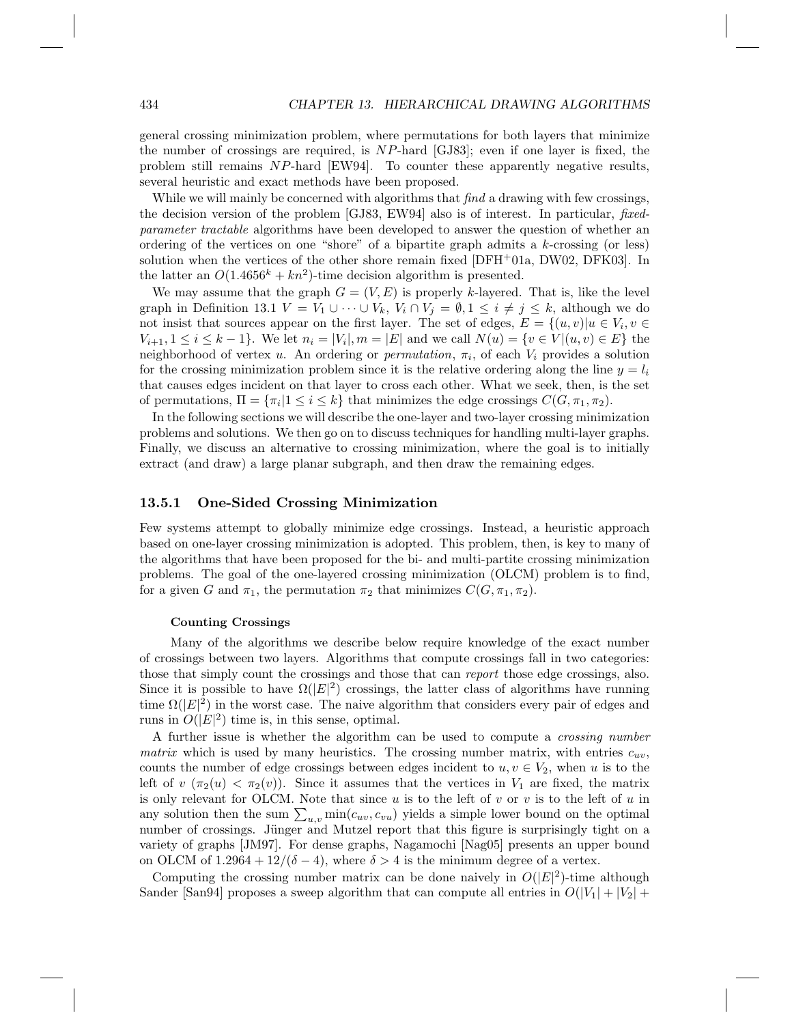general crossing minimization problem, where permutations for both layers that minimize the number of crossings are required, is NP-hard [GJ83]; even if one layer is fixed, the problem still remains  $NP$ -hard  $|EW94|$ . To counter these apparently negative results, several heuristic and exact methods have been proposed.

While we will mainly be concerned with algorithms that find a drawing with few crossings, the decision version of the problem [GJ83, EW94] also is of interest. In particular, fixedparameter tractable algorithms have been developed to answer the question of whether an ordering of the vertices on one "shore" of a bipartite graph admits a  $k$ -crossing (or less) solution when the vertices of the other shore remain fixed [DFH+01a, DW02, DFK03]. In the latter an  $O(1.4656^k + kn^2)$ -time decision algorithm is presented.

We may assume that the graph  $G = (V, E)$  is properly k-layered. That is, like the level graph in Definition 13.1  $V = V_1 \cup \cdots \cup V_k$ ,  $V_i \cap V_j = \emptyset$ ,  $1 \leq i \neq j \leq k$ , although we do not insist that sources appear on the first layer. The set of edges,  $E = \{(u, v) | u \in V_i, v \in$  $V_{i+1}, 1 \leq i \leq k-1$ . We let  $n_i = |V_i|, m = |E|$  and we call  $N(u) = \{v \in V | (u, v) \in E\}$  the neighborhood of vertex u. An ordering or *permutation*,  $\pi_i$ , of each  $V_i$  provides a solution for the crossing minimization problem since it is the relative ordering along the line  $y = l_i$ that causes edges incident on that layer to cross each other. What we seek, then, is the set of permutations,  $\Pi = {\pi_i | 1 \le i \le k}$  that minimizes the edge crossings  $C(G, \pi_1, \pi_2)$ .

In the following sections we will describe the one-layer and two-layer crossing minimization problems and solutions. We then go on to discuss techniques for handling multi-layer graphs. Finally, we discuss an alternative to crossing minimization, where the goal is to initially extract (and draw) a large planar subgraph, and then draw the remaining edges.

### 13.5.1 One-Sided Crossing Minimization

Few systems attempt to globally minimize edge crossings. Instead, a heuristic approach based on one-layer crossing minimization is adopted. This problem, then, is key to many of the algorithms that have been proposed for the bi- and multi-partite crossing minimization problems. The goal of the one-layered crossing minimization (OLCM) problem is to find, for a given G and  $\pi_1$ , the permutation  $\pi_2$  that minimizes  $C(G, \pi_1, \pi_2)$ .

### Counting Crossings

Many of the algorithms we describe below require knowledge of the exact number of crossings between two layers. Algorithms that compute crossings fall in two categories: those that simply count the crossings and those that can report those edge crossings, also. Since it is possible to have  $\Omega(|E|^2)$  crossings, the latter class of algorithms have running time  $\Omega(|E|^2)$  in the worst case. The naive algorithm that considers every pair of edges and runs in  $O(|E|^2)$  time is, in this sense, optimal.

A further issue is whether the algorithm can be used to compute a crossing number matrix which is used by many heuristics. The crossing number matrix, with entries  $c_{uv}$ , counts the number of edge crossings between edges incident to  $u, v \in V_2$ , when u is to the left of  $v(\pi_2(u) < \pi_2(v))$ . Since it assumes that the vertices in  $V_1$  are fixed, the matrix is only relevant for OLCM. Note that since  $u$  is to the left of  $v$  or  $v$  is to the left of  $u$  in any solution then the sum  $\sum_{u,v} \min(c_{uv}, c_{vu})$  yields a simple lower bound on the optimal number of crossings. Jünger and Mutzel report that this figure is surprisingly tight on a variety of graphs [JM97]. For dense graphs, Nagamochi [Nag05] presents an upper bound on OLCM of  $1.2964 + 12/(\delta - 4)$ , where  $\delta > 4$  is the minimum degree of a vertex.

Computing the crossing number matrix can be done naively in  $O(|E|^2)$ -time although Sander [San94] proposes a sweep algorithm that can compute all entries in  $O(|V_1| + |V_2| +$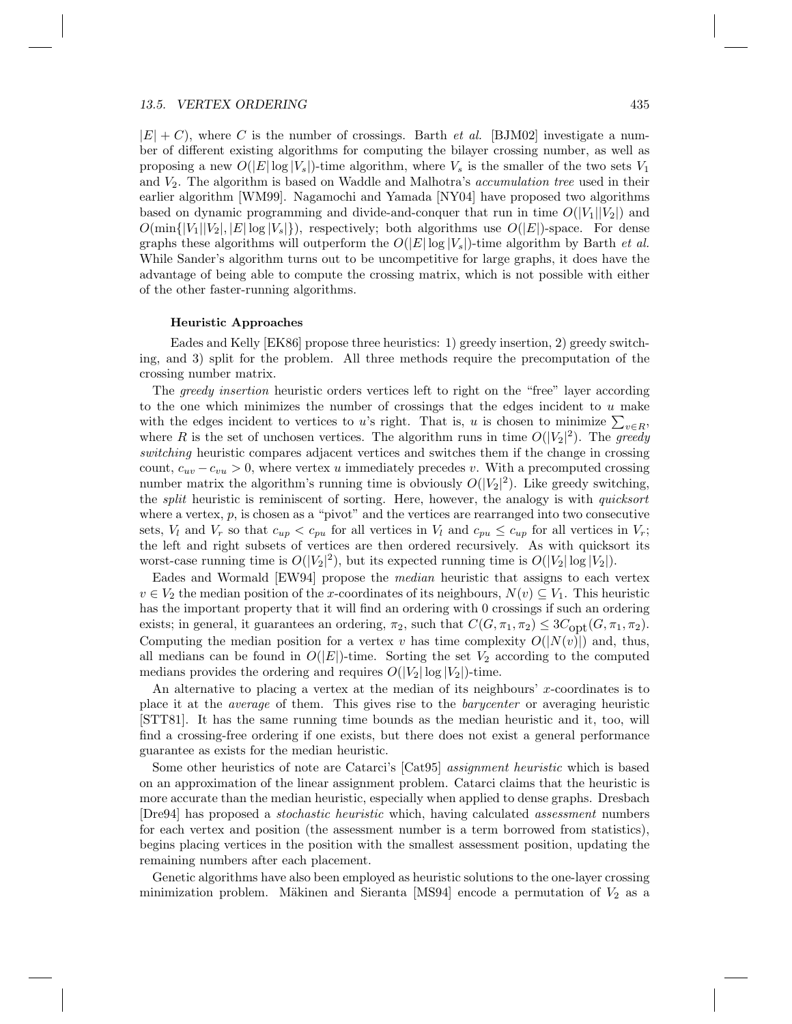### 13.5. VERTEX ORDERING 435

 $|E| + C$ , where C is the number of crossings. Barth *et al.* [BJM02] investigate a number of different existing algorithms for computing the bilayer crossing number, as well as proposing a new  $O(|E|\log|V_s|)$ -time algorithm, where  $V_s$  is the smaller of the two sets  $V_1$ and  $V_2$ . The algorithm is based on Waddle and Malhotra's *accumulation tree* used in their earlier algorithm [WM99]. Nagamochi and Yamada [NY04] have proposed two algorithms based on dynamic programming and divide-and-conquer that run in time  $O(|V_1||V_2|)$  and  $O(\min\{|V_1||V_2|, |E|\log|V_s|\})$ , respectively; both algorithms use  $O(|E|)$ -space. For dense graphs these algorithms will outperform the  $O(|E| \log |V_s|)$ -time algorithm by Barth *et al.* While Sander's algorithm turns out to be uncompetitive for large graphs, it does have the advantage of being able to compute the crossing matrix, which is not possible with either of the other faster-running algorithms.

### Heuristic Approaches

Eades and Kelly [EK86] propose three heuristics: 1) greedy insertion, 2) greedy switching, and 3) split for the problem. All three methods require the precomputation of the crossing number matrix.

The greedy insertion heuristic orders vertices left to right on the "free" layer according to the one which minimizes the number of crossings that the edges incident to  $u$  make with the edges incident to vertices to u's right. That is, u is chosen to minimize  $\sum_{v \in R}$ , where R is the set of unchosen vertices. The algorithm runs in time  $O(|V_2|^2)$ . The greedy switching heuristic compares adjacent vertices and switches them if the change in crossing count,  $c_{uv} - c_{vu} > 0$ , where vertex u immediately precedes v. With a precomputed crossing number matrix the algorithm's running time is obviously  $O(|V_2|^2)$ . Like greedy switching, the *split* heuristic is reminiscent of sorting. Here, however, the analogy is with *quicksort* where a vertex,  $p$ , is chosen as a "pivot" and the vertices are rearranged into two consecutive sets,  $V_l$  and  $V_r$  so that  $c_{up} < c_{pu}$  for all vertices in  $V_l$  and  $c_{pu} \leq c_{up}$  for all vertices in  $V_r$ ; the left and right subsets of vertices are then ordered recursively. As with quicksort its worst-case running time is  $O(|V_2|^2)$ , but its expected running time is  $O(|V_2| \log |V_2|)$ .

Eades and Wormald [EW94] propose the median heuristic that assigns to each vertex  $v \in V_2$  the median position of the x-coordinates of its neighbours,  $N(v) \subseteq V_1$ . This heuristic has the important property that it will find an ordering with 0 crossings if such an ordering exists; in general, it guarantees an ordering,  $\pi_2$ , such that  $C(G, \pi_1, \pi_2) \leq 3C_{\text{opt}}(G, \pi_1, \pi_2)$ . Computing the median position for a vertex v has time complexity  $O(|N(v)|)$  and, thus, all medians can be found in  $O(|E|)$ -time. Sorting the set  $V_2$  according to the computed medians provides the ordering and requires  $O(|V_2| \log |V_2|)$ -time.

An alternative to placing a vertex at the median of its neighbours' x-coordinates is to place it at the average of them. This gives rise to the barycenter or averaging heuristic [STT81]. It has the same running time bounds as the median heuristic and it, too, will find a crossing-free ordering if one exists, but there does not exist a general performance guarantee as exists for the median heuristic.

Some other heuristics of note are Catarci's [Cat95] assignment heuristic which is based on an approximation of the linear assignment problem. Catarci claims that the heuristic is more accurate than the median heuristic, especially when applied to dense graphs. Dresbach [Dre94] has proposed a stochastic heuristic which, having calculated assessment numbers for each vertex and position (the assessment number is a term borrowed from statistics), begins placing vertices in the position with the smallest assessment position, updating the remaining numbers after each placement.

Genetic algorithms have also been employed as heuristic solutions to the one-layer crossing minimization problem. Mäkinen and Sieranta [MS94] encode a permutation of  $V_2$  as a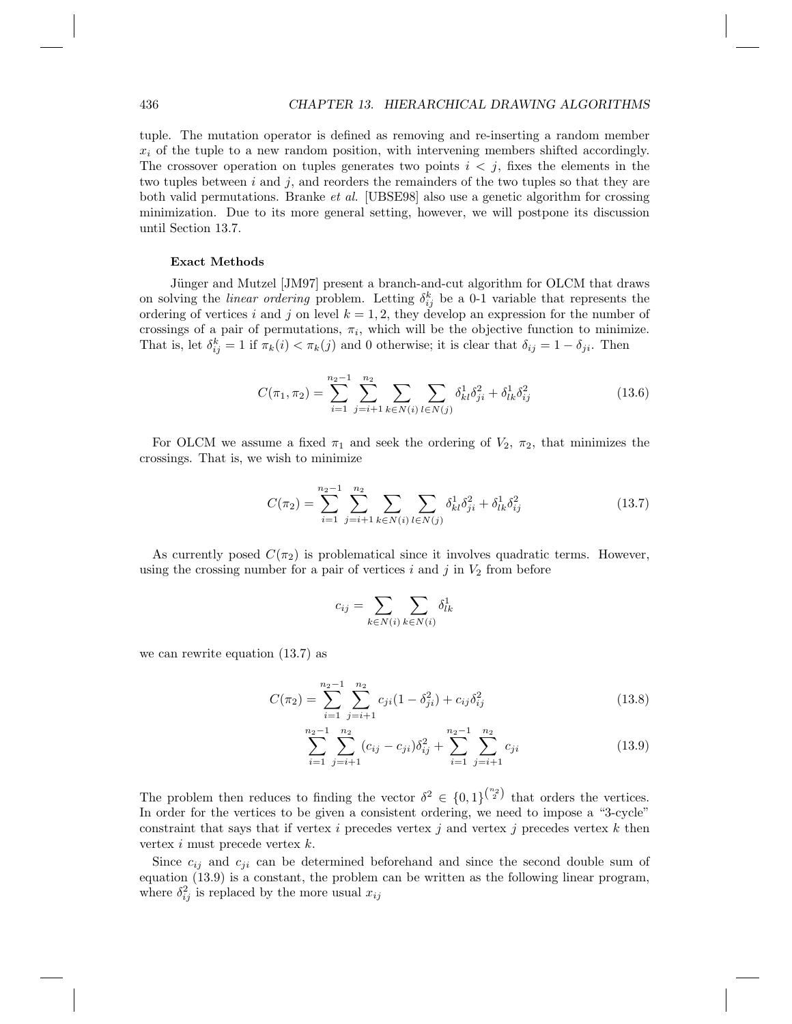tuple. The mutation operator is defined as removing and re-inserting a random member  $x_i$  of the tuple to a new random position, with intervening members shifted accordingly. The crossover operation on tuples generates two points  $i < j$ , fixes the elements in the two tuples between i and j, and reorders the remainders of the two tuples so that they are both valid permutations. Branke et al. [UBSE98] also use a genetic algorithm for crossing minimization. Due to its more general setting, however, we will postpone its discussion until Section 13.7.

### Exact Methods

Jünger and Mutzel [JM97] present a branch-and-cut algorithm for OLCM that draws on solving the *linear ordering* problem. Letting  $\delta_{ij}^k$  be a 0-1 variable that represents the ordering of vertices i and j on level  $k = 1, 2$ , they develop an expression for the number of crossings of a pair of permutations,  $\pi_i$ , which will be the objective function to minimize. That is, let  $\delta_{ij}^k = 1$  if  $\pi_k(i) < \pi_k(j)$  and 0 otherwise; it is clear that  $\delta_{ij} = 1 - \delta_{ji}$ . Then

$$
C(\pi_1, \pi_2) = \sum_{i=1}^{n_2 - 1} \sum_{j=i+1}^{n_2} \sum_{k \in N(i)} \sum_{l \in N(j)} \delta_{kl}^1 \delta_{ji}^2 + \delta_{lk}^1 \delta_{ij}^2
$$
 (13.6)

For OLCM we assume a fixed  $\pi_1$  and seek the ordering of  $V_2$ ,  $\pi_2$ , that minimizes the crossings. That is, we wish to minimize

$$
C(\pi_2) = \sum_{i=1}^{n_2 - 1} \sum_{j=i+1}^{n_2} \sum_{k \in N(i)} \sum_{l \in N(j)} \delta_{kl}^1 \delta_{ji}^2 + \delta_{lk}^1 \delta_{ij}^2 \tag{13.7}
$$

As currently posed  $C(\pi_2)$  is problematical since it involves quadratic terms. However, using the crossing number for a pair of vertices i and j in  $V_2$  from before

$$
c_{ij} = \sum_{k \in N(i)} \sum_{k \in N(i)} \delta_{lk}^1
$$

we can rewrite equation (13.7) as

$$
C(\pi_2) = \sum_{i=1}^{n_2 - 1} \sum_{j=i+1}^{n_2} c_{ji} (1 - \delta_{ji}^2) + c_{ij} \delta_{ij}^2
$$
 (13.8)

$$
\sum_{i=1}^{n_2-1} \sum_{j=i+1}^{n_2} (c_{ij} - c_{ji}) \delta_{ij}^2 + \sum_{i=1}^{n_2-1} \sum_{j=i+1}^{n_2} c_{ji}
$$
 (13.9)

The problem then reduces to finding the vector  $\delta^2 \in \{0,1\}^{\binom{n_2}{2}}$  that orders the vertices. In order for the vertices to be given a consistent ordering, we need to impose a "3-cycle" constraint that says that if vertex  $i$  precedes vertex  $j$  and vertex  $j$  precedes vertex  $k$  then vertex  $i$  must precede vertex  $k$ .

Since  $c_{ij}$  and  $c_{ji}$  can be determined beforehand and since the second double sum of equation (13.9) is a constant, the problem can be written as the following linear program, where  $\delta_{ij}^2$  is replaced by the more usual  $x_{ij}$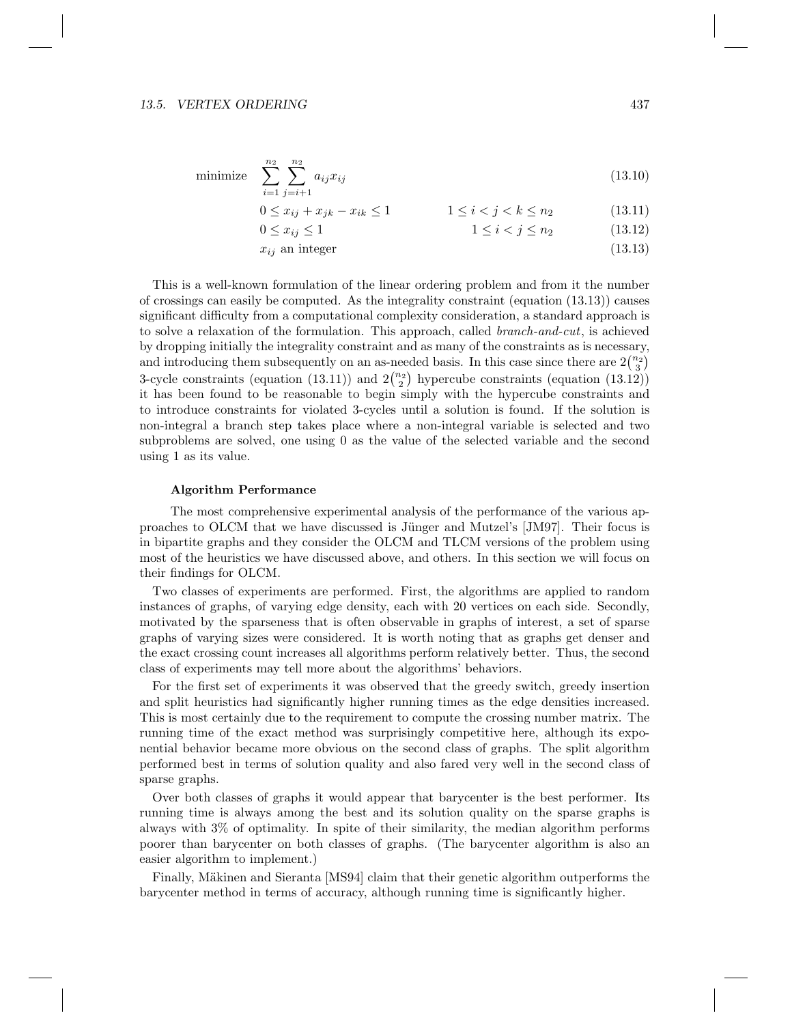minimize 
$$
\sum_{i=1}^{n_2} \sum_{j=i+1}^{n_2} a_{ij} x_{ij}
$$
 (13.10)

$$
0 \le x_{ij} + x_{jk} - x_{ik} \le 1 \qquad \qquad 1 \le i < j < k \le n_2 \tag{13.11}
$$

$$
0 \le x_{ij} \le 1 \tag{13.12}
$$
\n
$$
1 \le i < j \le n_2
$$

$$
x_{ij} \text{ an integer} \tag{13.13}
$$

This is a well-known formulation of the linear ordering problem and from it the number of crossings can easily be computed. As the integrality constraint (equation (13.13)) causes significant difficulty from a computational complexity consideration, a standard approach is to solve a relaxation of the formulation. This approach, called *branch-and-cut*, is achieved by dropping initially the integrality constraint and as many of the constraints as is necessary, and introducing them subsequently on an as-needed basis. In this case since there are  $2\binom{n_2}{3}$ 3-cycle constraints (equation (13.11)) and  $2\binom{n_2}{2}$  hypercube constraints (equation (13.12)) it has been found to be reasonable to begin simply with the hypercube constraints and to introduce constraints for violated 3-cycles until a solution is found. If the solution is non-integral a branch step takes place where a non-integral variable is selected and two subproblems are solved, one using 0 as the value of the selected variable and the second using 1 as its value.

### Algorithm Performance

The most comprehensive experimental analysis of the performance of the various approaches to OLCM that we have discussed is J¨unger and Mutzel's [JM97]. Their focus is in bipartite graphs and they consider the OLCM and TLCM versions of the problem using most of the heuristics we have discussed above, and others. In this section we will focus on their findings for OLCM.

Two classes of experiments are performed. First, the algorithms are applied to random instances of graphs, of varying edge density, each with 20 vertices on each side. Secondly, motivated by the sparseness that is often observable in graphs of interest, a set of sparse graphs of varying sizes were considered. It is worth noting that as graphs get denser and the exact crossing count increases all algorithms perform relatively better. Thus, the second class of experiments may tell more about the algorithms' behaviors.

For the first set of experiments it was observed that the greedy switch, greedy insertion and split heuristics had significantly higher running times as the edge densities increased. This is most certainly due to the requirement to compute the crossing number matrix. The running time of the exact method was surprisingly competitive here, although its exponential behavior became more obvious on the second class of graphs. The split algorithm performed best in terms of solution quality and also fared very well in the second class of sparse graphs.

Over both classes of graphs it would appear that barycenter is the best performer. Its running time is always among the best and its solution quality on the sparse graphs is always with 3% of optimality. In spite of their similarity, the median algorithm performs poorer than barycenter on both classes of graphs. (The barycenter algorithm is also an easier algorithm to implement.)

Finally, Mäkinen and Sieranta [MS94] claim that their genetic algorithm outperforms the barycenter method in terms of accuracy, although running time is significantly higher.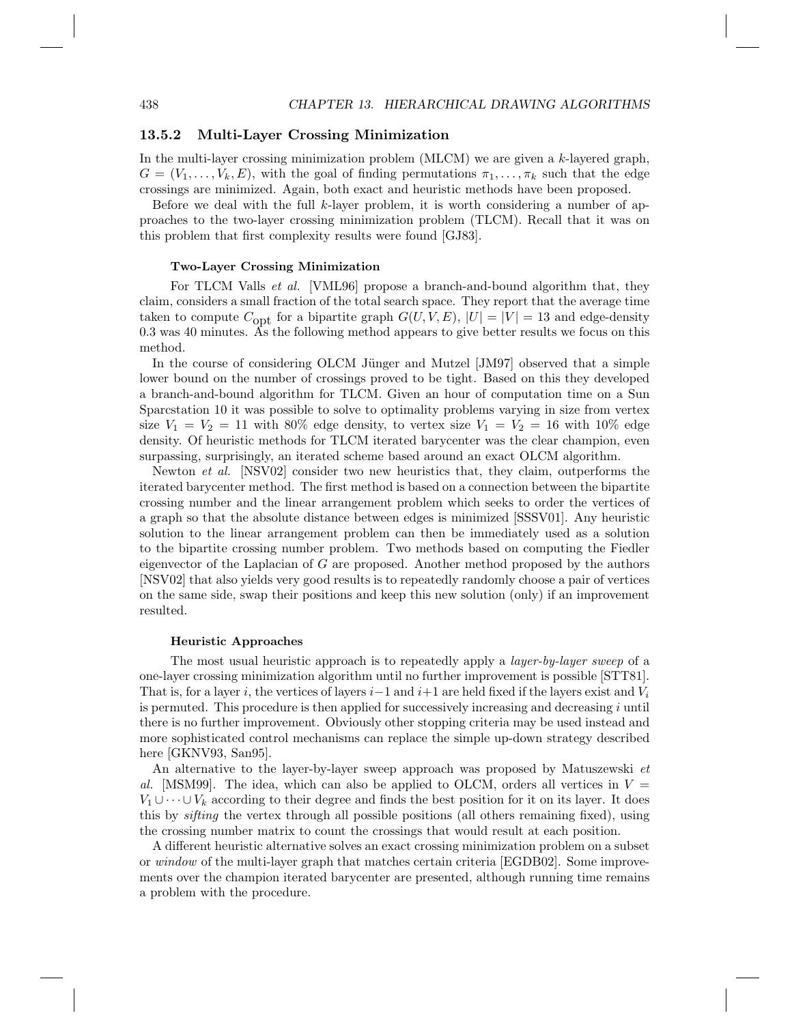### 13.5.2 Multi-Layer Crossing Minimization

In the multi-layer crossing minimization problem (MLCM) we are given a k-layered graph,  $G = (V_1, \ldots, V_k, E)$ , with the goal of finding permutations  $\pi_1, \ldots, \pi_k$  such that the edge crossings are minimized. Again, both exact and heuristic methods have been proposed.

Before we deal with the full  $k$ -layer problem, it is worth considering a number of approaches to the two-layer crossing minimization problem (TLCM). Recall that it was on this problem that first complexity results were found [GJ83].

### Two-Layer Crossing Minimization

For TLCM Valls *et al.* [VML96] propose a branch-and-bound algorithm that, they claim, considers a small fraction of the total search space. They report that the average time taken to compute  $C_{\text{opt}}$  for a bipartite graph  $G(U, V, E)$ ,  $|U| = |V| = 13$  and edge-density 0.3 was 40 minutes. As the following method appears to give better results we focus on this method.

In the course of considering OLCM Jünger and Mutzel [JM97] observed that a simple lower bound on the number of crossings proved to be tight. Based on this they developed a branch-and-bound algorithm for TLCM. Given an hour of computation time on a Sun Sparcstation 10 it was possible to solve to optimality problems varying in size from vertex size  $V_1 = V_2 = 11$  with 80% edge density, to vertex size  $V_1 = V_2 = 16$  with 10% edge density. Of heuristic methods for TLCM iterated barycenter was the clear champion, even surpassing, surprisingly, an iterated scheme based around an exact OLCM algorithm.

Newton et al. [NSV02] consider two new heuristics that, they claim, outperforms the iterated barycenter method. The first method is based on a connection between the bipartite crossing number and the linear arrangement problem which seeks to order the vertices of a graph so that the absolute distance between edges is minimized [SSSV01]. Any heuristic solution to the linear arrangement problem can then be immediately used as a solution to the bipartite crossing number problem. Two methods based on computing the Fiedler eigenvector of the Laplacian of  $G$  are proposed. Another method proposed by the authors [NSV02] that also yields very good results is to repeatedly randomly choose a pair of vertices on the same side, swap their positions and keep this new solution (only) if an improvement resulted.

### Heuristic Approaches

The most usual heuristic approach is to repeatedly apply a *layer-by-layer sweep* of a one-layer crossing minimization algorithm until no further improvement is possible [STT81]. That is, for a layer i, the vertices of layers i–1 and i+1 are held fixed if the layers exist and  $V_i$ is permuted. This procedure is then applied for successively increasing and decreasing  $i$  until there is no further improvement. Obviously other stopping criteria may be used instead and more sophisticated control mechanisms can replace the simple up-down strategy described here [GKNV93, San95].

An alternative to the layer-by-layer sweep approach was proposed by Matuszewski et al. [MSM99]. The idea, which can also be applied to OLCM, orders all vertices in  $V =$  $V_1 \cup \cdots \cup V_k$  according to their degree and finds the best position for it on its layer. It does this by sifting the vertex through all possible positions (all others remaining fixed), using the crossing number matrix to count the crossings that would result at each position.

A different heuristic alternative solves an exact crossing minimization problem on a subset or window of the multi-layer graph that matches certain criteria [EGDB02]. Some improvements over the champion iterated barycenter are presented, although running time remains a problem with the procedure.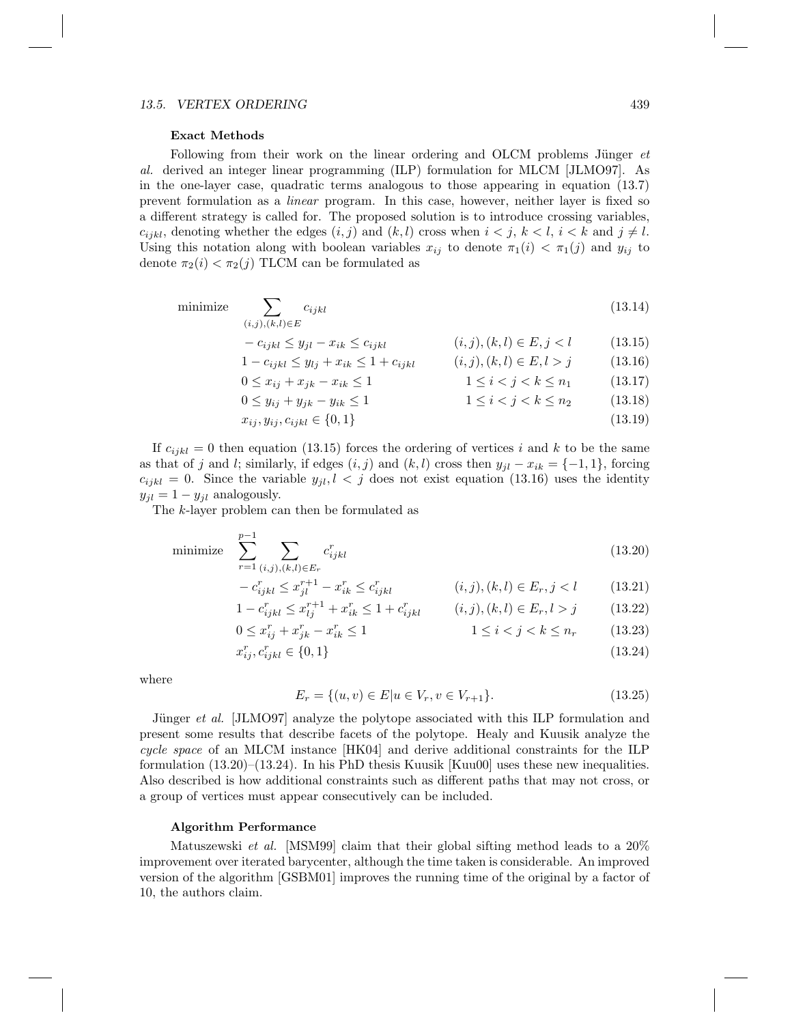### 13.5. VERTEX ORDERING 439

### Exact Methods

Following from their work on the linear ordering and OLCM problems Jünger  $et$ al. derived an integer linear programming (ILP) formulation for MLCM [JLMO97]. As in the one-layer case, quadratic terms analogous to those appearing in equation (13.7) prevent formulation as a linear program. In this case, however, neither layer is fixed so a different strategy is called for. The proposed solution is to introduce crossing variables,  $c_{ijkl}$ , denoting whether the edges  $(i, j)$  and  $(k, l)$  cross when  $i < j$ ,  $k < l$ ,  $i < k$  and  $j \neq l$ . Using this notation along with boolean variables  $x_{ij}$  to denote  $\pi_1(i) < \pi_1(j)$  and  $y_{ij}$  to denote  $\pi_2(i) < \pi_2(j)$  TLCM can be formulated as

$$
\text{minimize} \quad \sum_{(i,j),(k,l)\in E} c_{ijkl} \tag{13.14}
$$

$$
- c_{ijkl} \leq y_{jl} - x_{ik} \leq c_{ijkl} \qquad (i, j), (k, l) \in E, j < l \qquad (13.15)
$$
\n
$$
1 - c_{ijkl} \leq y_{lj} + x_{ik} \leq 1 + c_{ijkl} \qquad (i, j), (k, l) \in E, l > j \qquad (13.16)
$$
\n
$$
0 \leq x_{ij} + x_{jk} - x_{ik} \leq 1 \qquad 1 \leq i < j < k \leq n_1 \qquad (13.17)
$$
\n
$$
0 \leq y_{ij} + y_{jk} - y_{ik} \leq 1 \qquad 1 \leq i < j < k \leq n_2 \qquad (13.18)
$$

$$
x_{ij}, y_{ij}, c_{ijkl} \in \{0, 1\} \tag{13.19}
$$

If  $c_{ijkl} = 0$  then equation (13.15) forces the ordering of vertices i and k to be the same as that of j and l; similarly, if edges  $(i, j)$  and  $(k, l)$  cross then  $y_{il} - x_{ik} = \{-1, 1\}$ , forcing  $c_{ijkl} = 0$ . Since the variable  $y_{il}$ ,  $l < j$  does not exist equation (13.16) uses the identity  $y_{jl} = 1 - y_{jl}$  analogously.

The k-layer problem can then be formulated as

minimize 
$$
\sum_{r=1}^{p-1} \sum_{(i,j),(k,l)\in E_r} c_{ijkl}^r
$$
 (13.20)

$$
-c_{ijkl}^r \le x_{jl}^{r+1} - x_{ik}^r \le c_{ijkl}^r \qquad (i,j), (k,l) \in E_r, j < l \qquad (13.21)
$$

$$
1 - c_{ijkl}^r \le x_{lj}^{r+1} + x_{ik}^r \le 1 + c_{ijkl}^r \qquad (i, j), (k, l) \in E_r, l > j \qquad (13.22)
$$

$$
0 \le x_{ij}^r + x_{jk}^r - x_{ik}^r \le 1 \qquad \qquad 1 \le i < j < k \le n_r \qquad (13.23)
$$

$$
x_{ij}^r, c_{ijkl}^r \in \{0, 1\} \tag{13.24}
$$

where

$$
E_r = \{(u, v) \in E | u \in V_r, v \in V_{r+1}\}.
$$
\n(13.25)

Jünger *et al.* [JLMO97] analyze the polytope associated with this ILP formulation and present some results that describe facets of the polytope. Healy and Kuusik analyze the cycle space of an MLCM instance [HK04] and derive additional constraints for the ILP formulation  $(13.20)$ – $(13.24)$ . In his PhD thesis Kuusik [Kuu00] uses these new inequalities. Also described is how additional constraints such as different paths that may not cross, or a group of vertices must appear consecutively can be included.

### Algorithm Performance

Matuszewski et al. [MSM99] claim that their global sifting method leads to a 20% improvement over iterated barycenter, although the time taken is considerable. An improved version of the algorithm [GSBM01] improves the running time of the original by a factor of 10, the authors claim.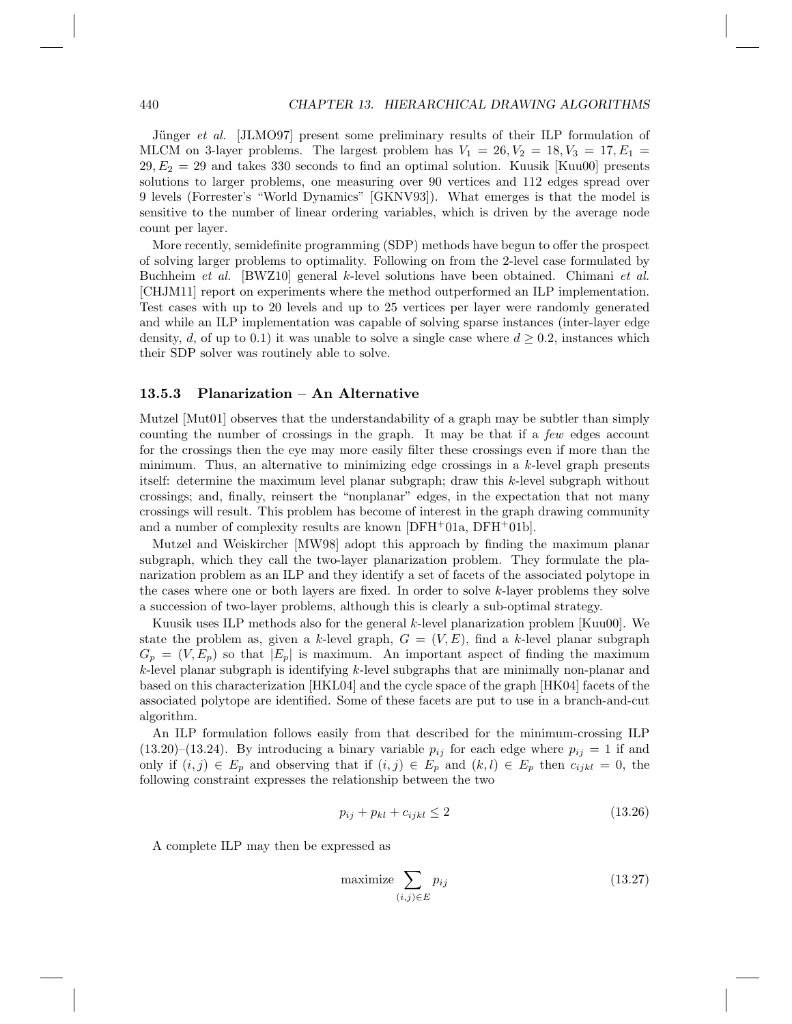Jünger et al. [JLMO97] present some preliminary results of their ILP formulation of MLCM on 3-layer problems. The largest problem has  $V_1 = 26, V_2 = 18, V_3 = 17, E_1 =$  $29, E_2 = 29$  and takes 330 seconds to find an optimal solution. Kuusik [Kuu00] presents solutions to larger problems, one measuring over 90 vertices and 112 edges spread over 9 levels (Forrester's "World Dynamics" [GKNV93]). What emerges is that the model is sensitive to the number of linear ordering variables, which is driven by the average node count per layer.

More recently, semidefinite programming (SDP) methods have begun to offer the prospect of solving larger problems to optimality. Following on from the 2-level case formulated by Buchheim et al. [BWZ10] general k-level solutions have been obtained. Chimani et al. [CHJM11] report on experiments where the method outperformed an ILP implementation. Test cases with up to 20 levels and up to 25 vertices per layer were randomly generated and while an ILP implementation was capable of solving sparse instances (inter-layer edge density, d, of up to 0.1) it was unable to solve a single case where  $d \geq 0.2$ , instances which their SDP solver was routinely able to solve.

### 13.5.3 Planarization – An Alternative

Mutzel [Mut01] observes that the understandability of a graph may be subtler than simply counting the number of crossings in the graph. It may be that if a few edges account for the crossings then the eye may more easily filter these crossings even if more than the minimum. Thus, an alternative to minimizing edge crossings in a  $k$ -level graph presents itself: determine the maximum level planar subgraph; draw this k-level subgraph without crossings; and, finally, reinsert the "nonplanar" edges, in the expectation that not many crossings will result. This problem has become of interest in the graph drawing community and a number of complexity results are known  $[DFH^+01a, DFH^+01b].$ 

Mutzel and Weiskircher [MW98] adopt this approach by finding the maximum planar subgraph, which they call the two-layer planarization problem. They formulate the planarization problem as an ILP and they identify a set of facets of the associated polytope in the cases where one or both layers are fixed. In order to solve  $k$ -layer problems they solve a succession of two-layer problems, although this is clearly a sub-optimal strategy.

Kuusik uses ILP methods also for the general k-level planarization problem [Kuu00]. We state the problem as, given a k-level graph,  $G = (V, E)$ , find a k-level planar subgraph  $G_p = (V, E_p)$  so that  $|E_p|$  is maximum. An important aspect of finding the maximum  $k$ -level planar subgraph is identifying  $k$ -level subgraphs that are minimally non-planar and based on this characterization [HKL04] and the cycle space of the graph [HK04] facets of the associated polytope are identified. Some of these facets are put to use in a branch-and-cut algorithm.

An ILP formulation follows easily from that described for the minimum-crossing ILP  $(13.20)$ – $(13.24)$ . By introducing a binary variable  $p_{ij}$  for each edge where  $p_{ij} = 1$  if and only if  $(i, j) \in E_p$  and observing that if  $(i, j) \in E_p$  and  $(k, l) \in E_p$  then  $c_{ijkl} = 0$ , the following constraint expresses the relationship between the two

$$
p_{ij} + p_{kl} + c_{ijkl} \le 2 \tag{13.26}
$$

A complete ILP may then be expressed as

$$
\text{maximize} \sum_{(i,j)\in E} p_{ij} \tag{13.27}
$$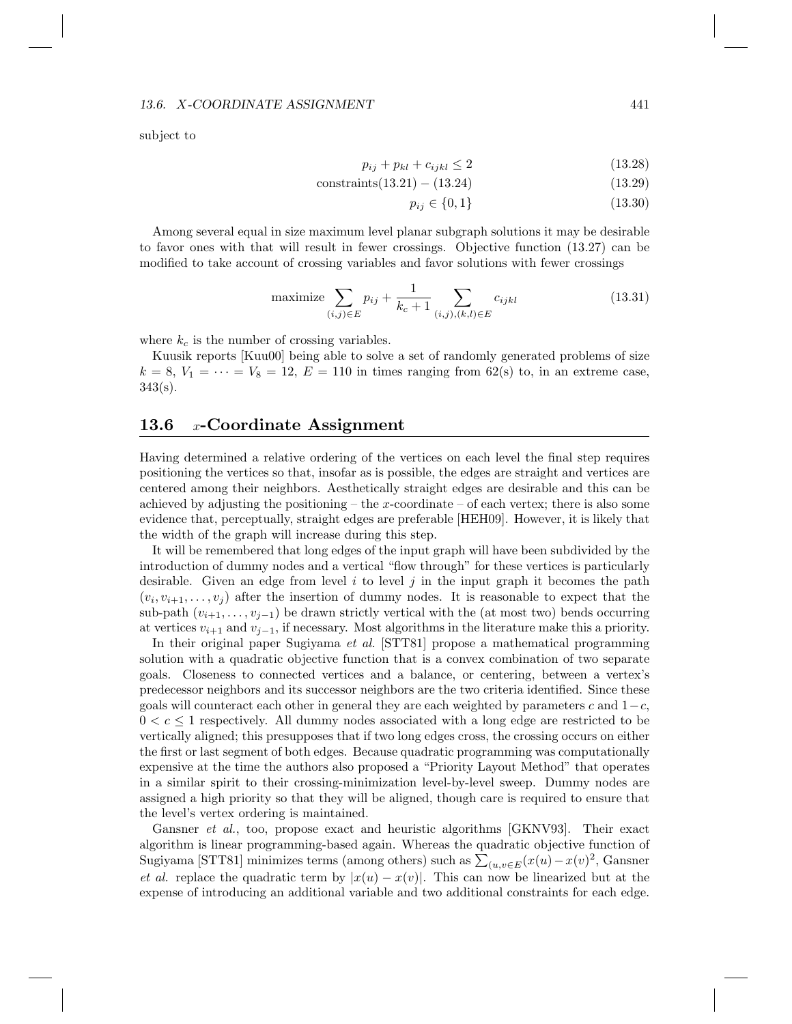subject to

$$
p_{ij} + p_{kl} + c_{ijkl} \le 2\tag{13.28}
$$

$$
constraints(13.21) - (13.24) \t(13.29)
$$

 $p_{ij} \in \{0, 1\}$  (13.30)

Among several equal in size maximum level planar subgraph solutions it may be desirable to favor ones with that will result in fewer crossings. Objective function (13.27) can be modified to take account of crossing variables and favor solutions with fewer crossings

maximize 
$$
\sum_{(i,j)\in E} p_{ij} + \frac{1}{k_c+1} \sum_{(i,j),(k,l)\in E} c_{ijkl}
$$
 (13.31)

where  $k_c$  is the number of crossing variables.

Kuusik reports [Kuu00] being able to solve a set of randomly generated problems of size  $k = 8, V_1 = \cdots = V_8 = 12, E = 110$  in times ranging from 62(s) to, in an extreme case,  $343(s)$ .

## 13.6 x-Coordinate Assignment

Having determined a relative ordering of the vertices on each level the final step requires positioning the vertices so that, insofar as is possible, the edges are straight and vertices are centered among their neighbors. Aesthetically straight edges are desirable and this can be achieved by adjusting the positioning – the x-coordinate – of each vertex; there is also some evidence that, perceptually, straight edges are preferable [HEH09]. However, it is likely that the width of the graph will increase during this step.

It will be remembered that long edges of the input graph will have been subdivided by the introduction of dummy nodes and a vertical "flow through" for these vertices is particularly desirable. Given an edge from level  $i$  to level  $j$  in the input graph it becomes the path  $(v_i, v_{i+1}, \ldots, v_j)$  after the insertion of dummy nodes. It is reasonable to expect that the sub-path  $(v_{i+1}, \ldots, v_{i-1})$  be drawn strictly vertical with the (at most two) bends occurring at vertices  $v_{i+1}$  and  $v_{j-1}$ , if necessary. Most algorithms in the literature make this a priority.

In their original paper Sugiyama et al. [STT81] propose a mathematical programming solution with a quadratic objective function that is a convex combination of two separate goals. Closeness to connected vertices and a balance, or centering, between a vertex's predecessor neighbors and its successor neighbors are the two criteria identified. Since these goals will counteract each other in general they are each weighted by parameters c and  $1-c$ ,  $0 < c \leq 1$  respectively. All dummy nodes associated with a long edge are restricted to be vertically aligned; this presupposes that if two long edges cross, the crossing occurs on either the first or last segment of both edges. Because quadratic programming was computationally expensive at the time the authors also proposed a "Priority Layout Method" that operates in a similar spirit to their crossing-minimization level-by-level sweep. Dummy nodes are assigned a high priority so that they will be aligned, though care is required to ensure that the level's vertex ordering is maintained.

Gansner *et al.*, too, propose exact and heuristic algorithms [GKNV93]. Their exact algorithm is linear programming-based again. Whereas the quadratic objective function of Sugiyama [STT81] minimizes terms (among others) such as  $\sum_{(u,v)\in E} (x(u) - x(v)^2)$ , Gansner et al. replace the quadratic term by  $|x(u) - x(v)|$ . This can now be linearized but at the expense of introducing an additional variable and two additional constraints for each edge.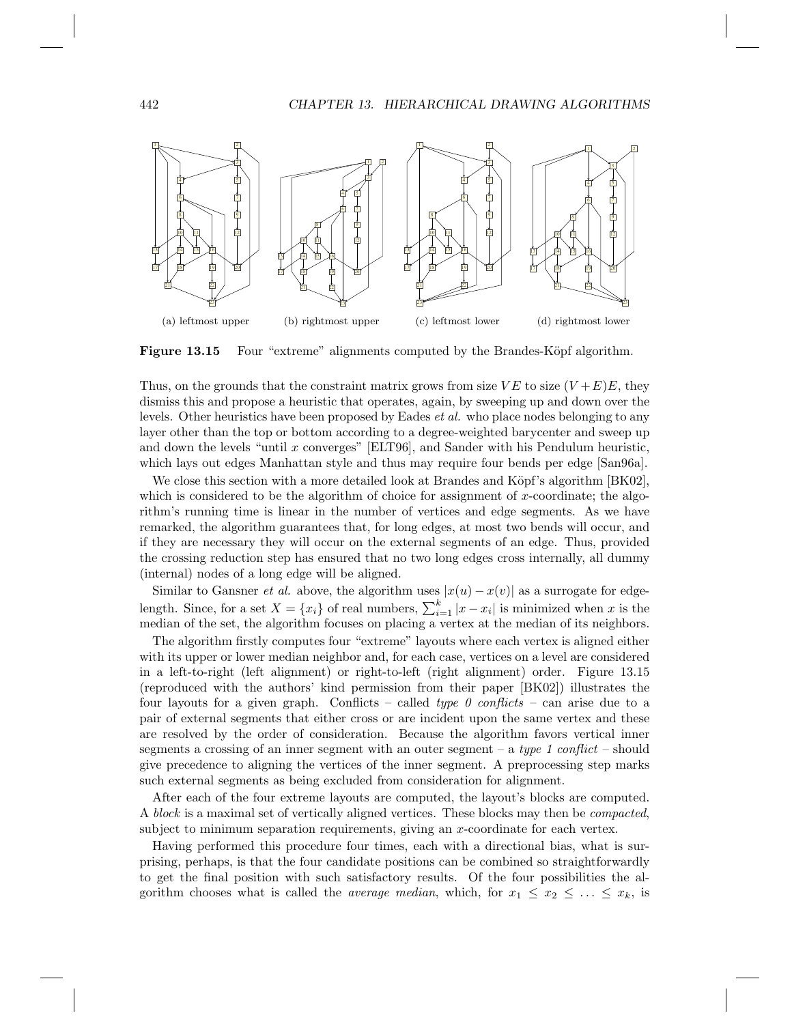

**Figure 13.15** Four "extreme" alignments computed by the Brandes-Köpf algorithm.

Thus, on the grounds that the constraint matrix grows from size  $VE$  to size  $(V + E)E$ , they dismiss this and propose a heuristic that operates, again, by sweeping up and down over the levels. Other heuristics have been proposed by Eades et al. who place nodes belonging to any layer other than the top or bottom according to a degree-weighted barycenter and sweep up and down the levels "until  $x$  converges" [ELT96], and Sander with his Pendulum heuristic, which lays out edges Manhattan style and thus may require four bends per edge [San96a].

We close this section with a more detailed look at Brandes and Köpf's algorithm [BK02], which is considered to be the algorithm of choice for assignment of  $x$ -coordinate; the algorithm's running time is linear in the number of vertices and edge segments. As we have remarked, the algorithm guarantees that, for long edges, at most two bends will occur, and if they are necessary they will occur on the external segments of an edge. Thus, provided the crossing reduction step has ensured that no two long edges cross internally, all dummy (internal) nodes of a long edge will be aligned.

Similar to Gansner *et al.* above, the algorithm uses  $|x(u) - x(v)|$  as a surrogate for edgelength. Since, for a set  $X = \{x_i\}$  of real numbers,  $\sum_{i=1}^{k} |x - x_i|$  is minimized when x is the median of the set, the algorithm focuses on placing a vertex at the median of its neighbors.

The algorithm firstly computes four "extreme" layouts where each vertex is aligned either with its upper or lower median neighbor and, for each case, vertices on a level are considered in a left-to-right (left alignment) or right-to-left (right alignment) order. Figure 13.15 (reproduced with the authors' kind permission from their paper [BK02]) illustrates the four layouts for a given graph. Conflicts – called type  $\theta$  conflicts – can arise due to a pair of external segments that either cross or are incident upon the same vertex and these are resolved by the order of consideration. Because the algorithm favors vertical inner segments a crossing of an inner segment with an outer segment – a type 1 conflict – should give precedence to aligning the vertices of the inner segment. A preprocessing step marks such external segments as being excluded from consideration for alignment.

After each of the four extreme layouts are computed, the layout's blocks are computed. A block is a maximal set of vertically aligned vertices. These blocks may then be compacted, subject to minimum separation requirements, giving an x-coordinate for each vertex.

Having performed this procedure four times, each with a directional bias, what is surprising, perhaps, is that the four candidate positions can be combined so straightforwardly to get the final position with such satisfactory results. Of the four possibilities the algorithm chooses what is called the *average median*, which, for  $x_1 \leq x_2 \leq \ldots \leq x_k$ , is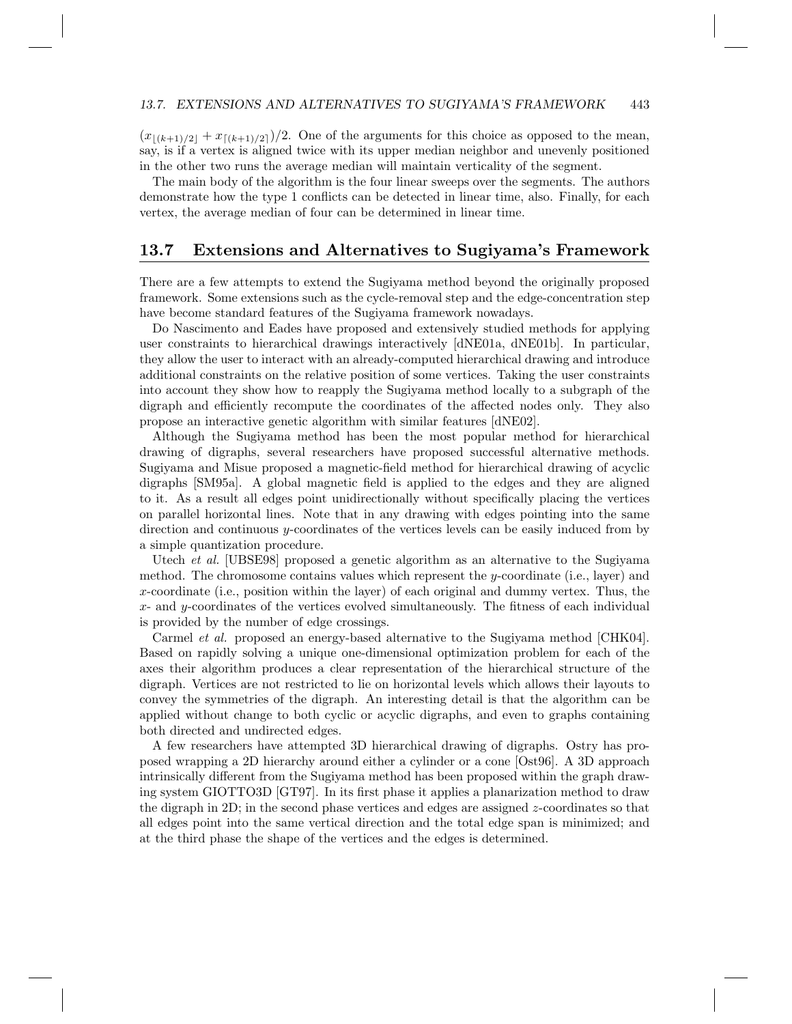### 13.7. EXTENSIONS AND ALTERNATIVES TO SUGIYAMA'S FRAMEWORK 443

 $(x_{\lfloor (k+1)/2 \rfloor} + x_{\lfloor (k+1)/2 \rfloor})/2$ . One of the arguments for this choice as opposed to the mean, say, is if a vertex is aligned twice with its upper median neighbor and unevenly positioned in the other two runs the average median will maintain verticality of the segment.

The main body of the algorithm is the four linear sweeps over the segments. The authors demonstrate how the type 1 conflicts can be detected in linear time, also. Finally, for each vertex, the average median of four can be determined in linear time.

# 13.7 Extensions and Alternatives to Sugiyama's Framework

There are a few attempts to extend the Sugiyama method beyond the originally proposed framework. Some extensions such as the cycle-removal step and the edge-concentration step have become standard features of the Sugiyama framework nowadays.

Do Nascimento and Eades have proposed and extensively studied methods for applying user constraints to hierarchical drawings interactively [dNE01a, dNE01b]. In particular, they allow the user to interact with an already-computed hierarchical drawing and introduce additional constraints on the relative position of some vertices. Taking the user constraints into account they show how to reapply the Sugiyama method locally to a subgraph of the digraph and efficiently recompute the coordinates of the affected nodes only. They also propose an interactive genetic algorithm with similar features [dNE02].

Although the Sugiyama method has been the most popular method for hierarchical drawing of digraphs, several researchers have proposed successful alternative methods. Sugiyama and Misue proposed a magnetic-field method for hierarchical drawing of acyclic digraphs [SM95a]. A global magnetic field is applied to the edges and they are aligned to it. As a result all edges point unidirectionally without specifically placing the vertices on parallel horizontal lines. Note that in any drawing with edges pointing into the same direction and continuous y-coordinates of the vertices levels can be easily induced from by a simple quantization procedure.

Utech *et al.* [UBSE98] proposed a genetic algorithm as an alternative to the Sugiyama method. The chromosome contains values which represent the y-coordinate (i.e., layer) and x-coordinate (i.e., position within the layer) of each original and dummy vertex. Thus, the  $x$ - and y-coordinates of the vertices evolved simultaneously. The fitness of each individual is provided by the number of edge crossings.

Carmel et al. proposed an energy-based alternative to the Sugiyama method [CHK04]. Based on rapidly solving a unique one-dimensional optimization problem for each of the axes their algorithm produces a clear representation of the hierarchical structure of the digraph. Vertices are not restricted to lie on horizontal levels which allows their layouts to convey the symmetries of the digraph. An interesting detail is that the algorithm can be applied without change to both cyclic or acyclic digraphs, and even to graphs containing both directed and undirected edges.

A few researchers have attempted 3D hierarchical drawing of digraphs. Ostry has proposed wrapping a 2D hierarchy around either a cylinder or a cone [Ost96]. A 3D approach intrinsically different from the Sugiyama method has been proposed within the graph drawing system GIOTTO3D [GT97]. In its first phase it applies a planarization method to draw the digraph in 2D; in the second phase vertices and edges are assigned z-coordinates so that all edges point into the same vertical direction and the total edge span is minimized; and at the third phase the shape of the vertices and the edges is determined.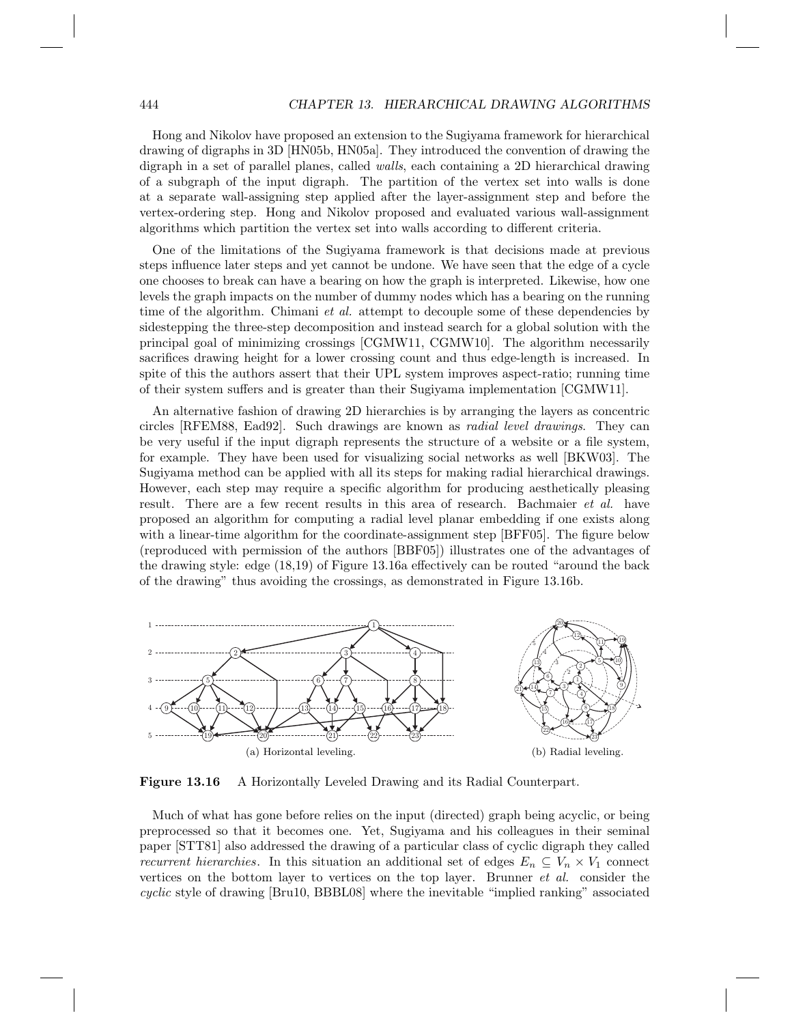Hong and Nikolov have proposed an extension to the Sugiyama framework for hierarchical drawing of digraphs in 3D [HN05b, HN05a]. They introduced the convention of drawing the digraph in a set of parallel planes, called walls, each containing a 2D hierarchical drawing of a subgraph of the input digraph. The partition of the vertex set into walls is done at a separate wall-assigning step applied after the layer-assignment step and before the vertex-ordering step. Hong and Nikolov proposed and evaluated various wall-assignment algorithms which partition the vertex set into walls according to different criteria.

One of the limitations of the Sugiyama framework is that decisions made at previous steps influence later steps and yet cannot be undone. We have seen that the edge of a cycle one chooses to break can have a bearing on how the graph is interpreted. Likewise, how one levels the graph impacts on the number of dummy nodes which has a bearing on the running time of the algorithm. Chimani  $et$  al. attempt to decouple some of these dependencies by sidestepping the three-step decomposition and instead search for a global solution with the principal goal of minimizing crossings [CGMW11, CGMW10]. The algorithm necessarily sacrifices drawing height for a lower crossing count and thus edge-length is increased. In spite of this the authors assert that their UPL system improves aspect-ratio; running time of their system suffers and is greater than their Sugiyama implementation [CGMW11].

An alternative fashion of drawing 2D hierarchies is by arranging the layers as concentric circles [RFEM88, Ead92]. Such drawings are known as radial level drawings. They can be very useful if the input digraph represents the structure of a website or a file system, for example. They have been used for visualizing social networks as well [BKW03]. The Sugiyama method can be applied with all its steps for making radial hierarchical drawings. However, each step may require a specific algorithm for producing aesthetically pleasing result. There are a few recent results in this area of research. Bachmaier *et al.* have proposed an algorithm for computing a radial level planar embedding if one exists along with a linear-time algorithm for the coordinate-assignment step [BFF05]. The figure below (reproduced with permission of the authors [BBF05]) illustrates one of the advantages of the drawing style: edge (18,19) of Figure 13.16a effectively can be routed "around the back of the drawing" thus avoiding the crossings, as demonstrated in Figure 13.16b.



Figure 13.16 A Horizontally Leveled Drawing and its Radial Counterpart.

Much of what has gone before relies on the input (directed) graph being acyclic, or being preprocessed so that it becomes one. Yet, Sugiyama and his colleagues in their seminal paper [STT81] also addressed the drawing of a particular class of cyclic digraph they called recurrent hierarchies. In this situation an additional set of edges  $E_n \subseteq V_n \times V_1$  connect vertices on the bottom layer to vertices on the top layer. Brunner *et al.* consider the cyclic style of drawing [Bru10, BBBL08] where the inevitable "implied ranking" associated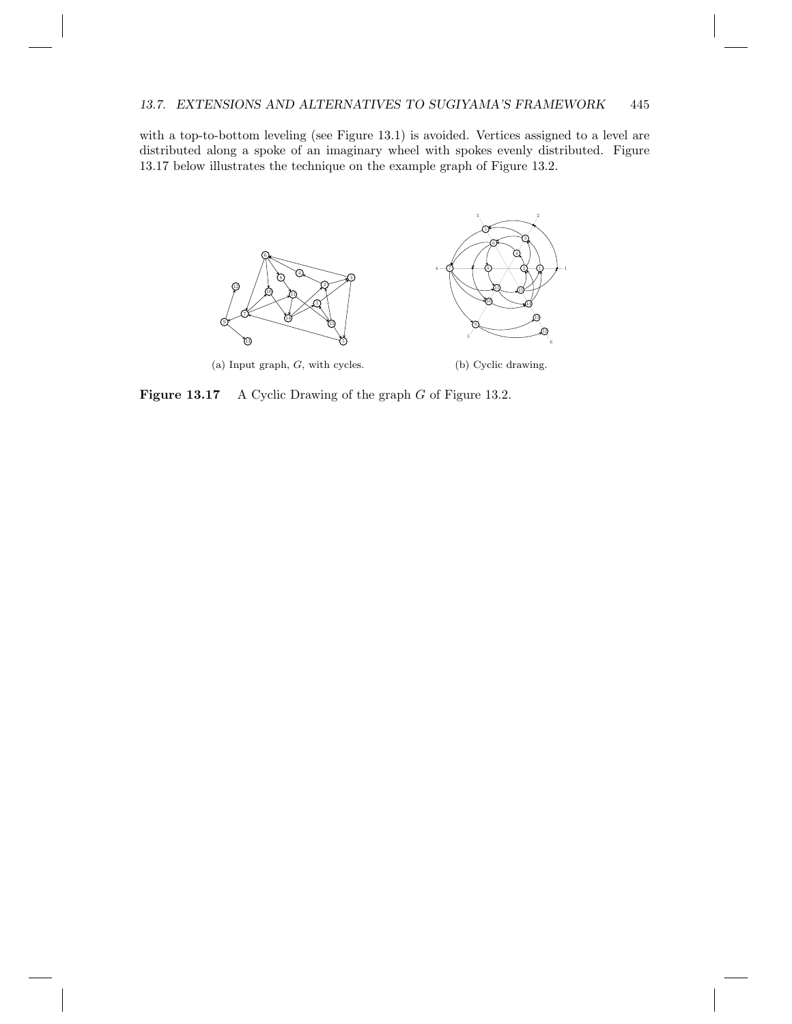with a top-to-bottom leveling (see Figure 13.1) is avoided. Vertices assigned to a level are distributed along a spoke of an imaginary wheel with spokes evenly distributed. Figure 13.17 below illustrates the technique on the example graph of Figure 13.2.



Figure 13.17 A Cyclic Drawing of the graph G of Figure 13.2.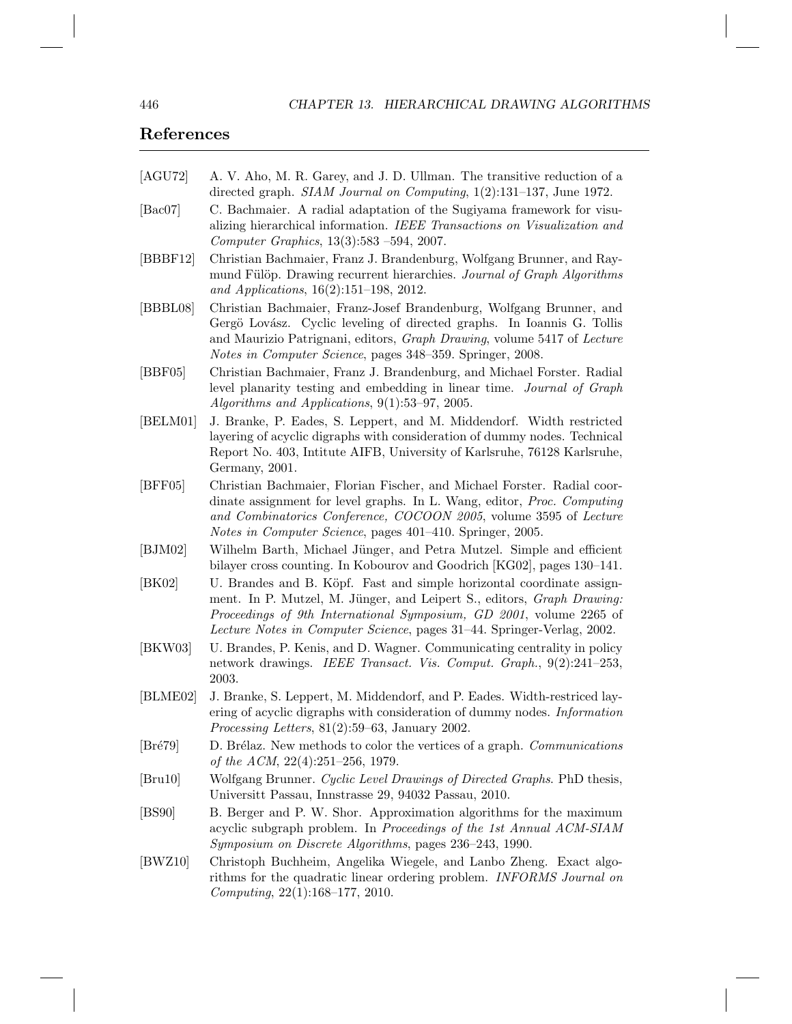# References

| [AGU72]            | A. V. Aho, M. R. Garey, and J. D. Ullman. The transitive reduction of a<br>directed graph. <i>SIAM Journal on Computing</i> , $1(2):131-137$ , June 1972.                                                                                                                                        |
|--------------------|--------------------------------------------------------------------------------------------------------------------------------------------------------------------------------------------------------------------------------------------------------------------------------------------------|
| [Bac07]            | C. Bachmaier. A radial adaptation of the Sugiyama framework for visu-<br>alizing hierarchical information. IEEE Transactions on Visualization and<br>Computer Graphics, 13(3):583 -594, 2007.                                                                                                    |
| [BBBF12]           | Christian Bachmaier, Franz J. Brandenburg, Wolfgang Brunner, and Ray-<br>mund Fülöp. Drawing recurrent hierarchies. Journal of Graph Algorithms<br>and Applications, $16(2):151-198$ , 2012.                                                                                                     |
| [BBBL08]           | Christian Bachmaier, Franz-Josef Brandenburg, Wolfgang Brunner, and<br>Gergö Lovász. Cyclic leveling of directed graphs. In Ioannis G. Tollis<br>and Maurizio Patrignani, editors, Graph Drawing, volume 5417 of Lecture<br>Notes in Computer Science, pages 348-359. Springer, 2008.            |
| [BBF05]            | Christian Bachmaier, Franz J. Brandenburg, and Michael Forster. Radial<br>level planarity testing and embedding in linear time. Journal of Graph<br>Algorithms and Applications, $9(1):53-97$ , 2005.                                                                                            |
| [BELM01]           | J. Branke, P. Eades, S. Leppert, and M. Middendorf. Width restricted<br>layering of acyclic digraphs with consideration of dummy nodes. Technical<br>Report No. 403, Intitute AIFB, University of Karlsruhe, 76128 Karlsruhe,<br>Germany, 2001.                                                  |
| [BFF05]            | Christian Bachmaier, Florian Fischer, and Michael Forster. Radial coor-<br>dinate assignment for level graphs. In L. Wang, editor, Proc. Computing<br>and Combinatorics Conference, COCOON 2005, volume 3595 of Lecture<br><i>Notes in Computer Science</i> , pages 401–410. Springer, 2005.     |
| [BJM02]            | Wilhelm Barth, Michael Jünger, and Petra Mutzel. Simple and efficient<br>bilayer cross counting. In Kobourov and Goodrich [KG02], pages 130–141.                                                                                                                                                 |
| [BK02]             | U. Brandes and B. Köpf. Fast and simple horizontal coordinate assign-<br>ment. In P. Mutzel, M. Jünger, and Leipert S., editors, Graph Drawing:<br>Proceedings of 9th International Symposium, GD 2001, volume 2265 of<br>Lecture Notes in Computer Science, pages 31–44. Springer-Verlag, 2002. |
| [BKW03]            | U. Brandes, P. Kenis, and D. Wagner. Communicating centrality in policy<br>network drawings. IEEE Transact. Vis. Comput. Graph., 9(2):241-253,<br>2003.                                                                                                                                          |
| [BLME02]           | J. Branke, S. Leppert, M. Middendorf, and P. Eades. Width-restriced lay-<br>ering of acyclic digraphs with consideration of dummy nodes. <i>Information</i><br><i>Processing Letters</i> , $81(2):59-63$ , January 2002.                                                                         |
| $[\text{Br\'e79}]$ | D. Brélaz. New methods to color the vertices of a graph. <i>Communications</i><br>of the ACM, $22(4):251-256$ , 1979.                                                                                                                                                                            |
| [Bru10]            | Wolfgang Brunner. Cyclic Level Drawings of Directed Graphs. PhD thesis,<br>Universitt Passau, Innstrasse 29, 94032 Passau, 2010.                                                                                                                                                                 |
| [BS90]             | B. Berger and P. W. Shor. Approximation algorithms for the maximum<br>acyclic subgraph problem. In Proceedings of the 1st Annual ACM-SIAM<br>Symposium on Discrete Algorithms, pages 236–243, 1990.                                                                                              |
| [BWZ10]            | Christoph Buchheim, Angelika Wiegele, and Lanbo Zheng. Exact algo-<br>rithms for the quadratic linear ordering problem. INFORMS Journal on<br>Computing, $22(1):168-177$ , $2010$ .                                                                                                              |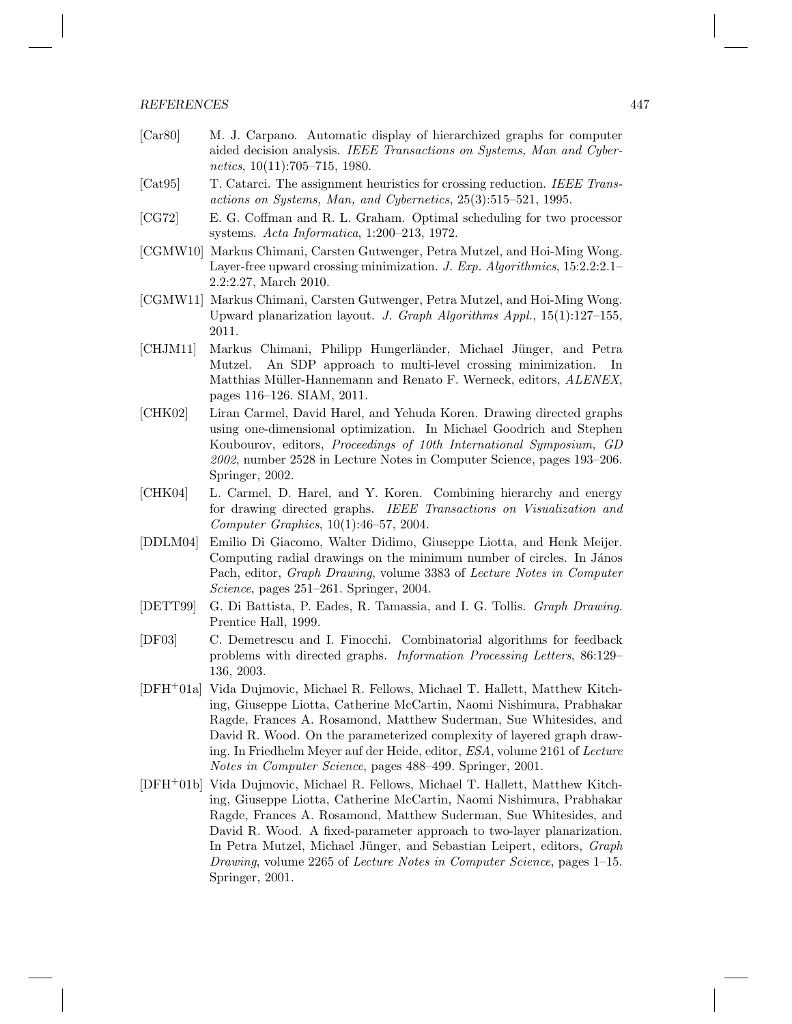- [Car80] M. J. Carpano. Automatic display of hierarchized graphs for computer aided decision analysis. IEEE Transactions on Systems, Man and Cybernetics,  $10(11):705-715$ , 1980.
- [Cat95] T. Catarci. The assignment heuristics for crossing reduction. IEEE Transactions on Systems, Man, and Cybernetics, 25(3):515–521, 1995.
- [CG72] E. G. Coffman and R. L. Graham. Optimal scheduling for two processor systems. Acta Informatica, 1:200–213, 1972.
- [CGMW10] Markus Chimani, Carsten Gutwenger, Petra Mutzel, and Hoi-Ming Wong. Layer-free upward crossing minimization. J. Exp. Algorithmics, 15:2.2:2.1– 2.2:2.27, March 2010.
- [CGMW11] Markus Chimani, Carsten Gutwenger, Petra Mutzel, and Hoi-Ming Wong. Upward planarization layout. J. Graph Algorithms Appl., 15(1):127–155, 2011.
- [CHJM11] Markus Chimani, Philipp Hungerländer, Michael Jünger, and Petra Mutzel. An SDP approach to multi-level crossing minimization. In Matthias Müller-Hannemann and Renato F. Werneck, editors, ALENEX, pages 116–126. SIAM, 2011.
- [CHK02] Liran Carmel, David Harel, and Yehuda Koren. Drawing directed graphs using one-dimensional optimization. In Michael Goodrich and Stephen Koubourov, editors, Proceedings of 10th International Symposium, GD 2002, number 2528 in Lecture Notes in Computer Science, pages 193–206. Springer, 2002.
- [CHK04] L. Carmel, D. Harel, and Y. Koren. Combining hierarchy and energy for drawing directed graphs. IEEE Transactions on Visualization and Computer Graphics, 10(1):46–57, 2004.
- [DDLM04] Emilio Di Giacomo, Walter Didimo, Giuseppe Liotta, and Henk Meijer. Computing radial drawings on the minimum number of circles. In János Pach, editor, Graph Drawing, volume 3383 of Lecture Notes in Computer Science, pages 251–261. Springer, 2004.
- [DETT99] G. Di Battista, P. Eades, R. Tamassia, and I. G. Tollis. Graph Drawing. Prentice Hall, 1999.
- [DF03] C. Demetrescu and I. Finocchi. Combinatorial algorithms for feedback problems with directed graphs. Information Processing Letters, 86:129– 136, 2003.
- [DFH<sup>+</sup>01a] Vida Dujmovic, Michael R. Fellows, Michael T. Hallett, Matthew Kitching, Giuseppe Liotta, Catherine McCartin, Naomi Nishimura, Prabhakar Ragde, Frances A. Rosamond, Matthew Suderman, Sue Whitesides, and David R. Wood. On the parameterized complexity of layered graph drawing. In Friedhelm Meyer auf der Heide, editor, ESA, volume 2161 of Lecture Notes in Computer Science, pages 488–499. Springer, 2001.
- [DFH<sup>+</sup>01b] Vida Dujmovic, Michael R. Fellows, Michael T. Hallett, Matthew Kitching, Giuseppe Liotta, Catherine McCartin, Naomi Nishimura, Prabhakar Ragde, Frances A. Rosamond, Matthew Suderman, Sue Whitesides, and David R. Wood. A fixed-parameter approach to two-layer planarization. In Petra Mutzel, Michael Jünger, and Sebastian Leipert, editors, Graph Drawing, volume 2265 of Lecture Notes in Computer Science, pages 1–15. Springer, 2001.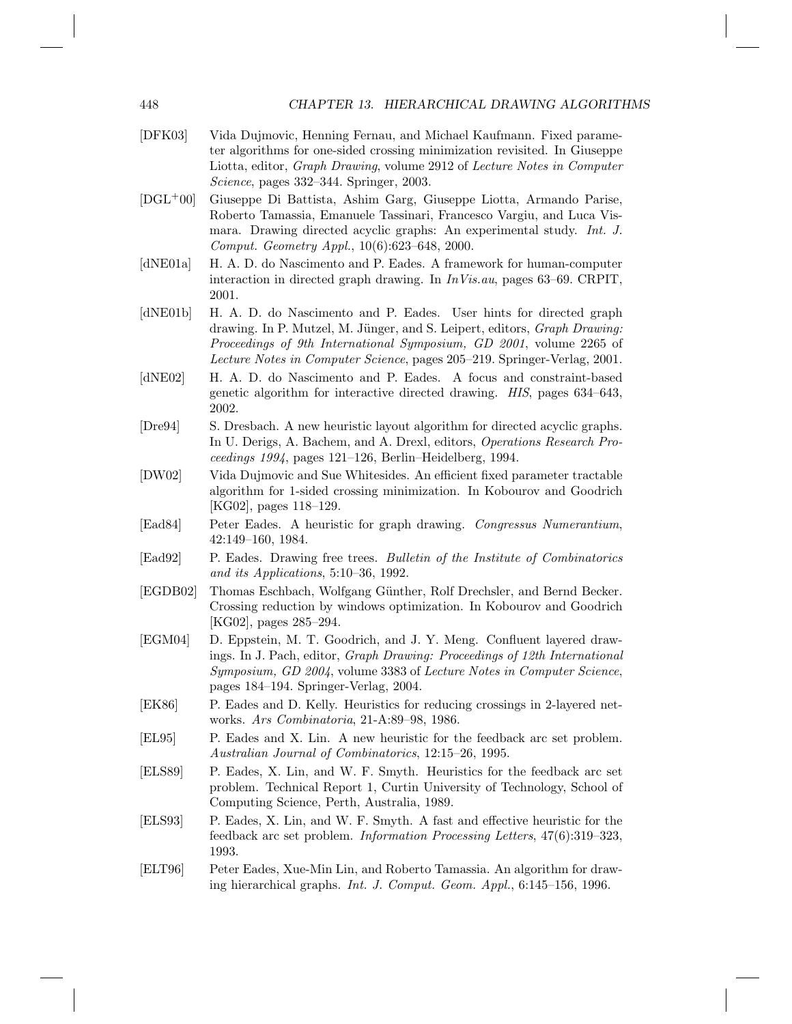- [DFK03] Vida Dujmovic, Henning Fernau, and Michael Kaufmann. Fixed parameter algorithms for one-sided crossing minimization revisited. In Giuseppe Liotta, editor, Graph Drawing, volume 2912 of Lecture Notes in Computer Science, pages 332–344. Springer, 2003.
- [DGL+00] Giuseppe Di Battista, Ashim Garg, Giuseppe Liotta, Armando Parise, Roberto Tamassia, Emanuele Tassinari, Francesco Vargiu, and Luca Vismara. Drawing directed acyclic graphs: An experimental study. Int. J. Comput. Geometry Appl., 10(6):623–648, 2000.
- [dNE01a] H. A. D. do Nascimento and P. Eades. A framework for human-computer interaction in directed graph drawing. In InVis.au, pages 63–69. CRPIT, 2001.
- [dNE01b] H. A. D. do Nascimento and P. Eades. User hints for directed graph drawing. In P. Mutzel, M. Jünger, and S. Leipert, editors, *Graph Drawing:* Proceedings of 9th International Symposium, GD 2001, volume 2265 of Lecture Notes in Computer Science, pages 205–219. Springer-Verlag, 2001.
- [dNE02] H. A. D. do Nascimento and P. Eades. A focus and constraint-based genetic algorithm for interactive directed drawing. HIS, pages 634–643, 2002.
- [Dre94] S. Dresbach. A new heuristic layout algorithm for directed acyclic graphs. In U. Derigs, A. Bachem, and A. Drexl, editors, Operations Research Proceedings 1994, pages 121–126, Berlin–Heidelberg, 1994.
- [DW02] Vida Dujmovic and Sue Whitesides. An efficient fixed parameter tractable algorithm for 1-sided crossing minimization. In Kobourov and Goodrich [KG02], pages 118–129.
- [Ead84] Peter Eades. A heuristic for graph drawing. Congressus Numerantium, 42:149–160, 1984.
- [Ead92] P. Eades. Drawing free trees. Bulletin of the Institute of Combinatorics and its Applications, 5:10–36, 1992.
- [EGDB02] Thomas Eschbach, Wolfgang Günther, Rolf Drechsler, and Bernd Becker. Crossing reduction by windows optimization. In Kobourov and Goodrich [KG02], pages 285–294.
- [EGM04] D. Eppstein, M. T. Goodrich, and J. Y. Meng. Confluent layered drawings. In J. Pach, editor, Graph Drawing: Proceedings of 12th International Symposium, GD 2004, volume 3383 of Lecture Notes in Computer Science, pages 184–194. Springer-Verlag, 2004.
- [EK86] P. Eades and D. Kelly. Heuristics for reducing crossings in 2-layered networks. Ars Combinatoria, 21-A:89–98, 1986.
- [EL95] P. Eades and X. Lin. A new heuristic for the feedback arc set problem. Australian Journal of Combinatorics, 12:15–26, 1995.
- [ELS89] P. Eades, X. Lin, and W. F. Smyth. Heuristics for the feedback arc set problem. Technical Report 1, Curtin University of Technology, School of Computing Science, Perth, Australia, 1989.
- [ELS93] P. Eades, X. Lin, and W. F. Smyth. A fast and effective heuristic for the feedback arc set problem. Information Processing Letters, 47(6):319–323, 1993.
- [ELT96] Peter Eades, Xue-Min Lin, and Roberto Tamassia. An algorithm for drawing hierarchical graphs. Int. J. Comput. Geom. Appl., 6:145–156, 1996.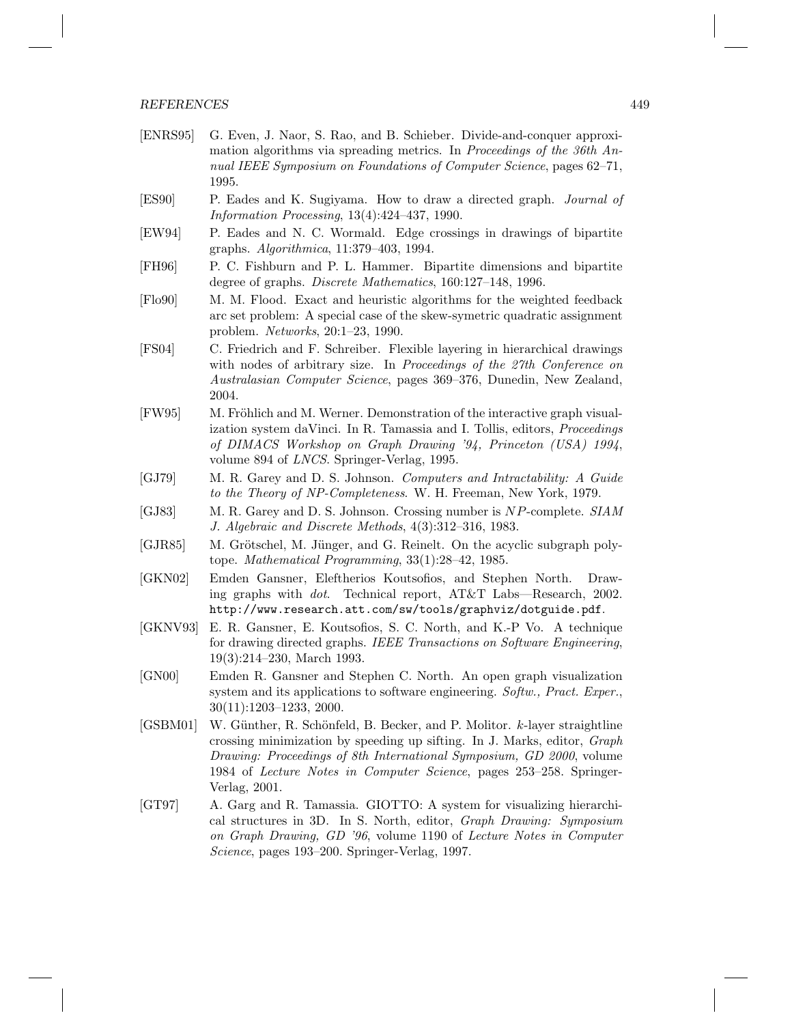- [ENRS95] G. Even, J. Naor, S. Rao, and B. Schieber. Divide-and-conquer approximation algorithms via spreading metrics. In Proceedings of the 36th Annual IEEE Symposium on Foundations of Computer Science, pages 62–71, 1995.
- [ES90] P. Eades and K. Sugiyama. How to draw a directed graph. Journal of Information Processing, 13(4):424–437, 1990.
- [EW94] P. Eades and N. C. Wormald. Edge crossings in drawings of bipartite graphs. Algorithmica, 11:379–403, 1994.
- [FH96] P. C. Fishburn and P. L. Hammer. Bipartite dimensions and bipartite degree of graphs. Discrete Mathematics, 160:127–148, 1996.
- [Flo90] M. M. Flood. Exact and heuristic algorithms for the weighted feedback arc set problem: A special case of the skew-symetric quadratic assignment problem. Networks, 20:1–23, 1990.
- [FS04] C. Friedrich and F. Schreiber. Flexible layering in hierarchical drawings with nodes of arbitrary size. In *Proceedings of the 27th Conference on* Australasian Computer Science, pages 369–376, Dunedin, New Zealand, 2004.
- [FW95] M. Fröhlich and M. Werner. Demonstration of the interactive graph visualization system daVinci. In R. Tamassia and I. Tollis, editors, *Proceedings* of DIMACS Workshop on Graph Drawing '94, Princeton (USA) 1994, volume 894 of LNCS. Springer-Verlag, 1995.
- [GJ79] M. R. Garey and D. S. Johnson. Computers and Intractability: A Guide to the Theory of NP-Completeness. W. H. Freeman, New York, 1979.
- [GJ83] M. R. Garey and D. S. Johnson. Crossing number is NP-complete. SIAM J. Algebraic and Discrete Methods, 4(3):312–316, 1983.
- [GJR85] M. Grötschel, M. Jünger, and G. Reinelt. On the acyclic subgraph polytope. Mathematical Programming, 33(1):28–42, 1985.
- [GKN02] Emden Gansner, Eleftherios Koutsofios, and Stephen North. Drawing graphs with dot. Technical report, AT&T Labs—Research, 2002. http://www.research.att.com/sw/tools/graphviz/dotguide.pdf.
- [GKNV93] E. R. Gansner, E. Koutsofios, S. C. North, and K.-P Vo. A technique for drawing directed graphs. IEEE Transactions on Software Engineering, 19(3):214–230, March 1993.
- [GN00] Emden R. Gansner and Stephen C. North. An open graph visualization system and its applications to software engineering. Softw., Pract. Exper., 30(11):1203–1233, 2000.
- [GSBM01] W. Günther, R. Schönfeld, B. Becker, and P. Molitor. k-layer straightline crossing minimization by speeding up sifting. In J. Marks, editor, Graph Drawing: Proceedings of 8th International Symposium, GD 2000, volume 1984 of Lecture Notes in Computer Science, pages 253–258. Springer-Verlag, 2001.
- [GT97] A. Garg and R. Tamassia. GIOTTO: A system for visualizing hierarchical structures in 3D. In S. North, editor, Graph Drawing: Symposium on Graph Drawing, GD '96, volume 1190 of Lecture Notes in Computer Science, pages 193–200. Springer-Verlag, 1997.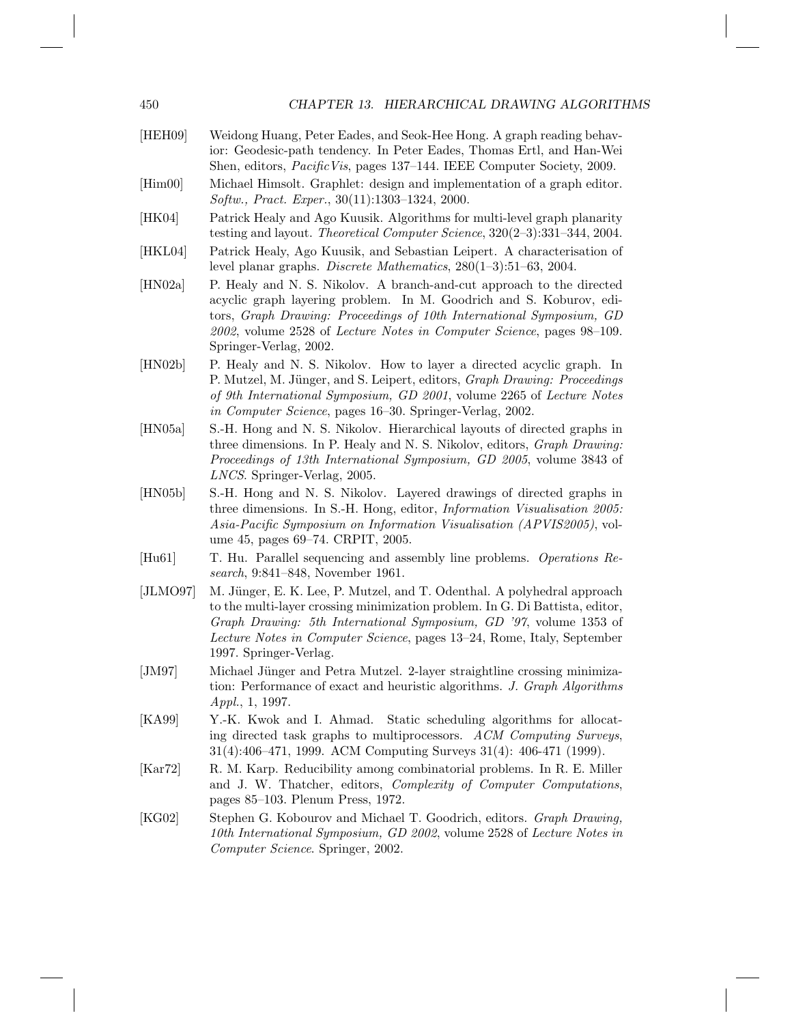- [HEH09] Weidong Huang, Peter Eades, and Seok-Hee Hong. A graph reading behavior: Geodesic-path tendency. In Peter Eades, Thomas Ertl, and Han-Wei Shen, editors, PacificVis, pages 137–144. IEEE Computer Society, 2009.
- [Him00] Michael Himsolt. Graphlet: design and implementation of a graph editor. Softw., Pract. Exper., 30(11):1303–1324, 2000.
- [HK04] Patrick Healy and Ago Kuusik. Algorithms for multi-level graph planarity testing and layout. Theoretical Computer Science, 320(2–3):331–344, 2004.
- [HKL04] Patrick Healy, Ago Kuusik, and Sebastian Leipert. A characterisation of level planar graphs. Discrete Mathematics, 280(1–3):51–63, 2004.
- [HN02a] P. Healy and N. S. Nikolov. A branch-and-cut approach to the directed acyclic graph layering problem. In M. Goodrich and S. Koburov, editors, Graph Drawing: Proceedings of 10th International Symposium, GD 2002, volume 2528 of Lecture Notes in Computer Science, pages 98–109. Springer-Verlag, 2002.
- [HN02b] P. Healy and N. S. Nikolov. How to layer a directed acyclic graph. In P. Mutzel, M. Jünger, and S. Leipert, editors, Graph Drawing: Proceedings of 9th International Symposium, GD 2001, volume 2265 of Lecture Notes in Computer Science, pages 16–30. Springer-Verlag, 2002.
- [HN05a] S.-H. Hong and N. S. Nikolov. Hierarchical layouts of directed graphs in three dimensions. In P. Healy and N. S. Nikolov, editors, Graph Drawing: Proceedings of 13th International Symposium, GD 2005, volume 3843 of LNCS. Springer-Verlag, 2005.
- [HN05b] S.-H. Hong and N. S. Nikolov. Layered drawings of directed graphs in three dimensions. In S.-H. Hong, editor, Information Visualisation 2005: Asia-Pacific Symposium on Information Visualisation (APVIS2005), volume 45, pages 69–74. CRPIT, 2005.
- [Hu61] T. Hu. Parallel sequencing and assembly line problems. Operations Research, 9:841–848, November 1961.
- [JLMO97] M. Jünger, E. K. Lee, P. Mutzel, and T. Odenthal. A polyhedral approach to the multi-layer crossing minimization problem. In G. Di Battista, editor, Graph Drawing: 5th International Symposium, GD '97, volume 1353 of Lecture Notes in Computer Science, pages 13–24, Rome, Italy, September 1997. Springer-Verlag.
- [JM97] Michael Jünger and Petra Mutzel. 2-layer straightline crossing minimization: Performance of exact and heuristic algorithms. J. Graph Algorithms Appl., 1, 1997.
- [KA99] Y.-K. Kwok and I. Ahmad. Static scheduling algorithms for allocating directed task graphs to multiprocessors. ACM Computing Surveys, 31(4):406–471, 1999. ACM Computing Surveys 31(4): 406-471 (1999).
- [Kar72] R. M. Karp. Reducibility among combinatorial problems. In R. E. Miller and J. W. Thatcher, editors, Complexity of Computer Computations, pages 85–103. Plenum Press, 1972.
- [KG02] Stephen G. Kobourov and Michael T. Goodrich, editors. Graph Drawing, 10th International Symposium, GD 2002, volume 2528 of Lecture Notes in Computer Science. Springer, 2002.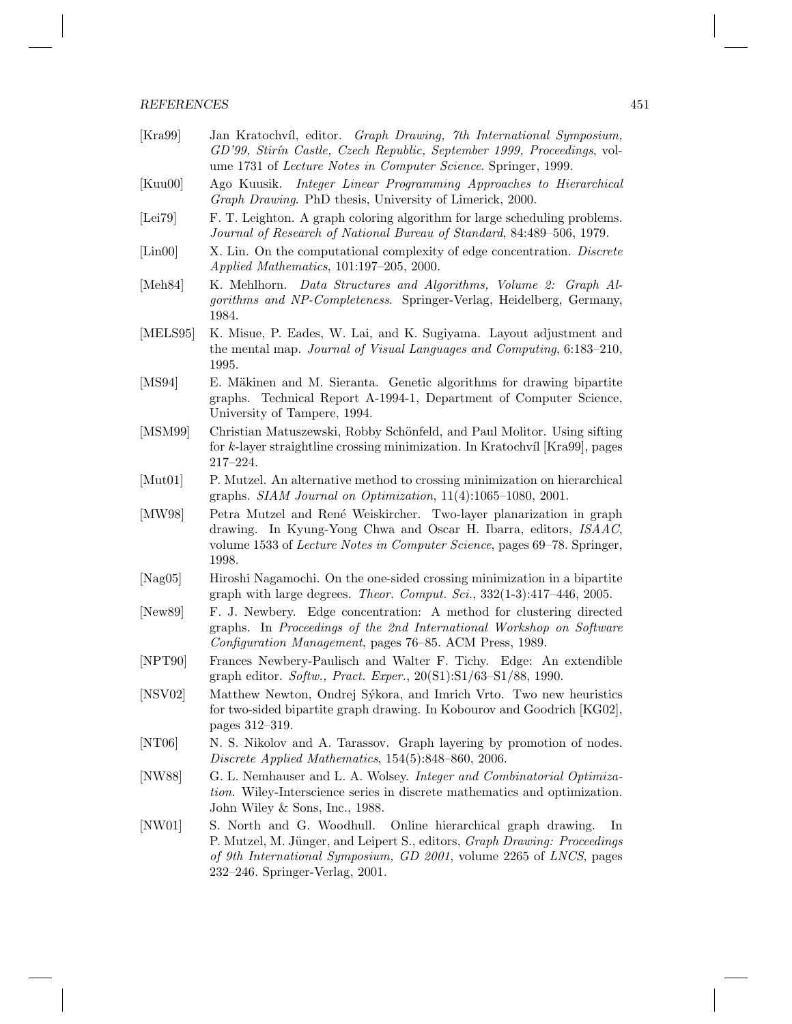- [Kra99] Jan Kratochvíl, editor. Graph Drawing, 7th International Symposium, GD'99, Stirín Castle, Czech Republic, September 1999, Proceedings, volume 1731 of Lecture Notes in Computer Science. Springer, 1999.
- [Kuu00] Ago Kuusik. Integer Linear Programming Approaches to Hierarchical Graph Drawing. PhD thesis, University of Limerick, 2000.
- [Lei79] F. T. Leighton. A graph coloring algorithm for large scheduling problems. Journal of Research of National Bureau of Standard, 84:489–506, 1979.
- [Lin00] X. Lin. On the computational complexity of edge concentration. *Discrete* Applied Mathematics, 101:197–205, 2000.
- [Meh84] K. Mehlhorn. Data Structures and Algorithms, Volume 2: Graph Algorithms and NP-Completeness. Springer-Verlag, Heidelberg, Germany, 1984.
- [MELS95] K. Misue, P. Eades, W. Lai, and K. Sugiyama. Layout adjustment and the mental map. Journal of Visual Languages and Computing, 6:183–210, 1995.
- [MS94] E. Mäkinen and M. Sieranta. Genetic algorithms for drawing bipartite graphs. Technical Report A-1994-1, Department of Computer Science, University of Tampere, 1994.
- [MSM99] Christian Matuszewski, Robby Schönfeld, and Paul Molitor. Using sifting for  $k$ -layer straightline crossing minimization. In Kratochvíl [Kra99], pages 217–224.
- [Mut01] P. Mutzel. An alternative method to crossing minimization on hierarchical graphs. SIAM Journal on Optimization, 11(4):1065–1080, 2001.
- [MW98] Petra Mutzel and René Weiskircher. Two-layer planarization in graph drawing. In Kyung-Yong Chwa and Oscar H. Ibarra, editors, ISAAC, volume 1533 of Lecture Notes in Computer Science, pages 69–78. Springer, 1998.
- [Nag05] Hiroshi Nagamochi. On the one-sided crossing minimization in a bipartite graph with large degrees. *Theor. Comput. Sci.*,  $332(1-3):417-446$ ,  $2005$ .
- [New89] F. J. Newbery. Edge concentration: A method for clustering directed graphs. In Proceedings of the 2nd International Workshop on Software Configuration Management, pages 76–85. ACM Press, 1989.
- [NPT90] Frances Newbery-Paulisch and Walter F. Tichy. Edge: An extendible graph editor. Softw., Pract. Exper., 20(S1):S1/63–S1/88, 1990.
- [NSV02] Matthew Newton, Ondrej Sýkora, and Imrich Vrto. Two new heuristics for two-sided bipartite graph drawing. In Kobourov and Goodrich [KG02], pages 312–319.
- [NT06] N. S. Nikolov and A. Tarassov. Graph layering by promotion of nodes. Discrete Applied Mathematics, 154(5):848–860, 2006.
- [NW88] G. L. Nemhauser and L. A. Wolsey. Integer and Combinatorial Optimization. Wiley-Interscience series in discrete mathematics and optimization. John Wiley & Sons, Inc., 1988.
- [NW01] S. North and G. Woodhull. Online hierarchical graph drawing. In P. Mutzel, M. Jünger, and Leipert S., editors, *Graph Drawing: Proceedings* of 9th International Symposium, GD 2001, volume 2265 of LNCS, pages 232–246. Springer-Verlag, 2001.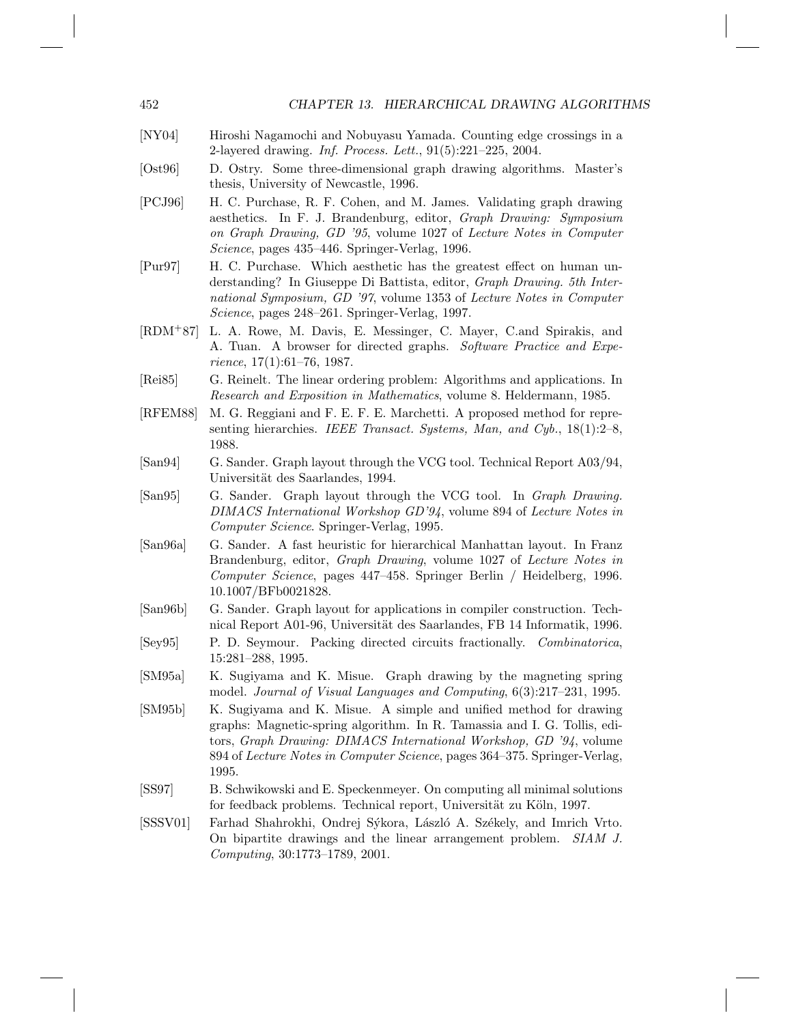- [NY04] Hiroshi Nagamochi and Nobuyasu Yamada. Counting edge crossings in a 2-layered drawing. Inf. Process. Lett., 91(5):221–225, 2004.
- [Ost96] D. Ostry. Some three-dimensional graph drawing algorithms. Master's thesis, University of Newcastle, 1996.
- [PCJ96] H. C. Purchase, R. F. Cohen, and M. James. Validating graph drawing aesthetics. In F. J. Brandenburg, editor, Graph Drawing: Symposium on Graph Drawing, GD '95, volume 1027 of Lecture Notes in Computer Science, pages 435–446. Springer-Verlag, 1996.
- [Pur97] H. C. Purchase. Which aesthetic has the greatest effect on human understanding? In Giuseppe Di Battista, editor, Graph Drawing. 5th International Symposium, GD '97, volume 1353 of Lecture Notes in Computer Science, pages 248–261. Springer-Verlag, 1997.
- [RDM+87] L. A. Rowe, M. Davis, E. Messinger, C. Mayer, C.and Spirakis, and A. Tuan. A browser for directed graphs. Software Practice and Expe $rience, 17(1):61–76, 1987.$
- [Rei85] G. Reinelt. The linear ordering problem: Algorithms and applications. In Research and Exposition in Mathematics, volume 8. Heldermann, 1985.
- [RFEM88] M. G. Reggiani and F. E. F. E. Marchetti. A proposed method for representing hierarchies. IEEE Transact. Systems, Man, and Cyb., 18(1):2–8, 1988.
- [San94] G. Sander. Graph layout through the VCG tool. Technical Report A03/94, Universität des Saarlandes, 1994.
- [San95] G. Sander. Graph layout through the VCG tool. In Graph Drawing. DIMACS International Workshop GD'94, volume 894 of Lecture Notes in Computer Science. Springer-Verlag, 1995.
- [San96a] G. Sander. A fast heuristic for hierarchical Manhattan layout. In Franz Brandenburg, editor, Graph Drawing, volume 1027 of Lecture Notes in Computer Science, pages 447–458. Springer Berlin / Heidelberg, 1996. 10.1007/BFb0021828.
- [San96b] G. Sander. Graph layout for applications in compiler construction. Technical Report A01-96, Universität des Saarlandes, FB 14 Informatik, 1996.
- [Sey95] P. D. Seymour. Packing directed circuits fractionally. Combinatorica, 15:281–288, 1995.
- [SM95a] K. Sugiyama and K. Misue. Graph drawing by the magneting spring model. Journal of Visual Languages and Computing, 6(3):217–231, 1995.
- [SM95b] K. Sugiyama and K. Misue. A simple and unified method for drawing graphs: Magnetic-spring algorithm. In R. Tamassia and I. G. Tollis, editors, Graph Drawing: DIMACS International Workshop, GD '94, volume 894 of Lecture Notes in Computer Science, pages 364–375. Springer-Verlag, 1995.
- [SS97] B. Schwikowski and E. Speckenmeyer. On computing all minimal solutions for feedback problems. Technical report, Universität zu Köln, 1997.
- [SSSV01] Farhad Shahrokhi, Ondrej Sýkora, László A. Székely, and Imrich Vrto. On bipartite drawings and the linear arrangement problem. SIAM J. Computing, 30:1773–1789, 2001.